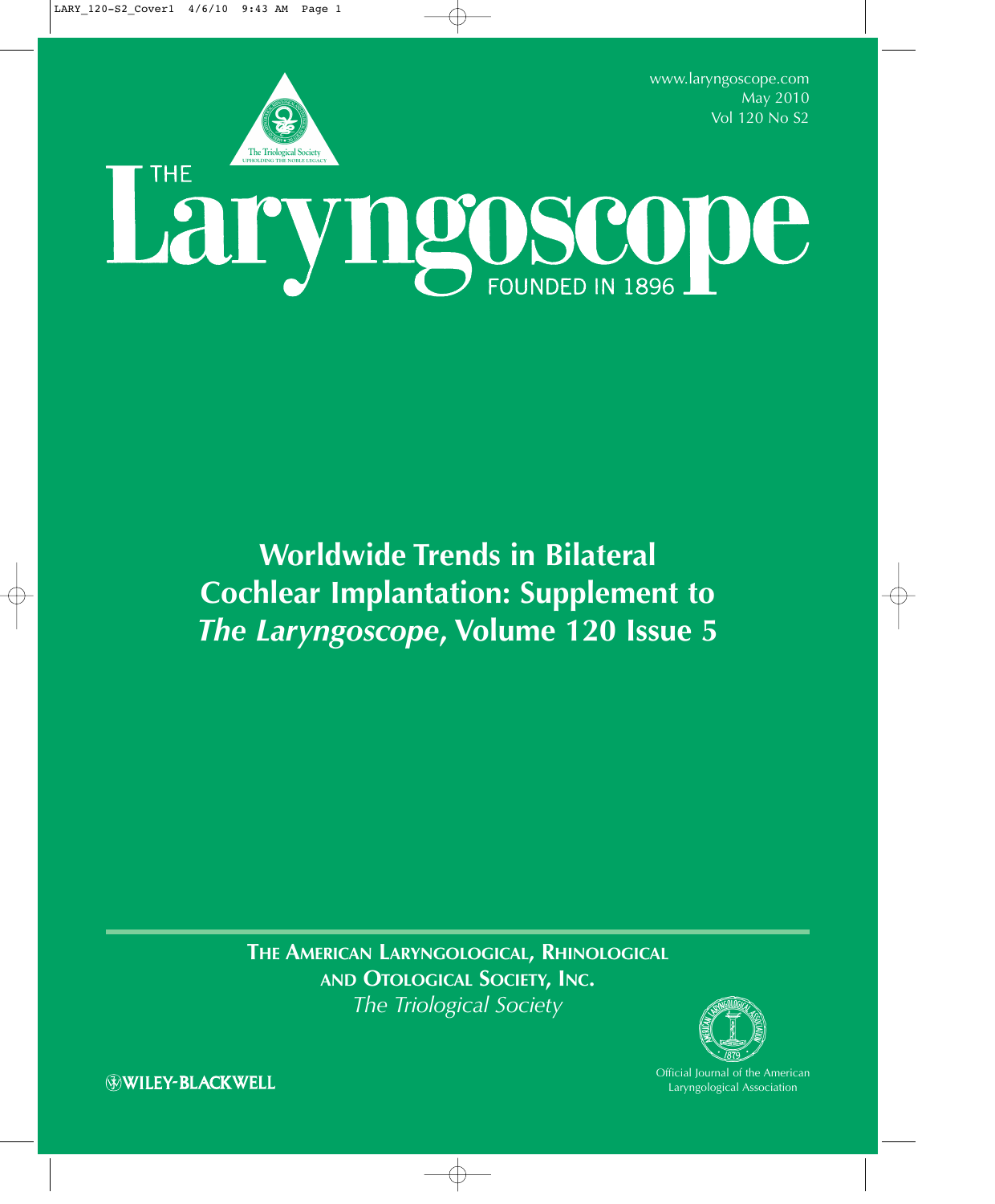LARY\_120-S2\_Cover1 4/6/10 9:43 AM Page 1

 $\mathbf{Q}$ 

The Triological Society

www.laryngoscope.com May 2010 Vol 120 No S2

# **THE** La ngoscope FOUNDED IN 1896

**Worldwide Trends in Bilateral Cochlear Implantation: Supplement to**  *The Laryngoscope***, Volume 120 Issue 5**

**THE AMERICAN LARYNGOLOGICAL, RHINOLOGICAL AND OTOLOGICAL SOCIETY, INC.** *The Triological Society*



Official Journal of the American Laryngological Association

**WILEY-BLACKWELL**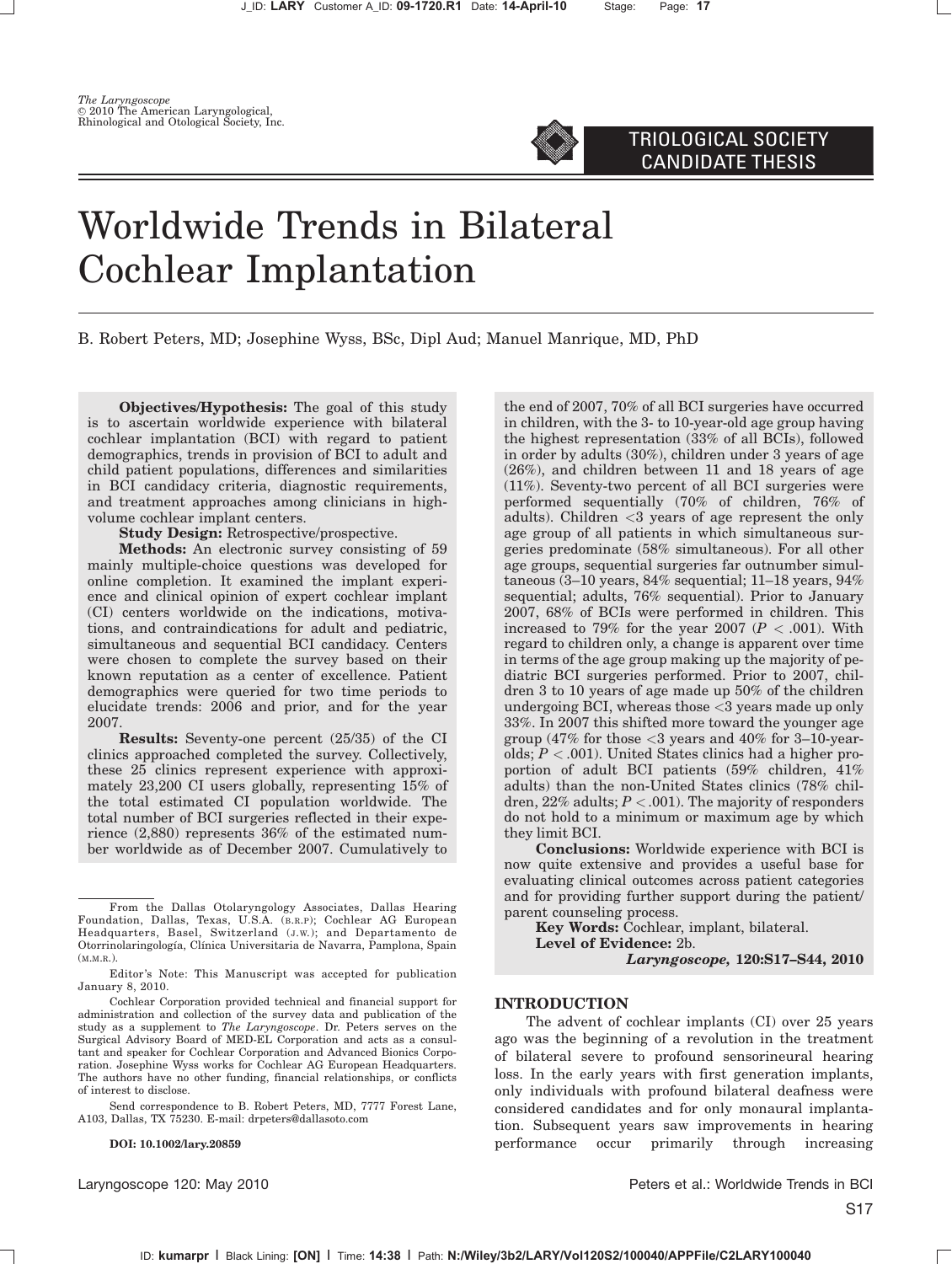

## TRIOLOGICAL SOCIETY CANDIDATE THESIS

# Worldwide Trends in Bilateral Cochlear Implantation

B. Robert Peters, MD; Josephine Wyss, BSc, Dipl Aud; Manuel Manrique, MD, PhD

Objectives/Hypothesis: The goal of this study is to ascertain worldwide experience with bilateral cochlear implantation (BCI) with regard to patient demographics, trends in provision of BCI to adult and child patient populations, differences and similarities in BCI candidacy criteria, diagnostic requirements, and treatment approaches among clinicians in highvolume cochlear implant centers.

Study Design: Retrospective/prospective.

Methods: An electronic survey consisting of 59 mainly multiple-choice questions was developed for online completion. It examined the implant experience and clinical opinion of expert cochlear implant (CI) centers worldwide on the indications, motivations, and contraindications for adult and pediatric, simultaneous and sequential BCI candidacy. Centers were chosen to complete the survey based on their known reputation as a center of excellence. Patient demographics were queried for two time periods to elucidate trends: 2006 and prior, and for the year 2007.

Results: Seventy-one percent (25/35) of the CI clinics approached completed the survey. Collectively, these 25 clinics represent experience with approximately 23,200 CI users globally, representing 15% of the total estimated CI population worldwide. The total number of BCI surgeries reflected in their experience (2,880) represents 36% of the estimated number worldwide as of December 2007. Cumulatively to

Send correspondence to B. Robert Peters, MD, 7777 Forest Lane, A103, Dallas, TX 75230. E-mail: drpeters@dallasoto.com

DOI: 10.1002/lary.20859

the end of 2007, 70% of all BCI surgeries have occurred in children, with the 3- to 10-year-old age group having the highest representation (33% of all BCIs), followed in order by adults (30%), children under 3 years of age (26%), and children between 11 and 18 years of age (11%). Seventy-two percent of all BCI surgeries were performed sequentially (70% of children, 76% of adults). Children <3 years of age represent the only age group of all patients in which simultaneous surgeries predominate (58% simultaneous). For all other age groups, sequential surgeries far outnumber simultaneous (3–10 years, 84% sequential; 11–18 years, 94% sequential; adults, 76% sequential). Prior to January 2007, 68% of BCIs were performed in children. This increased to 79% for the year 2007 ( $P < .001$ ). With regard to children only, a change is apparent over time in terms of the age group making up the majority of pediatric BCI surgeries performed. Prior to 2007, children 3 to 10 years of age made up 50% of the children undergoing BCI, whereas those  $<$ 3 years made up only 33%. In 2007 this shifted more toward the younger age group (47% for those <3 years and 40% for 3–10-yearolds;  $P < .001$ ). United States clinics had a higher proportion of adult BCI patients (59% children, 41% adults) than the non-United States clinics (78% children,  $22\%$  adults;  $P < .001$ ). The majority of responders do not hold to a minimum or maximum age by which they limit BCI.

Conclusions: Worldwide experience with BCI is now quite extensive and provides a useful base for evaluating clinical outcomes across patient categories and for providing further support during the patient/ parent counseling process.

Key Words: Cochlear, implant, bilateral.

Level of Evidence: 2b.

Laryngoscope, 120:S17–S44, 2010

#### INTRODUCTION

The advent of cochlear implants (CI) over 25 years ago was the beginning of a revolution in the treatment of bilateral severe to profound sensorineural hearing loss. In the early years with first generation implants, only individuals with profound bilateral deafness were considered candidates and for only monaural implantation. Subsequent years saw improvements in hearing performance occur primarily through increasing

From the Dallas Otolaryngology Associates, Dallas Hearing Foundation, Dallas, Texas, U.S.A. (B.R.P); Cochlear AG European Headquarters, Basel, Switzerland (J.W.); and Departamento de Otorrinolaringología, Clínica Universitaria de Navarra, Pamplona, Spain  $(M.M.R.)$ 

Editor's Note: This Manuscript was accepted for publication January 8, 2010.

Cochlear Corporation provided technical and financial support for administration and collection of the survey data and publication of the study as a supplement to The Laryngoscope. Dr. Peters serves on the Surgical Advisory Board of MED-EL Corporation and acts as a consultant and speaker for Cochlear Corporation and Advanced Bionics Corporation. Josephine Wyss works for Cochlear AG European Headquarters. The authors have no other funding, financial relationships, or conflicts of interest to disclose.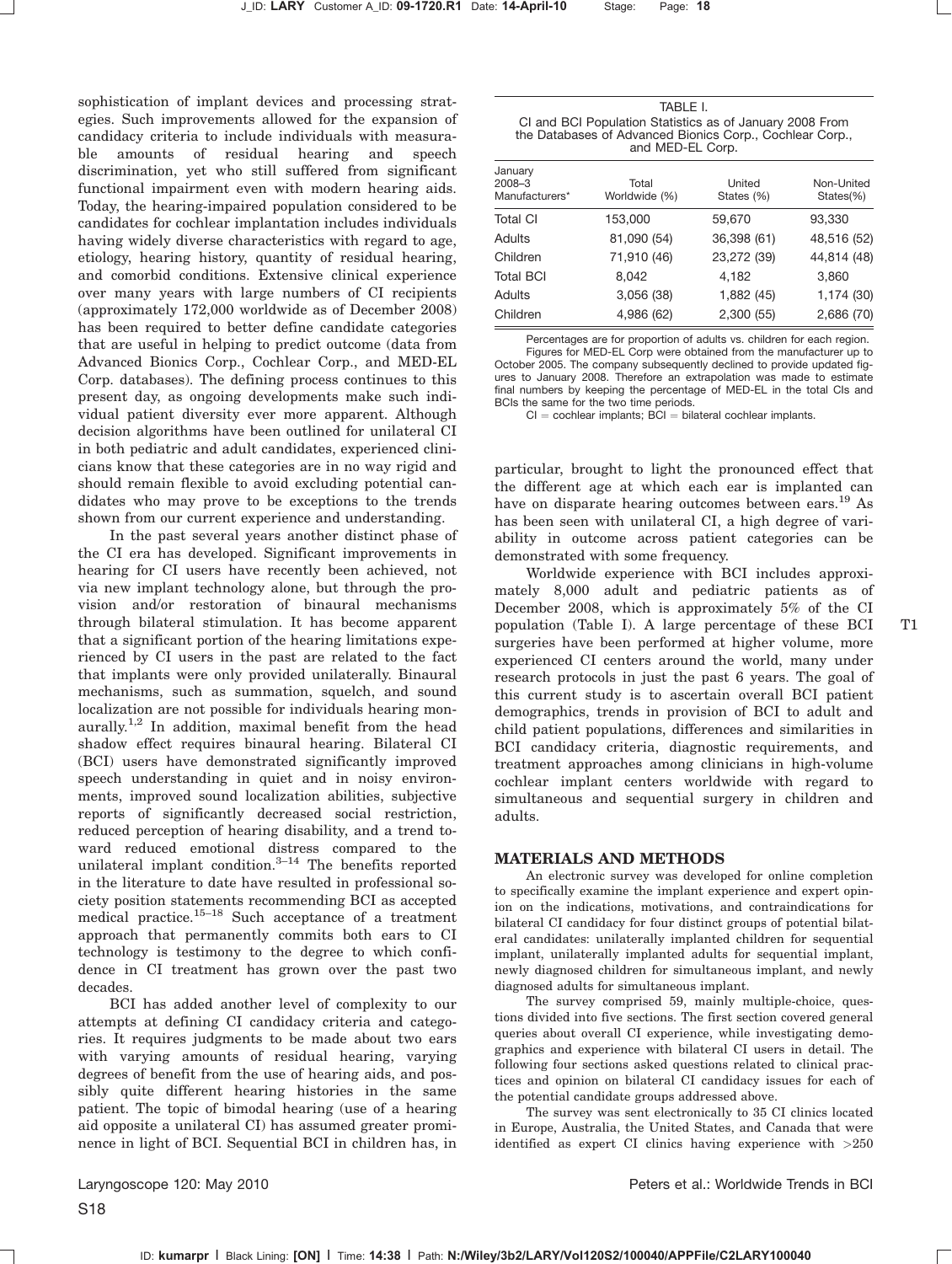sophistication of implant devices and processing strategies. Such improvements allowed for the expansion of candidacy criteria to include individuals with measurable amounts of residual hearing and speech discrimination, yet who still suffered from significant functional impairment even with modern hearing aids. Today, the hearing-impaired population considered to be candidates for cochlear implantation includes individuals having widely diverse characteristics with regard to age, etiology, hearing history, quantity of residual hearing, and comorbid conditions. Extensive clinical experience over many years with large numbers of CI recipients (approximately 172,000 worldwide as of December 2008) has been required to better define candidate categories that are useful in helping to predict outcome (data from Advanced Bionics Corp., Cochlear Corp., and MED-EL Corp. databases). The defining process continues to this present day, as ongoing developments make such individual patient diversity ever more apparent. Although decision algorithms have been outlined for unilateral CI in both pediatric and adult candidates, experienced clinicians know that these categories are in no way rigid and should remain flexible to avoid excluding potential candidates who may prove to be exceptions to the trends shown from our current experience and understanding.

In the past several years another distinct phase of the CI era has developed. Significant improvements in hearing for CI users have recently been achieved, not via new implant technology alone, but through the provision and/or restoration of binaural mechanisms through bilateral stimulation. It has become apparent that a significant portion of the hearing limitations experienced by CI users in the past are related to the fact that implants were only provided unilaterally. Binaural mechanisms, such as summation, squelch, and sound localization are not possible for individuals hearing monaurally.<sup>1,2</sup> In addition, maximal benefit from the head shadow effect requires binaural hearing. Bilateral CI (BCI) users have demonstrated significantly improved speech understanding in quiet and in noisy environments, improved sound localization abilities, subjective reports of significantly decreased social restriction, reduced perception of hearing disability, and a trend toward reduced emotional distress compared to the unilateral implant condition. $3-14$  The benefits reported in the literature to date have resulted in professional society position statements recommending BCI as accepted medical practice.15–18 Such acceptance of a treatment approach that permanently commits both ears to CI technology is testimony to the degree to which confidence in CI treatment has grown over the past two decades.

BCI has added another level of complexity to our attempts at defining CI candidacy criteria and categories. It requires judgments to be made about two ears with varying amounts of residual hearing, varying degrees of benefit from the use of hearing aids, and possibly quite different hearing histories in the same patient. The topic of bimodal hearing (use of a hearing aid opposite a unilateral CI) has assumed greater prominence in light of BCI. Sequential BCI in children has, in

| TABLE I.                                                                                                                                 |  |
|------------------------------------------------------------------------------------------------------------------------------------------|--|
| CI and BCI Population Statistics as of January 2008 From<br>the Databases of Advanced Bionics Corp., Cochlear Corp.,<br>and MED-EL Corp. |  |

| January<br>$2008 - 3$<br>Manufacturers* | Total<br>Worldwide (%) | United<br>States (%) | Non-United<br>States(%) |
|-----------------------------------------|------------------------|----------------------|-------------------------|
| <b>Total CI</b>                         | 153,000                | 59,670               | 93,330                  |
| Adults                                  | 81,090 (54)            | 36,398 (61)          | 48,516 (52)             |
| Children                                | 71,910 (46)            | 23,272 (39)          | 44,814 (48)             |
| <b>Total BCI</b>                        | 8.042                  | 4,182                | 3,860                   |
| Adults                                  | 3,056 (38)             | 1,882(45)            | 1,174 (30)              |
| Children                                | 4,986 (62)             | 2,300 (55)           | 2,686 (70)              |

Percentages are for proportion of adults vs. children for each region. Figures for MED-EL Corp were obtained from the manufacturer up to October 2005. The company subsequently declined to provide updated figures to January 2008. Therefore an extrapolation was made to estimate final numbers by keeping the percentage of MED-EL in the total CIs and BCIs the same for the two time periods.

 $Cl =$  cochlear implants;  $|BC| =$  bilateral cochlear implants.

particular, brought to light the pronounced effect that the different age at which each ear is implanted can have on disparate hearing outcomes between ears.<sup>19</sup> As has been seen with unilateral CI, a high degree of variability in outcome across patient categories can be demonstrated with some frequency.

Worldwide experience with BCI includes approximately 8,000 adult and pediatric patients as of December 2008, which is approximately 5% of the CI population (Table I). A large percentage of these BCI T1 surgeries have been performed at higher volume, more experienced CI centers around the world, many under research protocols in just the past 6 years. The goal of this current study is to ascertain overall BCI patient demographics, trends in provision of BCI to adult and child patient populations, differences and similarities in BCI candidacy criteria, diagnostic requirements, and treatment approaches among clinicians in high-volume cochlear implant centers worldwide with regard to simultaneous and sequential surgery in children and adults.

#### MATERIALS AND METHODS

An electronic survey was developed for online completion to specifically examine the implant experience and expert opinion on the indications, motivations, and contraindications for bilateral CI candidacy for four distinct groups of potential bilateral candidates: unilaterally implanted children for sequential implant, unilaterally implanted adults for sequential implant, newly diagnosed children for simultaneous implant, and newly diagnosed adults for simultaneous implant.

The survey comprised 59, mainly multiple-choice, questions divided into five sections. The first section covered general queries about overall CI experience, while investigating demographics and experience with bilateral CI users in detail. The following four sections asked questions related to clinical practices and opinion on bilateral CI candidacy issues for each of the potential candidate groups addressed above.

The survey was sent electronically to 35 CI clinics located in Europe, Australia, the United States, and Canada that were identified as expert CI clinics having experience with >250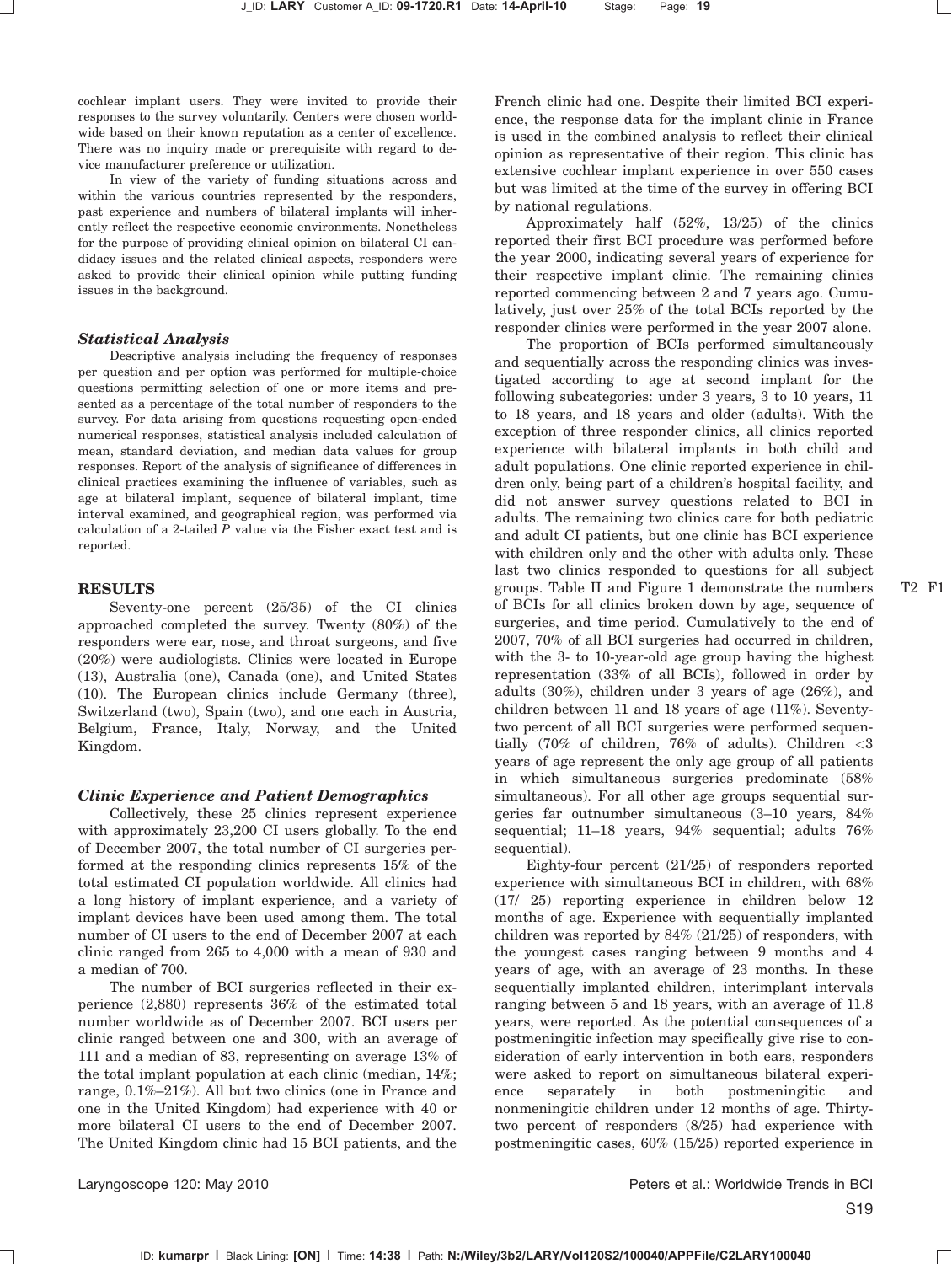cochlear implant users. They were invited to provide their responses to the survey voluntarily. Centers were chosen worldwide based on their known reputation as a center of excellence. There was no inquiry made or prerequisite with regard to device manufacturer preference or utilization.

In view of the variety of funding situations across and within the various countries represented by the responders, past experience and numbers of bilateral implants will inherently reflect the respective economic environments. Nonetheless for the purpose of providing clinical opinion on bilateral CI candidacy issues and the related clinical aspects, responders were asked to provide their clinical opinion while putting funding issues in the background.

#### Statistical Analysis

Descriptive analysis including the frequency of responses per question and per option was performed for multiple-choice questions permitting selection of one or more items and presented as a percentage of the total number of responders to the survey. For data arising from questions requesting open-ended numerical responses, statistical analysis included calculation of mean, standard deviation, and median data values for group responses. Report of the analysis of significance of differences in clinical practices examining the influence of variables, such as age at bilateral implant, sequence of bilateral implant, time interval examined, and geographical region, was performed via calculation of a 2-tailed P value via the Fisher exact test and is reported.

#### RESULTS

Seventy-one percent (25/35) of the CI clinics approached completed the survey. Twenty (80%) of the responders were ear, nose, and throat surgeons, and five (20%) were audiologists. Clinics were located in Europe (13), Australia (one), Canada (one), and United States (10). The European clinics include Germany (three), Switzerland (two), Spain (two), and one each in Austria, Belgium, France, Italy, Norway, and the United Kingdom.

#### Clinic Experience and Patient Demographics

Collectively, these 25 clinics represent experience with approximately 23,200 CI users globally. To the end of December 2007, the total number of CI surgeries performed at the responding clinics represents 15% of the total estimated CI population worldwide. All clinics had a long history of implant experience, and a variety of implant devices have been used among them. The total number of CI users to the end of December 2007 at each clinic ranged from 265 to 4,000 with a mean of 930 and a median of 700.

The number of BCI surgeries reflected in their experience (2,880) represents 36% of the estimated total number worldwide as of December 2007. BCI users per clinic ranged between one and 300, with an average of 111 and a median of 83, representing on average 13% of the total implant population at each clinic (median, 14%; range, 0.1%–21%). All but two clinics (one in France and one in the United Kingdom) had experience with 40 or more bilateral CI users to the end of December 2007. The United Kingdom clinic had 15 BCI patients, and the French clinic had one. Despite their limited BCI experience, the response data for the implant clinic in France is used in the combined analysis to reflect their clinical opinion as representative of their region. This clinic has extensive cochlear implant experience in over 550 cases but was limited at the time of the survey in offering BCI by national regulations.

Approximately half (52%, 13/25) of the clinics reported their first BCI procedure was performed before the year 2000, indicating several years of experience for their respective implant clinic. The remaining clinics reported commencing between 2 and 7 years ago. Cumulatively, just over 25% of the total BCIs reported by the responder clinics were performed in the year 2007 alone.

The proportion of BCIs performed simultaneously and sequentially across the responding clinics was investigated according to age at second implant for the following subcategories: under 3 years, 3 to 10 years, 11 to 18 years, and 18 years and older (adults). With the exception of three responder clinics, all clinics reported experience with bilateral implants in both child and adult populations. One clinic reported experience in children only, being part of a children's hospital facility, and did not answer survey questions related to BCI in adults. The remaining two clinics care for both pediatric and adult CI patients, but one clinic has BCI experience with children only and the other with adults only. These last two clinics responded to questions for all subject groups. Table II and Figure  $1$  demonstrate the numbers  $T2$  F1 of BCIs for all clinics broken down by age, sequence of surgeries, and time period. Cumulatively to the end of 2007, 70% of all BCI surgeries had occurred in children, with the 3- to 10-year-old age group having the highest representation (33% of all BCIs), followed in order by adults (30%), children under 3 years of age (26%), and children between 11 and 18 years of age (11%). Seventytwo percent of all BCI surgeries were performed sequentially (70% of children, 76% of adults). Children <3 years of age represent the only age group of all patients in which simultaneous surgeries predominate (58% simultaneous). For all other age groups sequential surgeries far outnumber simultaneous (3–10 years, 84% sequential; 11–18 years, 94% sequential; adults 76% sequential).

Eighty-four percent (21/25) of responders reported experience with simultaneous BCI in children, with 68% (17/ 25) reporting experience in children below 12 months of age. Experience with sequentially implanted children was reported by 84% (21/25) of responders, with the youngest cases ranging between 9 months and 4 years of age, with an average of 23 months. In these sequentially implanted children, interimplant intervals ranging between 5 and 18 years, with an average of 11.8 years, were reported. As the potential consequences of a postmeningitic infection may specifically give rise to consideration of early intervention in both ears, responders were asked to report on simultaneous bilateral experience separately in both postmeningitic and nonmeningitic children under 12 months of age. Thirtytwo percent of responders (8/25) had experience with postmeningitic cases, 60% (15/25) reported experience in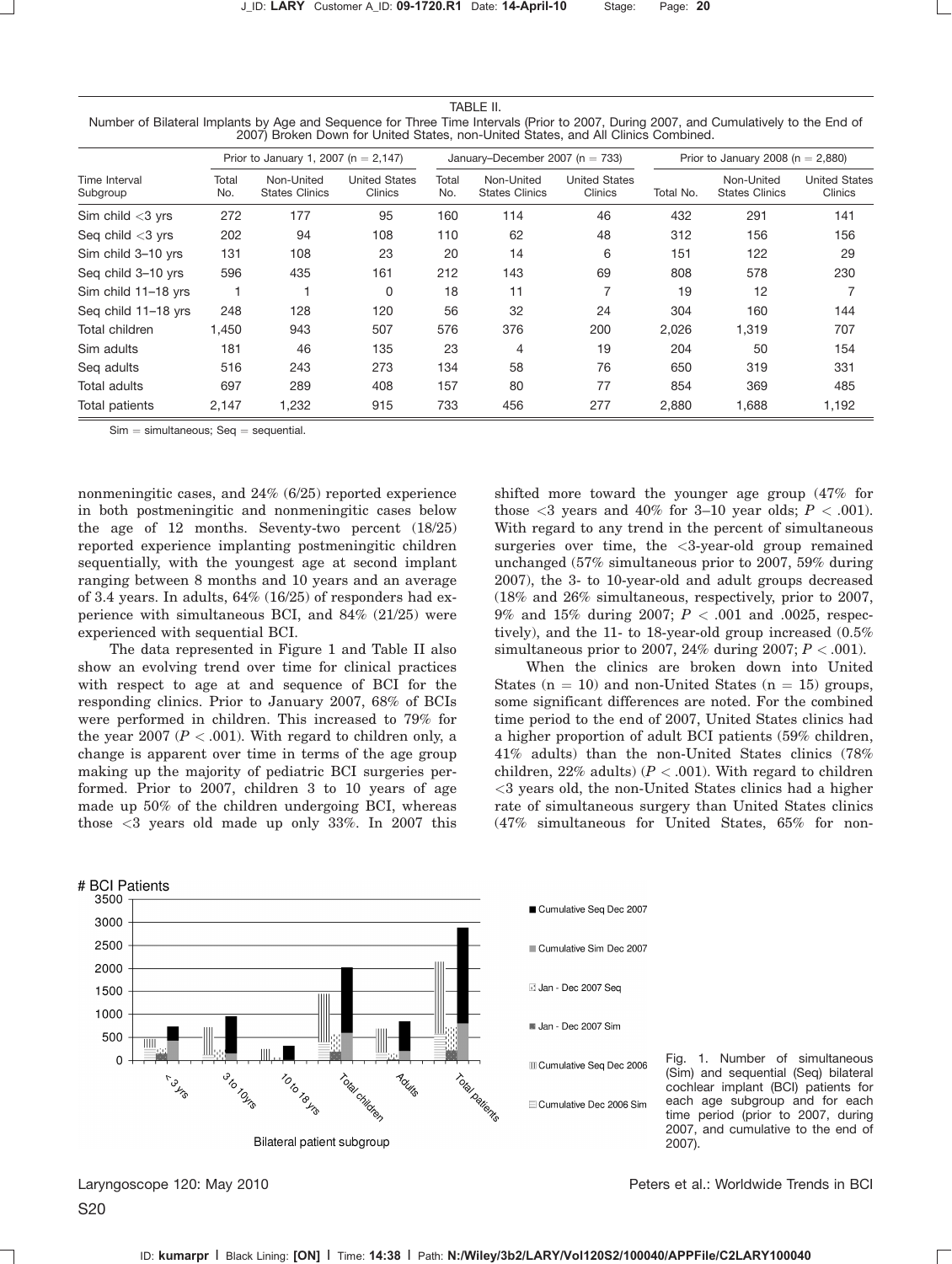| Trumper or Diraction implants by Age and Sequence for Three Time intervals (Filor to 2007, During 2007, and Oumulatively to the Life or<br>2007) Broken Down for United States, non-United States, and All Clinics Combined. |                                          |                                     |                                     |              |                                     |                                       |           |                                     |                                 |
|------------------------------------------------------------------------------------------------------------------------------------------------------------------------------------------------------------------------------|------------------------------------------|-------------------------------------|-------------------------------------|--------------|-------------------------------------|---------------------------------------|-----------|-------------------------------------|---------------------------------|
|                                                                                                                                                                                                                              | Prior to January 1, 2007 ( $n = 2,147$ ) |                                     | January-December 2007 ( $n = 733$ ) |              |                                     | Prior to January 2008 ( $n = 2,880$ ) |           |                                     |                                 |
| Time Interval<br>Subgroup                                                                                                                                                                                                    | Total<br>No.                             | Non-United<br><b>States Clinics</b> | <b>United States</b><br>Clinics     | Total<br>No. | Non-United<br><b>States Clinics</b> | <b>United States</b><br>Clinics       | Total No. | Non-United<br><b>States Clinics</b> | <b>United States</b><br>Clinics |
| Sim child $<$ 3 yrs                                                                                                                                                                                                          | 272                                      | 177                                 | 95                                  | 160          | 114                                 | 46                                    | 432       | 291                                 | 141                             |
| Seg child $<$ 3 yrs                                                                                                                                                                                                          | 202                                      | 94                                  | 108                                 | 110          | 62                                  | 48                                    | 312       | 156                                 | 156                             |
| Sim child 3-10 yrs                                                                                                                                                                                                           | 131                                      | 108                                 | 23                                  | 20           | 14                                  | 6                                     | 151       | 122                                 | 29                              |
| Seg child 3-10 yrs                                                                                                                                                                                                           | 596                                      | 435                                 | 161                                 | 212          | 143                                 | 69                                    | 808       | 578                                 | 230                             |
| Sim child 11-18 yrs                                                                                                                                                                                                          |                                          |                                     | 0                                   | 18           | 11                                  |                                       | 19        | 12                                  |                                 |
| Seg child 11-18 yrs                                                                                                                                                                                                          | 248                                      | 128                                 | 120                                 | 56           | 32                                  | 24                                    | 304       | 160                                 | 144                             |
| Total children                                                                                                                                                                                                               | 1.450                                    | 943                                 | 507                                 | 576          | 376                                 | 200                                   | 2,026     | 1,319                               | 707                             |
| Sim adults                                                                                                                                                                                                                   | 181                                      | 46                                  | 135                                 | 23           | 4                                   | 19                                    | 204       | 50                                  | 154                             |
| Seg adults                                                                                                                                                                                                                   | 516                                      | 243                                 | 273                                 | 134          | 58                                  | 76                                    | 650       | 319                                 | 331                             |
| Total adults                                                                                                                                                                                                                 | 697                                      | 289                                 | 408                                 | 157          | 80                                  | 77                                    | 854       | 369                                 | 485                             |
| Total patients                                                                                                                                                                                                               | 2,147                                    | 1,232                               | 915                                 | 733          | 456                                 | 277                                   | 2.880     | 1,688                               | 1,192                           |

TABLE II. Number of Bilateral Implants by Age and Sequence for Three Time Intervals (Prior to 2007, During 2007, and Cumulatively to the End of

 $Sim = simultaneous; Seq = sequential$ .

nonmeningitic cases, and 24% (6/25) reported experience in both postmeningitic and nonmeningitic cases below the age of 12 months. Seventy-two percent (18/25) reported experience implanting postmeningitic children sequentially, with the youngest age at second implant ranging between 8 months and 10 years and an average of 3.4 years. In adults, 64% (16/25) of responders had experience with simultaneous BCI, and 84% (21/25) were experienced with sequential BCI.

The data represented in Figure 1 and Table II also show an evolving trend over time for clinical practices with respect to age at and sequence of BCI for the responding clinics. Prior to January 2007, 68% of BCIs were performed in children. This increased to 79% for the year 2007 ( $P < .001$ ). With regard to children only, a change is apparent over time in terms of the age group making up the majority of pediatric BCI surgeries performed. Prior to 2007, children 3 to 10 years of age made up 50% of the children undergoing BCI, whereas those  $<$ 3 years old made up only 33%. In 2007 this shifted more toward the younger age group (47% for those  $\langle 3 \rangle$  years and 40% for 3–10 year olds;  $P \langle 0.001 \rangle$ . With regard to any trend in the percent of simultaneous surgeries over time, the <3-year-old group remained unchanged (57% simultaneous prior to 2007, 59% during 2007), the 3- to 10-year-old and adult groups decreased (18% and 26% simultaneous, respectively, prior to 2007, 9% and 15% during 2007;  $P < .001$  and .0025, respectively), and the 11- to 18-year-old group increased (0.5% simultaneous prior to 2007, 24% during 2007;  $P < .001$ ).

When the clinics are broken down into United States ( $n = 10$ ) and non-United States ( $n = 15$ ) groups, some significant differences are noted. For the combined time period to the end of 2007, United States clinics had a higher proportion of adult BCI patients (59% children, 41% adults) than the non-United States clinics (78% children, 22% adults) ( $P < .001$ ). With regard to children  $\leq$ 3 years old, the non-United States clinics had a higher rate of simultaneous surgery than United States clinics (47% simultaneous for United States, 65% for non-



Fig. 1. Number of simultaneous (Sim) and sequential (Seq) bilateral cochlear implant (BCI) patients for each age subgroup and for each time period (prior to 2007, during 2007, and cumulative to the end of 2007).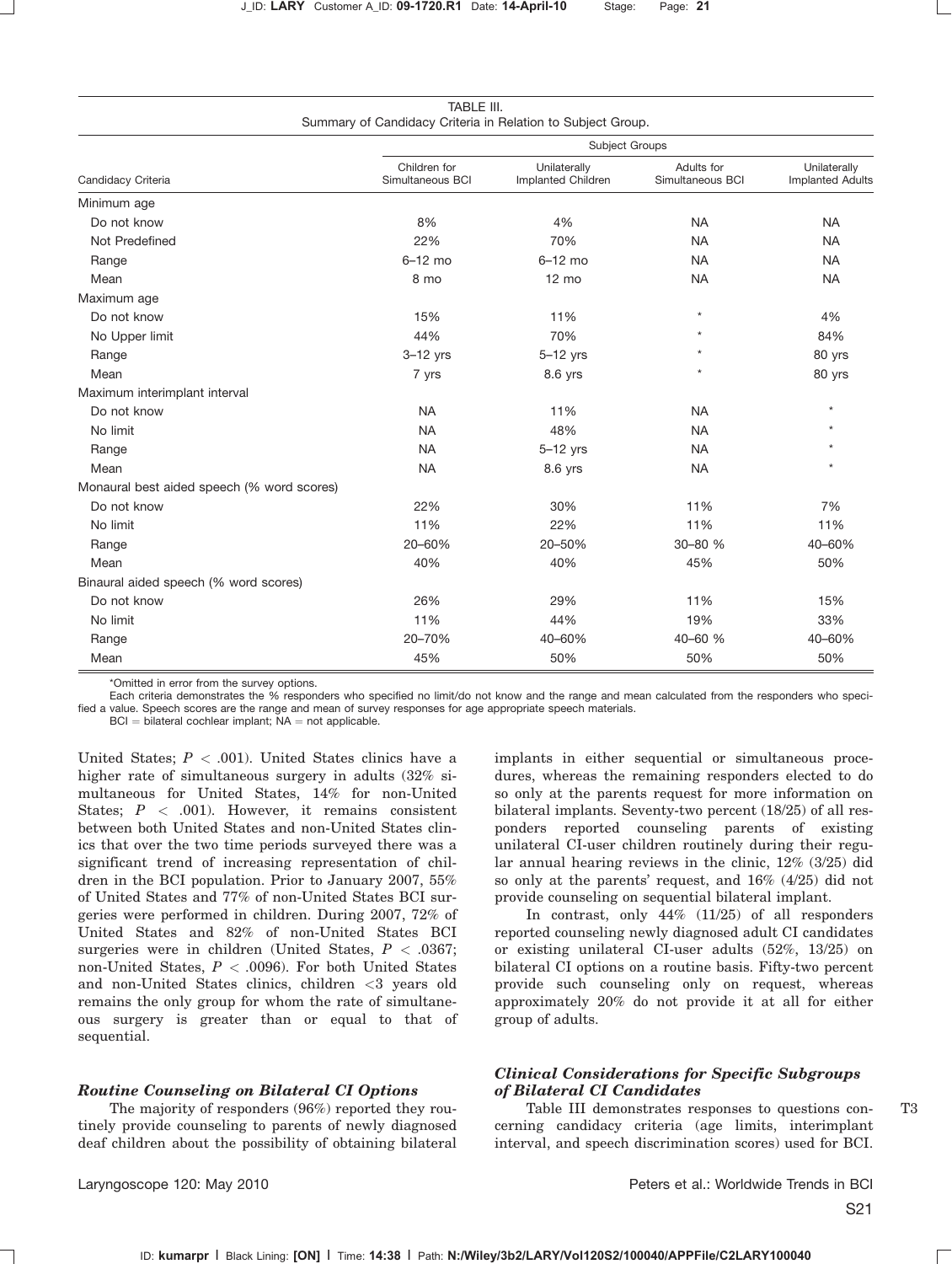| TABLE III.<br>Summary of Candidacy Criteria in Relation to Subject Group. |                                  |                                    |                                |                                         |  |  |  |
|---------------------------------------------------------------------------|----------------------------------|------------------------------------|--------------------------------|-----------------------------------------|--|--|--|
|                                                                           |                                  |                                    |                                |                                         |  |  |  |
| Candidacy Criteria                                                        | Children for<br>Simultaneous BCI | Unilaterally<br>Implanted Children | Adults for<br>Simultaneous BCI | Unilaterally<br><b>Implanted Adults</b> |  |  |  |
| Minimum age                                                               |                                  |                                    |                                |                                         |  |  |  |
| Do not know                                                               | 8%                               | 4%                                 | <b>NA</b>                      | <b>NA</b>                               |  |  |  |
| Not Predefined                                                            | 22%                              | 70%                                | <b>NA</b>                      | <b>NA</b>                               |  |  |  |
| Range                                                                     | $6-12$ mo                        | $6-12$ mo                          | <b>NA</b>                      | <b>NA</b>                               |  |  |  |
| Mean                                                                      | 8 mo                             | $12 \text{ mo}$                    | <b>NA</b>                      | <b>NA</b>                               |  |  |  |
| Maximum age                                                               |                                  |                                    |                                |                                         |  |  |  |
| Do not know                                                               | 15%                              | 11%                                | $\star$                        | 4%                                      |  |  |  |
| No Upper limit                                                            | 44%                              | 70%                                |                                | 84%                                     |  |  |  |
| Range                                                                     | $3-12$ yrs                       | $5-12$ yrs                         |                                | 80 yrs                                  |  |  |  |
| Mean                                                                      | 7 yrs                            | 8.6 yrs                            | $\star$                        | 80 yrs                                  |  |  |  |
| Maximum interimplant interval                                             |                                  |                                    |                                |                                         |  |  |  |
| Do not know                                                               | <b>NA</b>                        | 11%                                | <b>NA</b>                      |                                         |  |  |  |
| No limit                                                                  | <b>NA</b>                        | 48%                                | <b>NA</b>                      |                                         |  |  |  |
| Range                                                                     | <b>NA</b>                        | 5-12 yrs                           | <b>NA</b>                      |                                         |  |  |  |
| Mean                                                                      | <b>NA</b>                        | 8.6 yrs                            | <b>NA</b>                      |                                         |  |  |  |
| Monaural best aided speech (% word scores)                                |                                  |                                    |                                |                                         |  |  |  |
| Do not know                                                               | 22%                              | 30%                                | 11%                            | 7%                                      |  |  |  |
| No limit                                                                  | 11%                              | 22%                                | 11%                            | 11%                                     |  |  |  |
| Range                                                                     | 20-60%                           | 20-50%                             | 30-80 %                        | 40-60%                                  |  |  |  |
| Mean                                                                      | 40%                              | 40%                                | 45%                            | 50%                                     |  |  |  |
| Binaural aided speech (% word scores)                                     |                                  |                                    |                                |                                         |  |  |  |
| Do not know                                                               | 26%                              | 29%                                | 11%                            | 15%                                     |  |  |  |
| No limit                                                                  | 11%                              | 44%                                | 19%                            | 33%                                     |  |  |  |
| Range                                                                     | 20-70%                           | 40-60%                             | 40-60 %                        | 40-60%                                  |  |  |  |
| Mean                                                                      | 45%                              | 50%                                | 50%                            | 50%                                     |  |  |  |

\*Omitted in error from the survey options.

Each criteria demonstrates the % responders who specified no limit/do not know and the range and mean calculated from the responders who specified a value. Speech scores are the range and mean of survey responses for age appropriate speech materials.

 $BCI =$  bilateral cochlear implant;  $NA =$  not applicable.

United States;  $P < .001$ ). United States clinics have a higher rate of simultaneous surgery in adults (32% simultaneous for United States, 14% for non-United States;  $P < .001$ ). However, it remains consistent between both United States and non-United States clinics that over the two time periods surveyed there was a significant trend of increasing representation of children in the BCI population. Prior to January 2007, 55% of United States and 77% of non-United States BCI surgeries were performed in children. During 2007, 72% of United States and 82% of non-United States BCI surgeries were in children (United States,  $P < .0367$ ; non-United States,  $P < .0096$ ). For both United States and non-United States clinics, children <3 years old remains the only group for whom the rate of simultaneous surgery is greater than or equal to that of sequential.

#### Routine Counseling on Bilateral CI Options

The majority of responders (96%) reported they routinely provide counseling to parents of newly diagnosed deaf children about the possibility of obtaining bilateral

implants in either sequential or simultaneous procedures, whereas the remaining responders elected to do so only at the parents request for more information on bilateral implants. Seventy-two percent (18/25) of all responders reported counseling parents of existing unilateral CI-user children routinely during their regular annual hearing reviews in the clinic, 12% (3/25) did so only at the parents' request, and 16% (4/25) did not provide counseling on sequential bilateral implant.

In contrast, only 44% (11/25) of all responders reported counseling newly diagnosed adult CI candidates or existing unilateral CI-user adults (52%, 13/25) on bilateral CI options on a routine basis. Fifty-two percent provide such counseling only on request, whereas approximately 20% do not provide it at all for either group of adults.

#### Clinical Considerations for Specific Subgroups of Bilateral CI Candidates

Table III demonstrates responses to questions concerning candidacy criteria (age limits, interimplant interval, and speech discrimination scores) used for BCI.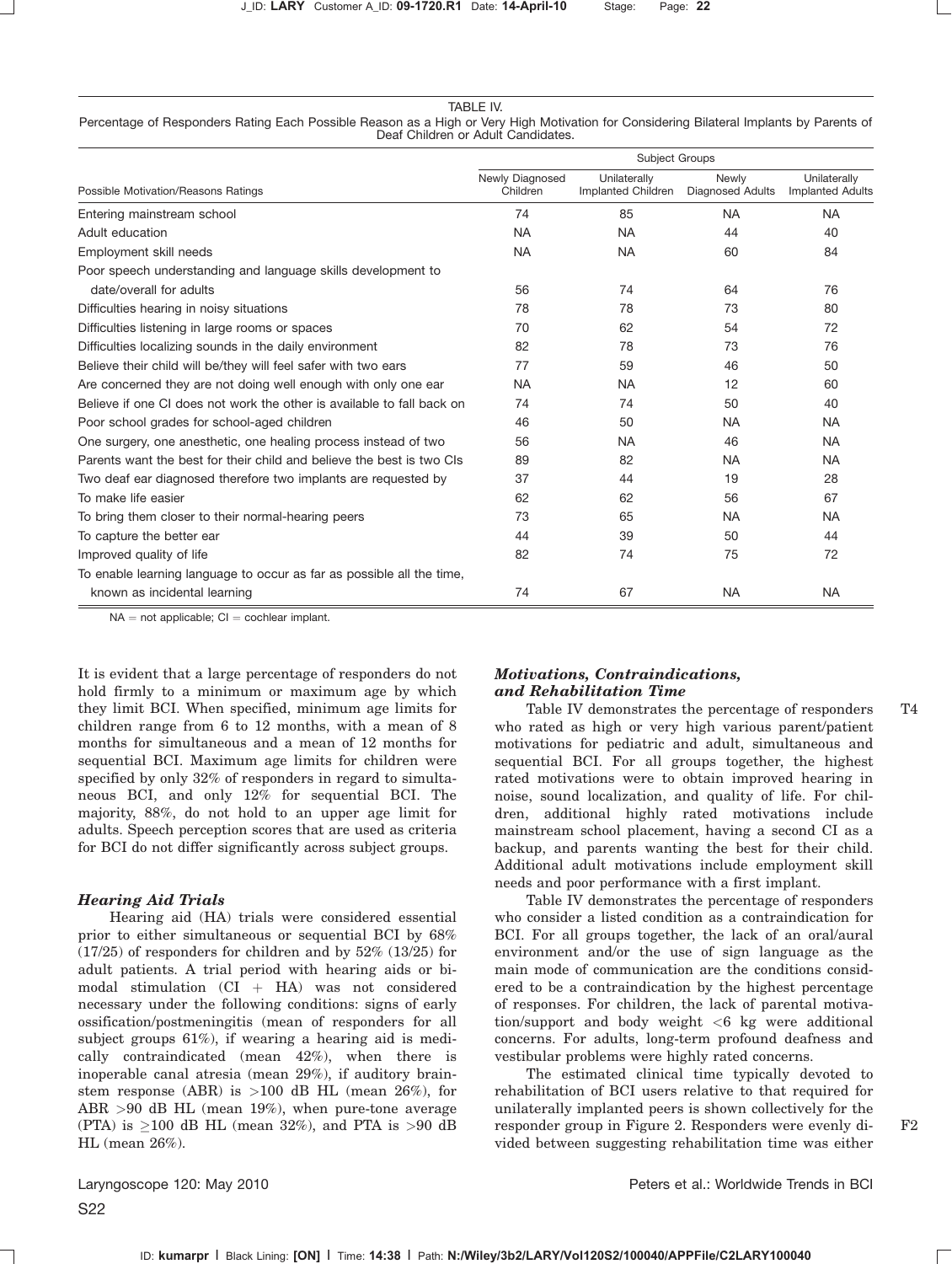| ı<br>٠г |  |  |
|---------|--|--|
|         |  |  |

Percentage of Responders Rating Each Possible Reason as a High or Very High Motivation for Considering Bilateral Implants by Parents of Deaf Children or Adult Candidates.

|                                                                        | <b>Subject Groups</b>       |                                    |                                  |                                         |  |  |
|------------------------------------------------------------------------|-----------------------------|------------------------------------|----------------------------------|-----------------------------------------|--|--|
| Possible Motivation/Reasons Ratings                                    | Newly Diagnosed<br>Children | Unilaterally<br>Implanted Children | Newly<br><b>Diagnosed Adults</b> | Unilaterally<br><b>Implanted Adults</b> |  |  |
| Entering mainstream school                                             | 74                          | 85                                 | <b>NA</b>                        | <b>NA</b>                               |  |  |
| Adult education                                                        | <b>NA</b>                   | <b>NA</b>                          | 44                               | 40                                      |  |  |
| Employment skill needs                                                 | <b>NA</b>                   | <b>NA</b>                          | 60                               | 84                                      |  |  |
| Poor speech understanding and language skills development to           |                             |                                    |                                  |                                         |  |  |
| date/overall for adults                                                | 56                          | 74                                 | 64                               | 76                                      |  |  |
| Difficulties hearing in noisy situations                               | 78                          | 78                                 | 73                               | 80                                      |  |  |
| Difficulties listening in large rooms or spaces                        | 70                          | 62                                 | 54                               | 72                                      |  |  |
| Difficulties localizing sounds in the daily environment                | 82                          | 78                                 | 73                               | 76                                      |  |  |
| Believe their child will be/they will feel safer with two ears         | 77                          | 59                                 | 46                               | 50                                      |  |  |
| Are concerned they are not doing well enough with only one ear         | <b>NA</b>                   | <b>NA</b>                          | 12                               | 60                                      |  |  |
| Believe if one CI does not work the other is available to fall back on | 74                          | 74                                 | 50                               | 40                                      |  |  |
| Poor school grades for school-aged children                            | 46                          | 50                                 | <b>NA</b>                        | <b>NA</b>                               |  |  |
| One surgery, one anesthetic, one healing process instead of two        | 56                          | <b>NA</b>                          | 46                               | <b>NA</b>                               |  |  |
| Parents want the best for their child and believe the best is two CIs  | 89                          | 82                                 | <b>NA</b>                        | <b>NA</b>                               |  |  |
| Two deaf ear diagnosed therefore two implants are requested by         | 37                          | 44                                 | 19                               | 28                                      |  |  |
| To make life easier                                                    | 62                          | 62                                 | 56                               | 67                                      |  |  |
| To bring them closer to their normal-hearing peers                     | 73                          | 65                                 | <b>NA</b>                        | <b>NA</b>                               |  |  |
| To capture the better ear                                              | 44                          | 39                                 | 50                               | 44                                      |  |  |
| Improved quality of life                                               | 82                          | 74                                 | 75                               | 72                                      |  |  |
| To enable learning language to occur as far as possible all the time,  |                             |                                    |                                  |                                         |  |  |
| known as incidental learning                                           | 74                          | 67                                 | <b>NA</b>                        | <b>NA</b>                               |  |  |

 $NA = not applicable; Cl = cochlear implant.$ 

It is evident that a large percentage of responders do not hold firmly to a minimum or maximum age by which they limit BCI. When specified, minimum age limits for children range from 6 to 12 months, with a mean of 8 months for simultaneous and a mean of 12 months for sequential BCI. Maximum age limits for children were specified by only 32% of responders in regard to simultaneous BCI, and only 12% for sequential BCI. The majority, 88%, do not hold to an upper age limit for adults. Speech perception scores that are used as criteria for BCI do not differ significantly across subject groups.

#### Hearing Aid Trials

Hearing aid (HA) trials were considered essential prior to either simultaneous or sequential BCI by 68%  $(17/25)$  of responders for children and by  $52\%$   $(13/25)$  for adult patients. A trial period with hearing aids or bimodal stimulation  $(CI + HA)$  was not considered necessary under the following conditions: signs of early ossification/postmeningitis (mean of responders for all subject groups 61%), if wearing a hearing aid is medically contraindicated (mean 42%), when there is inoperable canal atresia (mean 29%), if auditory brainstem response (ABR) is  $>100$  dB HL (mean 26%), for ABR  $>90$  dB HL (mean 19%), when pure-tone average (PTA) is  $\geq 100$  dB HL (mean 32%), and PTA is  $>90$  dB HL (mean 26%).

#### Motivations, Contraindications, and Rehabilitation Time

Table IV demonstrates the percentage of responders T4 who rated as high or very high various parent/patient motivations for pediatric and adult, simultaneous and sequential BCI. For all groups together, the highest rated motivations were to obtain improved hearing in noise, sound localization, and quality of life. For children, additional highly rated motivations include mainstream school placement, having a second CI as a backup, and parents wanting the best for their child. Additional adult motivations include employment skill needs and poor performance with a first implant.

Table IV demonstrates the percentage of responders who consider a listed condition as a contraindication for BCI. For all groups together, the lack of an oral/aural environment and/or the use of sign language as the main mode of communication are the conditions considered to be a contraindication by the highest percentage of responses. For children, the lack of parental motivation/support and body weight <6 kg were additional concerns. For adults, long-term profound deafness and vestibular problems were highly rated concerns.

The estimated clinical time typically devoted to rehabilitation of BCI users relative to that required for unilaterally implanted peers is shown collectively for the responder group in Figure 2. Responders were evenly di- F2 vided between suggesting rehabilitation time was either

S22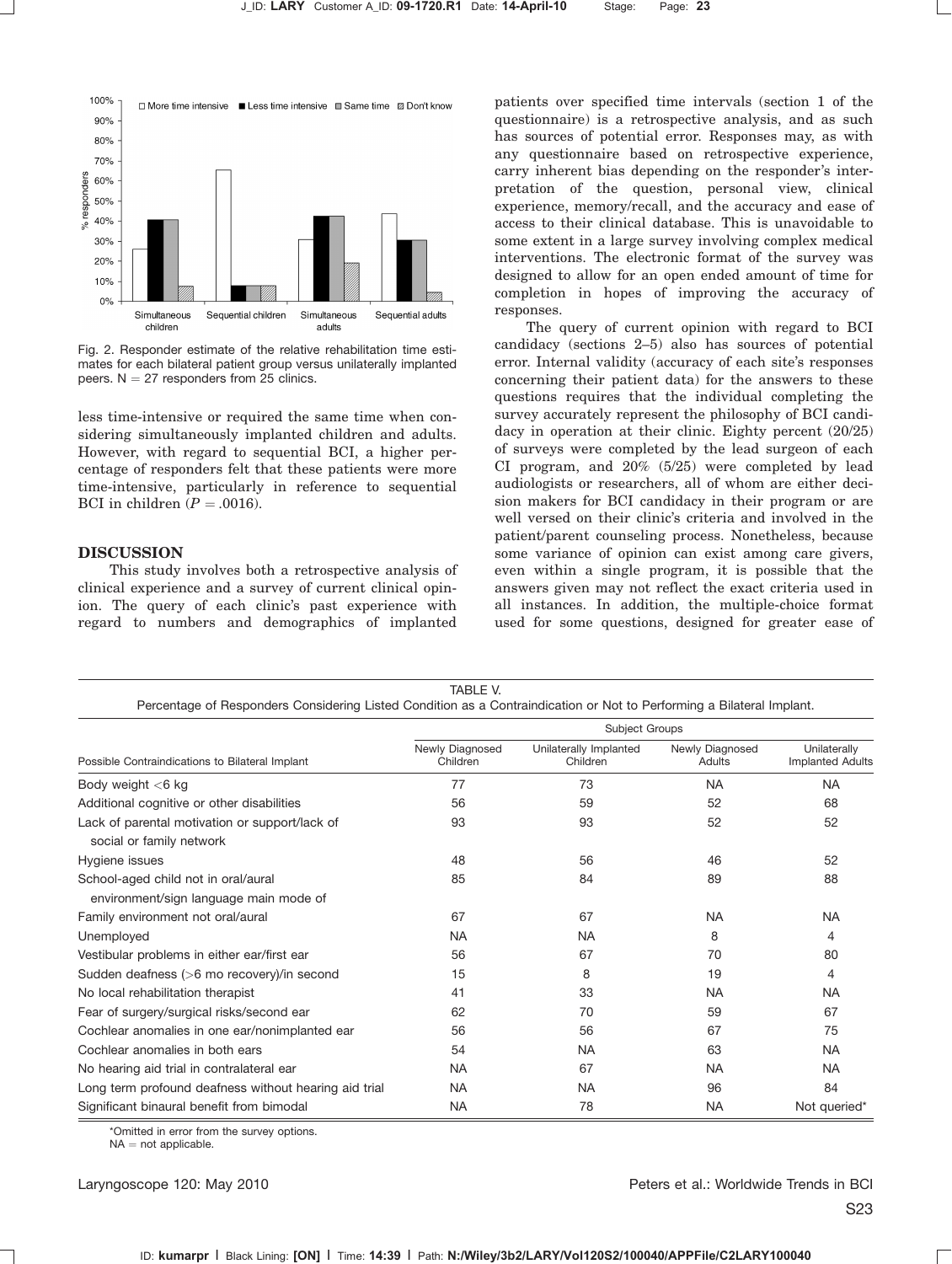

Fig. 2. Responder estimate of the relative rehabilitation time estimates for each bilateral patient group versus unilaterally implanted peers.  $N = 27$  responders from 25 clinics.

less time-intensive or required the same time when considering simultaneously implanted children and adults. However, with regard to sequential BCI, a higher percentage of responders felt that these patients were more time-intensive, particularly in reference to sequential BCI in children  $(P = .0016)$ .

#### DISCUSSION

This study involves both a retrospective analysis of clinical experience and a survey of current clinical opinion. The query of each clinic's past experience with regard to numbers and demographics of implanted

patients over specified time intervals (section 1 of the questionnaire) is a retrospective analysis, and as such has sources of potential error. Responses may, as with any questionnaire based on retrospective experience, carry inherent bias depending on the responder's interpretation of the question, personal view, clinical experience, memory/recall, and the accuracy and ease of access to their clinical database. This is unavoidable to some extent in a large survey involving complex medical interventions. The electronic format of the survey was designed to allow for an open ended amount of time for completion in hopes of improving the accuracy of responses.

The query of current opinion with regard to BCI candidacy (sections 2–5) also has sources of potential error. Internal validity (accuracy of each site's responses concerning their patient data) for the answers to these questions requires that the individual completing the survey accurately represent the philosophy of BCI candidacy in operation at their clinic. Eighty percent (20/25) of surveys were completed by the lead surgeon of each CI program, and 20% (5/25) were completed by lead audiologists or researchers, all of whom are either decision makers for BCI candidacy in their program or are well versed on their clinic's criteria and involved in the patient/parent counseling process. Nonetheless, because some variance of opinion can exist among care givers, even within a single program, it is possible that the answers given may not reflect the exact criteria used in all instances. In addition, the multiple-choice format used for some questions, designed for greater ease of

| TABLE V.<br>Percentage of Responders Considering Listed Condition as a Contraindication or Not to Performing a Bilateral Implant. |                             |                                    |                           |                                         |  |  |  |
|-----------------------------------------------------------------------------------------------------------------------------------|-----------------------------|------------------------------------|---------------------------|-----------------------------------------|--|--|--|
|                                                                                                                                   | <b>Subject Groups</b>       |                                    |                           |                                         |  |  |  |
| Possible Contraindications to Bilateral Implant                                                                                   | Newly Diagnosed<br>Children | Unilaterally Implanted<br>Children | Newly Diagnosed<br>Adults | Unilaterally<br><b>Implanted Adults</b> |  |  |  |
| Body weight $<$ 6 kg                                                                                                              | 77                          | 73                                 | <b>NA</b>                 | <b>NA</b>                               |  |  |  |
| Additional cognitive or other disabilities                                                                                        | 56                          | 59                                 | 52                        | 68                                      |  |  |  |
| Lack of parental motivation or support/lack of<br>social or family network                                                        | 93                          | 93                                 | 52                        | 52                                      |  |  |  |
| Hygiene issues                                                                                                                    | 48                          | 56                                 | 46                        | 52                                      |  |  |  |
| School-aged child not in oral/aural<br>environment/sign language main mode of                                                     | 85                          | 84                                 | 89                        | 88                                      |  |  |  |
| Family environment not oral/aural                                                                                                 | 67                          | 67                                 | <b>NA</b>                 | <b>NA</b>                               |  |  |  |
| Unemployed                                                                                                                        | <b>NA</b>                   | <b>NA</b>                          | 8                         | 4                                       |  |  |  |
| Vestibular problems in either ear/first ear                                                                                       | 56                          | 67                                 | 70                        | 80                                      |  |  |  |
| Sudden deafness (>6 mo recovery)/in second                                                                                        | 15                          | 8                                  | 19                        | 4                                       |  |  |  |
| No local rehabilitation therapist                                                                                                 | 41                          | 33                                 | <b>NA</b>                 | <b>NA</b>                               |  |  |  |
| Fear of surgery/surgical risks/second ear                                                                                         | 62                          | 70                                 | 59                        | 67                                      |  |  |  |
| Cochlear anomalies in one ear/nonimplanted ear                                                                                    | 56                          | 56                                 | 67                        | 75                                      |  |  |  |
| Cochlear anomalies in both ears                                                                                                   | 54                          | <b>NA</b>                          | 63                        | <b>NA</b>                               |  |  |  |
| No hearing aid trial in contralateral ear                                                                                         | <b>NA</b>                   | 67                                 | <b>NA</b>                 | <b>NA</b>                               |  |  |  |
| Long term profound deafness without hearing aid trial                                                                             | <b>NA</b>                   | <b>NA</b>                          | 96                        | 84                                      |  |  |  |
| Significant binaural benefit from bimodal                                                                                         | <b>NA</b>                   | 78                                 | <b>NA</b>                 | Not queried*                            |  |  |  |

\*Omitted in error from the survey options.

 $NA = not$  applicable.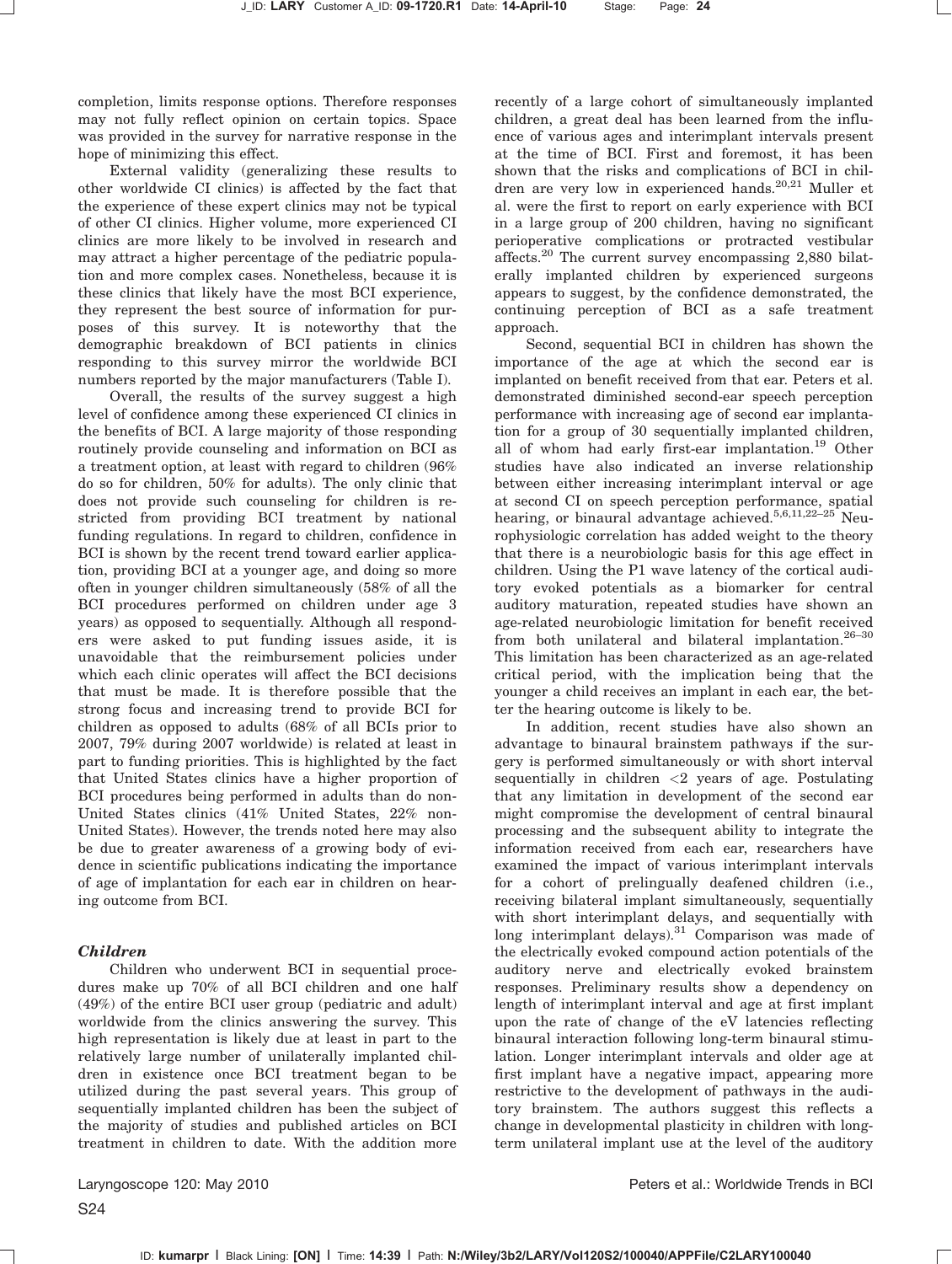completion, limits response options. Therefore responses may not fully reflect opinion on certain topics. Space was provided in the survey for narrative response in the hope of minimizing this effect.

External validity (generalizing these results to other worldwide CI clinics) is affected by the fact that the experience of these expert clinics may not be typical of other CI clinics. Higher volume, more experienced CI clinics are more likely to be involved in research and may attract a higher percentage of the pediatric population and more complex cases. Nonetheless, because it is these clinics that likely have the most BCI experience, they represent the best source of information for purposes of this survey. It is noteworthy that the demographic breakdown of BCI patients in clinics responding to this survey mirror the worldwide BCI numbers reported by the major manufacturers (Table I).

Overall, the results of the survey suggest a high level of confidence among these experienced CI clinics in the benefits of BCI. A large majority of those responding routinely provide counseling and information on BCI as a treatment option, at least with regard to children (96% do so for children, 50% for adults). The only clinic that does not provide such counseling for children is restricted from providing BCI treatment by national funding regulations. In regard to children, confidence in BCI is shown by the recent trend toward earlier application, providing BCI at a younger age, and doing so more often in younger children simultaneously (58% of all the BCI procedures performed on children under age 3 years) as opposed to sequentially. Although all responders were asked to put funding issues aside, it is unavoidable that the reimbursement policies under which each clinic operates will affect the BCI decisions that must be made. It is therefore possible that the strong focus and increasing trend to provide BCI for children as opposed to adults (68% of all BCIs prior to 2007, 79% during 2007 worldwide) is related at least in part to funding priorities. This is highlighted by the fact that United States clinics have a higher proportion of BCI procedures being performed in adults than do non-United States clinics (41% United States, 22% non-United States). However, the trends noted here may also be due to greater awareness of a growing body of evidence in scientific publications indicating the importance of age of implantation for each ear in children on hearing outcome from BCI.

## Children

Children who underwent BCI in sequential procedures make up 70% of all BCI children and one half (49%) of the entire BCI user group (pediatric and adult) worldwide from the clinics answering the survey. This high representation is likely due at least in part to the relatively large number of unilaterally implanted children in existence once BCI treatment began to be utilized during the past several years. This group of sequentially implanted children has been the subject of the majority of studies and published articles on BCI treatment in children to date. With the addition more

recently of a large cohort of simultaneously implanted children, a great deal has been learned from the influence of various ages and interimplant intervals present at the time of BCI. First and foremost, it has been shown that the risks and complications of BCI in children are very low in experienced hands.<sup>20,21</sup> Muller et al. were the first to report on early experience with BCI in a large group of 200 children, having no significant perioperative complications or protracted vestibular affects.20 The current survey encompassing 2,880 bilaterally implanted children by experienced surgeons appears to suggest, by the confidence demonstrated, the continuing perception of BCI as a safe treatment approach.

Second, sequential BCI in children has shown the importance of the age at which the second ear is implanted on benefit received from that ear. Peters et al. demonstrated diminished second-ear speech perception performance with increasing age of second ear implantation for a group of 30 sequentially implanted children, all of whom had early first-ear implantation.<sup>19</sup> Other studies have also indicated an inverse relationship between either increasing interimplant interval or age at second CI on speech perception performance, spatial hearing, or binaural advantage achieved.<sup>5,6,11,22-25</sup> Neurophysiologic correlation has added weight to the theory that there is a neurobiologic basis for this age effect in children. Using the P1 wave latency of the cortical auditory evoked potentials as a biomarker for central auditory maturation, repeated studies have shown an age-related neurobiologic limitation for benefit received from both unilateral and bilateral implantation.<sup>26-30</sup> This limitation has been characterized as an age-related critical period, with the implication being that the younger a child receives an implant in each ear, the better the hearing outcome is likely to be.

In addition, recent studies have also shown an advantage to binaural brainstem pathways if the surgery is performed simultaneously or with short interval sequentially in children  $\langle 2 \rangle$  years of age. Postulating that any limitation in development of the second ear might compromise the development of central binaural processing and the subsequent ability to integrate the information received from each ear, researchers have examined the impact of various interimplant intervals for a cohort of prelingually deafened children (i.e., receiving bilateral implant simultaneously, sequentially with short interimplant delays, and sequentially with long interimplant delays).<sup>31</sup> Comparison was made of the electrically evoked compound action potentials of the auditory nerve and electrically evoked brainstem responses. Preliminary results show a dependency on length of interimplant interval and age at first implant upon the rate of change of the eV latencies reflecting binaural interaction following long-term binaural stimulation. Longer interimplant intervals and older age at first implant have a negative impact, appearing more restrictive to the development of pathways in the auditory brainstem. The authors suggest this reflects a change in developmental plasticity in children with longterm unilateral implant use at the level of the auditory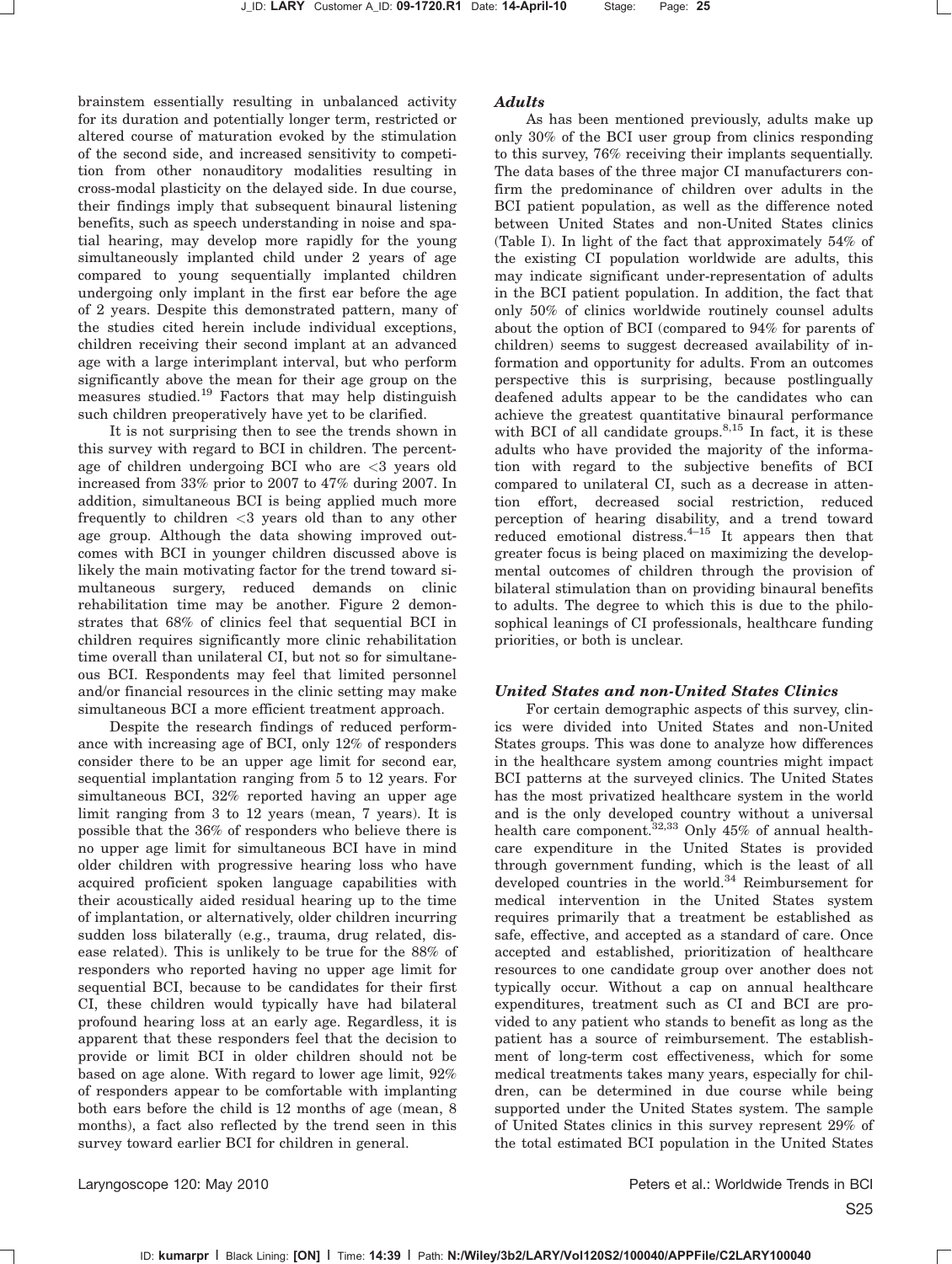brainstem essentially resulting in unbalanced activity for its duration and potentially longer term, restricted or altered course of maturation evoked by the stimulation of the second side, and increased sensitivity to competition from other nonauditory modalities resulting in cross-modal plasticity on the delayed side. In due course, their findings imply that subsequent binaural listening benefits, such as speech understanding in noise and spatial hearing, may develop more rapidly for the young simultaneously implanted child under 2 years of age compared to young sequentially implanted children undergoing only implant in the first ear before the age of 2 years. Despite this demonstrated pattern, many of the studies cited herein include individual exceptions, children receiving their second implant at an advanced age with a large interimplant interval, but who perform significantly above the mean for their age group on the measures studied.<sup>19</sup> Factors that may help distinguish such children preoperatively have yet to be clarified.

It is not surprising then to see the trends shown in this survey with regard to BCI in children. The percentage of children undergoing BCI who are <3 years old increased from 33% prior to 2007 to 47% during 2007. In addition, simultaneous BCI is being applied much more frequently to children  $\langle 3 \rangle$  years old than to any other age group. Although the data showing improved outcomes with BCI in younger children discussed above is likely the main motivating factor for the trend toward simultaneous surgery, reduced demands on clinic rehabilitation time may be another. Figure 2 demonstrates that 68% of clinics feel that sequential BCI in children requires significantly more clinic rehabilitation time overall than unilateral CI, but not so for simultaneous BCI. Respondents may feel that limited personnel and/or financial resources in the clinic setting may make simultaneous BCI a more efficient treatment approach.

Despite the research findings of reduced performance with increasing age of BCI, only 12% of responders consider there to be an upper age limit for second ear, sequential implantation ranging from 5 to 12 years. For simultaneous BCI, 32% reported having an upper age limit ranging from 3 to 12 years (mean, 7 years). It is possible that the 36% of responders who believe there is no upper age limit for simultaneous BCI have in mind older children with progressive hearing loss who have acquired proficient spoken language capabilities with their acoustically aided residual hearing up to the time of implantation, or alternatively, older children incurring sudden loss bilaterally (e.g., trauma, drug related, disease related). This is unlikely to be true for the 88% of responders who reported having no upper age limit for sequential BCI, because to be candidates for their first CI, these children would typically have had bilateral profound hearing loss at an early age. Regardless, it is apparent that these responders feel that the decision to provide or limit BCI in older children should not be based on age alone. With regard to lower age limit, 92% of responders appear to be comfortable with implanting both ears before the child is 12 months of age (mean, 8 months), a fact also reflected by the trend seen in this survey toward earlier BCI for children in general.

#### **Adults**

As has been mentioned previously, adults make up only 30% of the BCI user group from clinics responding to this survey, 76% receiving their implants sequentially. The data bases of the three major CI manufacturers confirm the predominance of children over adults in the BCI patient population, as well as the difference noted between United States and non-United States clinics (Table I). In light of the fact that approximately 54% of the existing CI population worldwide are adults, this may indicate significant under-representation of adults in the BCI patient population. In addition, the fact that only 50% of clinics worldwide routinely counsel adults about the option of BCI (compared to 94% for parents of children) seems to suggest decreased availability of information and opportunity for adults. From an outcomes perspective this is surprising, because postlingually deafened adults appear to be the candidates who can achieve the greatest quantitative binaural performance with BCI of all candidate groups. $8,15$  In fact, it is these adults who have provided the majority of the information with regard to the subjective benefits of BCI compared to unilateral CI, such as a decrease in attention effort, decreased social restriction, reduced perception of hearing disability, and a trend toward reduced emotional distress. $4-15$  It appears then that greater focus is being placed on maximizing the developmental outcomes of children through the provision of bilateral stimulation than on providing binaural benefits to adults. The degree to which this is due to the philosophical leanings of CI professionals, healthcare funding priorities, or both is unclear.

#### United States and non-United States Clinics

For certain demographic aspects of this survey, clinics were divided into United States and non-United States groups. This was done to analyze how differences in the healthcare system among countries might impact BCI patterns at the surveyed clinics. The United States has the most privatized healthcare system in the world and is the only developed country without a universal health care component.  $32,33$  Only 45% of annual healthcare expenditure in the United States is provided through government funding, which is the least of all developed countries in the world.<sup>34</sup> Reimbursement for medical intervention in the United States system requires primarily that a treatment be established as safe, effective, and accepted as a standard of care. Once accepted and established, prioritization of healthcare resources to one candidate group over another does not typically occur. Without a cap on annual healthcare expenditures, treatment such as CI and BCI are provided to any patient who stands to benefit as long as the patient has a source of reimbursement. The establishment of long-term cost effectiveness, which for some medical treatments takes many years, especially for children, can be determined in due course while being supported under the United States system. The sample of United States clinics in this survey represent 29% of the total estimated BCI population in the United States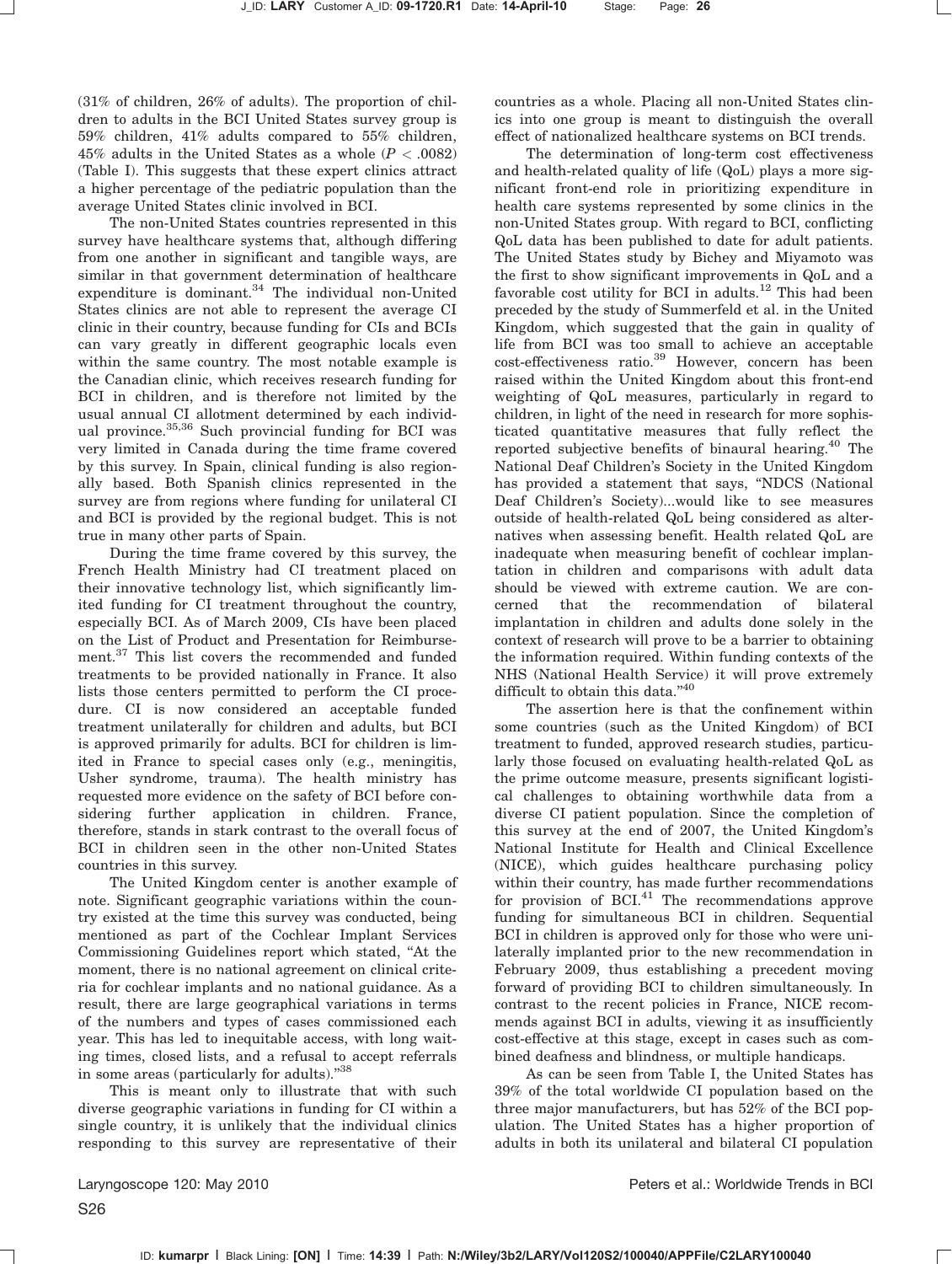(31% of children, 26% of adults). The proportion of children to adults in the BCI United States survey group is 59% children, 41% adults compared to 55% children, 45% adults in the United States as a whole  $(P < .0082)$ (Table I). This suggests that these expert clinics attract a higher percentage of the pediatric population than the average United States clinic involved in BCI.

The non-United States countries represented in this survey have healthcare systems that, although differing from one another in significant and tangible ways, are similar in that government determination of healthcare expenditure is dominant.<sup>34</sup> The individual non-United States clinics are not able to represent the average CI clinic in their country, because funding for CIs and BCIs can vary greatly in different geographic locals even within the same country. The most notable example is the Canadian clinic, which receives research funding for BCI in children, and is therefore not limited by the usual annual CI allotment determined by each individual province.35,36 Such provincial funding for BCI was very limited in Canada during the time frame covered by this survey. In Spain, clinical funding is also regionally based. Both Spanish clinics represented in the survey are from regions where funding for unilateral CI and BCI is provided by the regional budget. This is not true in many other parts of Spain.

During the time frame covered by this survey, the French Health Ministry had CI treatment placed on their innovative technology list, which significantly limited funding for CI treatment throughout the country, especially BCI. As of March 2009, CIs have been placed on the List of Product and Presentation for Reimbursement.<sup>37</sup> This list covers the recommended and funded treatments to be provided nationally in France. It also lists those centers permitted to perform the CI procedure. CI is now considered an acceptable funded treatment unilaterally for children and adults, but BCI is approved primarily for adults. BCI for children is limited in France to special cases only (e.g., meningitis, Usher syndrome, trauma). The health ministry has requested more evidence on the safety of BCI before considering further application in children. France, therefore, stands in stark contrast to the overall focus of BCI in children seen in the other non-United States countries in this survey.

The United Kingdom center is another example of note. Significant geographic variations within the country existed at the time this survey was conducted, being mentioned as part of the Cochlear Implant Services Commissioning Guidelines report which stated, ''At the moment, there is no national agreement on clinical criteria for cochlear implants and no national guidance. As a result, there are large geographical variations in terms of the numbers and types of cases commissioned each year. This has led to inequitable access, with long waiting times, closed lists, and a refusal to accept referrals in some areas (particularly for adults)."38

This is meant only to illustrate that with such diverse geographic variations in funding for CI within a single country, it is unlikely that the individual clinics responding to this survey are representative of their

countries as a whole. Placing all non-United States clinics into one group is meant to distinguish the overall effect of nationalized healthcare systems on BCI trends.

The determination of long-term cost effectiveness and health-related quality of life (QoL) plays a more significant front-end role in prioritizing expenditure in health care systems represented by some clinics in the non-United States group. With regard to BCI, conflicting QoL data has been published to date for adult patients. The United States study by Bichey and Miyamoto was the first to show significant improvements in QoL and a favorable cost utility for BCI in adults.<sup>12</sup> This had been preceded by the study of Summerfeld et al. in the United Kingdom, which suggested that the gain in quality of life from BCI was too small to achieve an acceptable cost-effectiveness ratio.<sup>39</sup> However, concern has been raised within the United Kingdom about this front-end weighting of QoL measures, particularly in regard to children, in light of the need in research for more sophisticated quantitative measures that fully reflect the reported subjective benefits of binaural hearing. $40$  The National Deaf Children's Society in the United Kingdom has provided a statement that says, ''NDCS (National Deaf Children's Society)...would like to see measures outside of health-related QoL being considered as alternatives when assessing benefit. Health related QoL are inadequate when measuring benefit of cochlear implantation in children and comparisons with adult data should be viewed with extreme caution. We are concerned that the recommendation of bilateral implantation in children and adults done solely in the context of research will prove to be a barrier to obtaining the information required. Within funding contexts of the NHS (National Health Service) it will prove extremely difficult to obtain this data."<sup>40</sup>

The assertion here is that the confinement within some countries (such as the United Kingdom) of BCI treatment to funded, approved research studies, particularly those focused on evaluating health-related QoL as the prime outcome measure, presents significant logistical challenges to obtaining worthwhile data from a diverse CI patient population. Since the completion of this survey at the end of 2007, the United Kingdom's National Institute for Health and Clinical Excellence (NICE), which guides healthcare purchasing policy within their country, has made further recommendations for provision of  $BCl<sup>41</sup>$ . The recommendations approve funding for simultaneous BCI in children. Sequential BCI in children is approved only for those who were unilaterally implanted prior to the new recommendation in February 2009, thus establishing a precedent moving forward of providing BCI to children simultaneously. In contrast to the recent policies in France, NICE recommends against BCI in adults, viewing it as insufficiently cost-effective at this stage, except in cases such as combined deafness and blindness, or multiple handicaps.

As can be seen from Table I, the United States has 39% of the total worldwide CI population based on the three major manufacturers, but has 52% of the BCI population. The United States has a higher proportion of adults in both its unilateral and bilateral CI population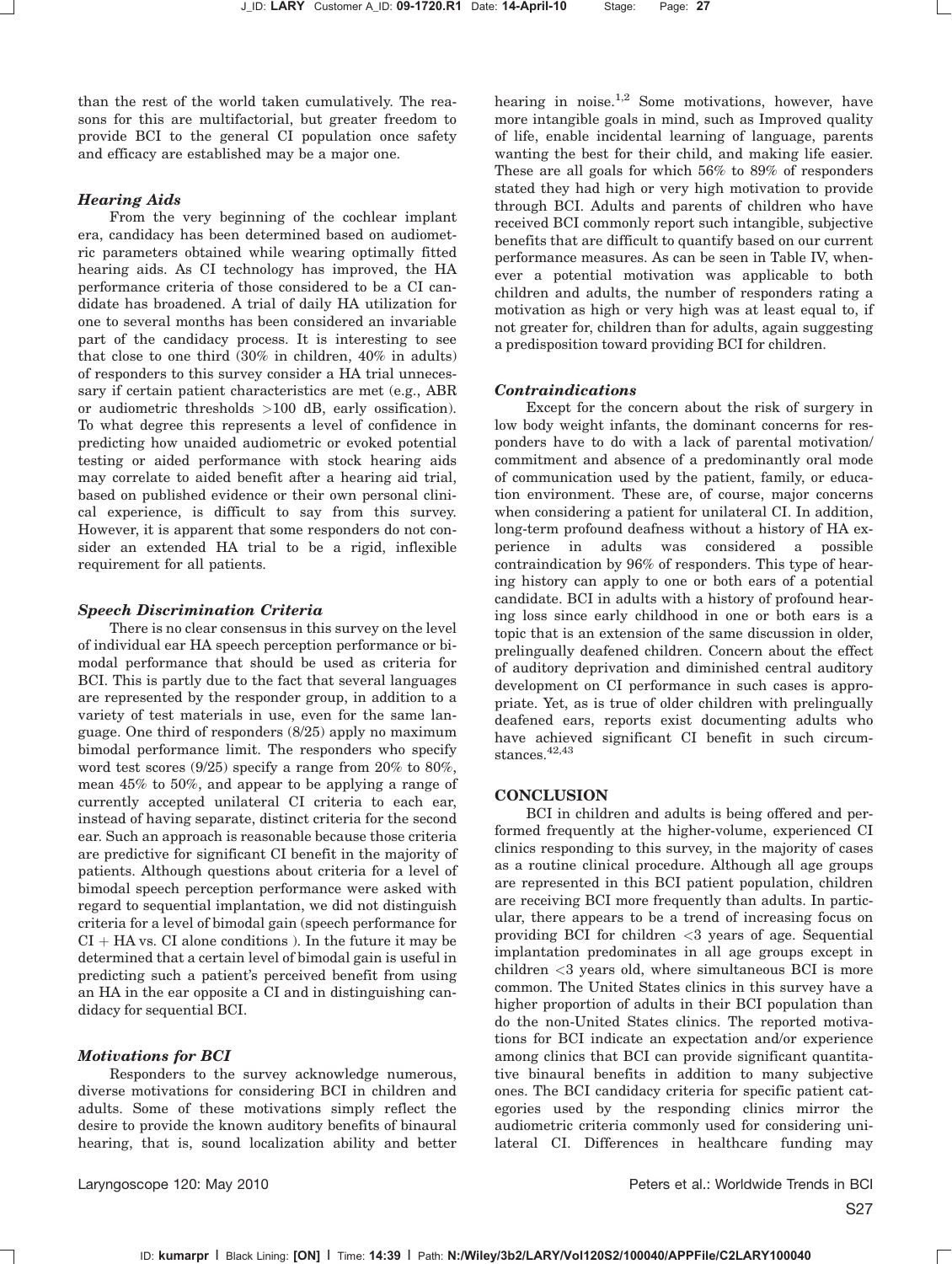than the rest of the world taken cumulatively. The reasons for this are multifactorial, but greater freedom to provide BCI to the general CI population once safety and efficacy are established may be a major one.

## Hearing Aids

From the very beginning of the cochlear implant era, candidacy has been determined based on audiometric parameters obtained while wearing optimally fitted hearing aids. As CI technology has improved, the HA performance criteria of those considered to be a CI candidate has broadened. A trial of daily HA utilization for one to several months has been considered an invariable part of the candidacy process. It is interesting to see that close to one third (30% in children, 40% in adults) of responders to this survey consider a HA trial unnecessary if certain patient characteristics are met (e.g., ABR or audiometric thresholds >100 dB, early ossification). To what degree this represents a level of confidence in predicting how unaided audiometric or evoked potential testing or aided performance with stock hearing aids may correlate to aided benefit after a hearing aid trial, based on published evidence or their own personal clinical experience, is difficult to say from this survey. However, it is apparent that some responders do not consider an extended HA trial to be a rigid, inflexible requirement for all patients.

## Speech Discrimination Criteria

There is no clear consensus in this survey on the level of individual ear HA speech perception performance or bimodal performance that should be used as criteria for BCI. This is partly due to the fact that several languages are represented by the responder group, in addition to a variety of test materials in use, even for the same language. One third of responders (8/25) apply no maximum bimodal performance limit. The responders who specify word test scores (9/25) specify a range from 20% to 80%, mean 45% to 50%, and appear to be applying a range of currently accepted unilateral CI criteria to each ear, instead of having separate, distinct criteria for the second ear. Such an approach is reasonable because those criteria are predictive for significant CI benefit in the majority of patients. Although questions about criteria for a level of bimodal speech perception performance were asked with regard to sequential implantation, we did not distinguish criteria for a level of bimodal gain (speech performance for  $CI + HA$  vs.  $CI$  alone conditions ). In the future it may be determined that a certain level of bimodal gain is useful in predicting such a patient's perceived benefit from using an HA in the ear opposite a CI and in distinguishing candidacy for sequential BCI.

## Motivations for BCI

Responders to the survey acknowledge numerous, diverse motivations for considering BCI in children and adults. Some of these motivations simply reflect the desire to provide the known auditory benefits of binaural hearing, that is, sound localization ability and better hearing in noise.<sup>1,2</sup> Some motivations, however, have more intangible goals in mind, such as Improved quality of life, enable incidental learning of language, parents wanting the best for their child, and making life easier. These are all goals for which 56% to 89% of responders stated they had high or very high motivation to provide through BCI. Adults and parents of children who have received BCI commonly report such intangible, subjective benefits that are difficult to quantify based on our current performance measures. As can be seen in Table IV, whenever a potential motivation was applicable to both children and adults, the number of responders rating a motivation as high or very high was at least equal to, if not greater for, children than for adults, again suggesting a predisposition toward providing BCI for children.

## Contraindications

Except for the concern about the risk of surgery in low body weight infants, the dominant concerns for responders have to do with a lack of parental motivation/ commitment and absence of a predominantly oral mode of communication used by the patient, family, or education environment. These are, of course, major concerns when considering a patient for unilateral CI. In addition, long-term profound deafness without a history of HA experience in adults was considered a possible contraindication by 96% of responders. This type of hearing history can apply to one or both ears of a potential candidate. BCI in adults with a history of profound hearing loss since early childhood in one or both ears is a topic that is an extension of the same discussion in older, prelingually deafened children. Concern about the effect of auditory deprivation and diminished central auditory development on CI performance in such cases is appropriate. Yet, as is true of older children with prelingually deafened ears, reports exist documenting adults who have achieved significant CI benefit in such circumstances. $42,43$ 

## **CONCLUSION**

BCI in children and adults is being offered and performed frequently at the higher-volume, experienced CI clinics responding to this survey, in the majority of cases as a routine clinical procedure. Although all age groups are represented in this BCI patient population, children are receiving BCI more frequently than adults. In particular, there appears to be a trend of increasing focus on providing BCI for children  $\langle 3 \rangle$  years of age. Sequential implantation predominates in all age groups except in children <3 years old, where simultaneous BCI is more common. The United States clinics in this survey have a higher proportion of adults in their BCI population than do the non-United States clinics. The reported motivations for BCI indicate an expectation and/or experience among clinics that BCI can provide significant quantitative binaural benefits in addition to many subjective ones. The BCI candidacy criteria for specific patient categories used by the responding clinics mirror the audiometric criteria commonly used for considering unilateral CI. Differences in healthcare funding may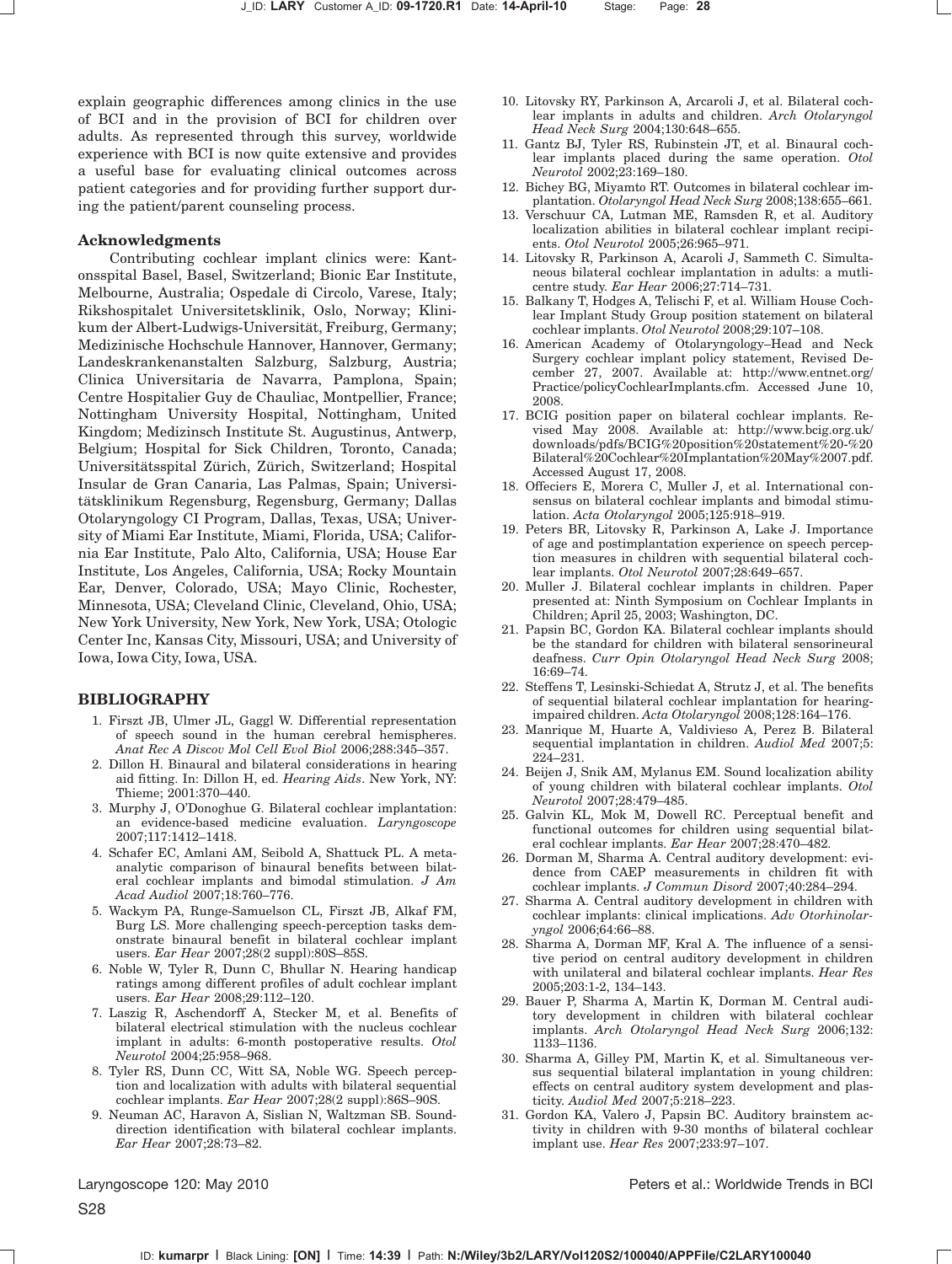explain geographic differences among clinics in the use of BCI and in the provision of BCI for children over adults. As represented through this survey, worldwide experience with BCI is now quite extensive and provides a useful base for evaluating clinical outcomes across patient categories and for providing further support during the patient/parent counseling process.

#### Acknowledgments

Contributing cochlear implant clinics were: Kantonsspital Basel, Basel, Switzerland; Bionic Ear Institute, Melbourne, Australia; Ospedale di Circolo, Varese, Italy; Rikshospitalet Universitetsklinik, Oslo, Norway; Klinikum der Albert-Ludwigs-Universität, Freiburg, Germany; Medizinische Hochschule Hannover, Hannover, Germany; Landeskrankenanstalten Salzburg, Salzburg, Austria; Clinica Universitaria de Navarra, Pamplona, Spain; Centre Hospitalier Guy de Chauliac, Montpellier, France; Nottingham University Hospital, Nottingham, United Kingdom; Medizinsch Institute St. Augustinus, Antwerp, Belgium; Hospital for Sick Children, Toronto, Canada; Universitätsspital Zürich, Zürich, Switzerland; Hospital Insular de Gran Canaria, Las Palmas, Spain; Universitätsklinikum Regensburg, Regensburg, Germany; Dallas Otolaryngology CI Program, Dallas, Texas, USA; University of Miami Ear Institute, Miami, Florida, USA; California Ear Institute, Palo Alto, California, USA; House Ear Institute, Los Angeles, California, USA; Rocky Mountain Ear, Denver, Colorado, USA; Mayo Clinic, Rochester, Minnesota, USA; Cleveland Clinic, Cleveland, Ohio, USA; New York University, New York, New York, USA; Otologic Center Inc, Kansas City, Missouri, USA; and University of Iowa, Iowa City, Iowa, USA.

## BIBLIOGRAPHY

- 1. Firszt JB, Ulmer JL, Gaggl W. Differential representation of speech sound in the human cerebral hemispheres. Anat Rec A Discov Mol Cell Evol Biol 2006;288:345–357.
- 2. Dillon H. Binaural and bilateral considerations in hearing aid fitting. In: Dillon H, ed. Hearing Aids. New York, NY: Thieme; 2001:370–440.
- 3. Murphy J, O'Donoghue G. Bilateral cochlear implantation: an evidence-based medicine evaluation. Laryngoscope 2007;117:1412–1418.
- 4. Schafer EC, Amlani AM, Seibold A, Shattuck PL. A metaanalytic comparison of binaural benefits between bilateral cochlear implants and bimodal stimulation. J Am Acad Audiol 2007;18:760–776.
- 5. Wackym PA, Runge-Samuelson CL, Firszt JB, Alkaf FM, Burg LS. More challenging speech-perception tasks demonstrate binaural benefit in bilateral cochlear implant users. Ear Hear 2007;28(2 suppl):80S–85S.
- 6. Noble W, Tyler R, Dunn C, Bhullar N. Hearing handicap ratings among different profiles of adult cochlear implant users. Ear Hear 2008;29:112–120.
- 7. Laszig R, Aschendorff A, Stecker M, et al. Benefits of bilateral electrical stimulation with the nucleus cochlear implant in adults: 6-month postoperative results. Otol Neurotol 2004;25:958–968.
- 8. Tyler RS, Dunn CC, Witt SA, Noble WG. Speech perception and localization with adults with bilateral sequential cochlear implants. Ear Hear 2007;28(2 suppl):86S–90S.
- 9. Neuman AC, Haravon A, Sislian N, Waltzman SB. Sounddirection identification with bilateral cochlear implants. Ear Hear 2007;28:73–82.

- 10. Litovsky RY, Parkinson A, Arcaroli J, et al. Bilateral cochlear implants in adults and children. Arch Otolaryngol Head Neck Surg 2004;130:648–655.
- 11. Gantz BJ, Tyler RS, Rubinstein JT, et al. Binaural cochlear implants placed during the same operation. Otol Neurotol 2002;23:169–180.
- 12. Bichey BG, Miyamto RT. Outcomes in bilateral cochlear implantation. Otolaryngol Head Neck Surg 2008;138:655–661.
- 13. Verschuur CA, Lutman ME, Ramsden R, et al. Auditory localization abilities in bilateral cochlear implant recipients. Otol Neurotol 2005;26:965–971.
- 14. Litovsky R, Parkinson A, Acaroli J, Sammeth C. Simultaneous bilateral cochlear implantation in adults: a mutlicentre study. Ear Hear 2006;27:714–731.
- 15. Balkany T, Hodges A, Telischi F, et al. William House Cochlear Implant Study Group position statement on bilateral cochlear implants. Otol Neurotol 2008;29:107–108.
- 16. American Academy of Otolaryngology–Head and Neck Surgery cochlear implant policy statement, Revised December 27, 2007. Available at: http://www.entnet.org/ Practice/policyCochlearImplants.cfm. Accessed June 10, 2008.
- 17. BCIG position paper on bilateral cochlear implants. Revised May 2008. Available at: http://www.bcig.org.uk/ downloads/pdfs/BCIG%20position%20statement%20-%20 Bilateral%20Cochlear%20Implantation%20May%2007.pdf. Accessed August 17, 2008.
- 18. Offeciers E, Morera C, Muller J, et al. International consensus on bilateral cochlear implants and bimodal stimulation. Acta Otolaryngol 2005;125:918–919.
- 19. Peters BR, Litovsky R, Parkinson A, Lake J. Importance of age and postimplantation experience on speech perception measures in children with sequential bilateral cochlear implants. Otol Neurotol 2007;28:649–657.
- 20. Muller J. Bilateral cochlear implants in children. Paper presented at: Ninth Symposium on Cochlear Implants in Children; April 25, 2003; Washington, DC.
- 21. Papsin BC, Gordon KA. Bilateral cochlear implants should be the standard for children with bilateral sensorineural deafness. Curr Opin Otolaryngol Head Neck Surg 2008; 16:69–74.
- 22. Steffens T, Lesinski-Schiedat A, Strutz J, et al. The benefits of sequential bilateral cochlear implantation for hearingimpaired children. Acta Otolaryngol 2008;128:164-176.
- 23. Manrique M, Huarte A, Valdivieso A, Perez B. Bilateral sequential implantation in children. Audiol Med 2007;5: 224–231.
- 24. Beijen J, Snik AM, Mylanus EM. Sound localization ability of young children with bilateral cochlear implants. Otol Neurotol 2007;28:479–485.
- 25. Galvin KL, Mok M, Dowell RC. Perceptual benefit and functional outcomes for children using sequential bilateral cochlear implants. Ear Hear 2007;28:470–482.
- 26. Dorman M, Sharma A. Central auditory development: evidence from CAEP measurements in children fit with cochlear implants. J Commun Disord 2007;40:284–294.
- 27. Sharma A. Central auditory development in children with cochlear implants: clinical implications. Adv Otorhinolaryngol 2006;64:66–88.
- 28. Sharma A, Dorman MF, Kral A. The influence of a sensitive period on central auditory development in children with unilateral and bilateral cochlear implants. Hear Res 2005;203:1-2, 134–143.
- 29. Bauer P, Sharma A, Martin K, Dorman M. Central auditory development in children with bilateral cochlear implants. Arch Otolaryngol Head Neck Surg 2006;132: 1133–1136.
- 30. Sharma A, Gilley PM, Martin K, et al. Simultaneous versus sequential bilateral implantation in young children: effects on central auditory system development and plasticity. Audiol Med 2007;5:218–223.
- 31. Gordon KA, Valero J, Papsin BC. Auditory brainstem activity in children with 9-30 months of bilateral cochlear implant use. Hear Res 2007;233:97–107.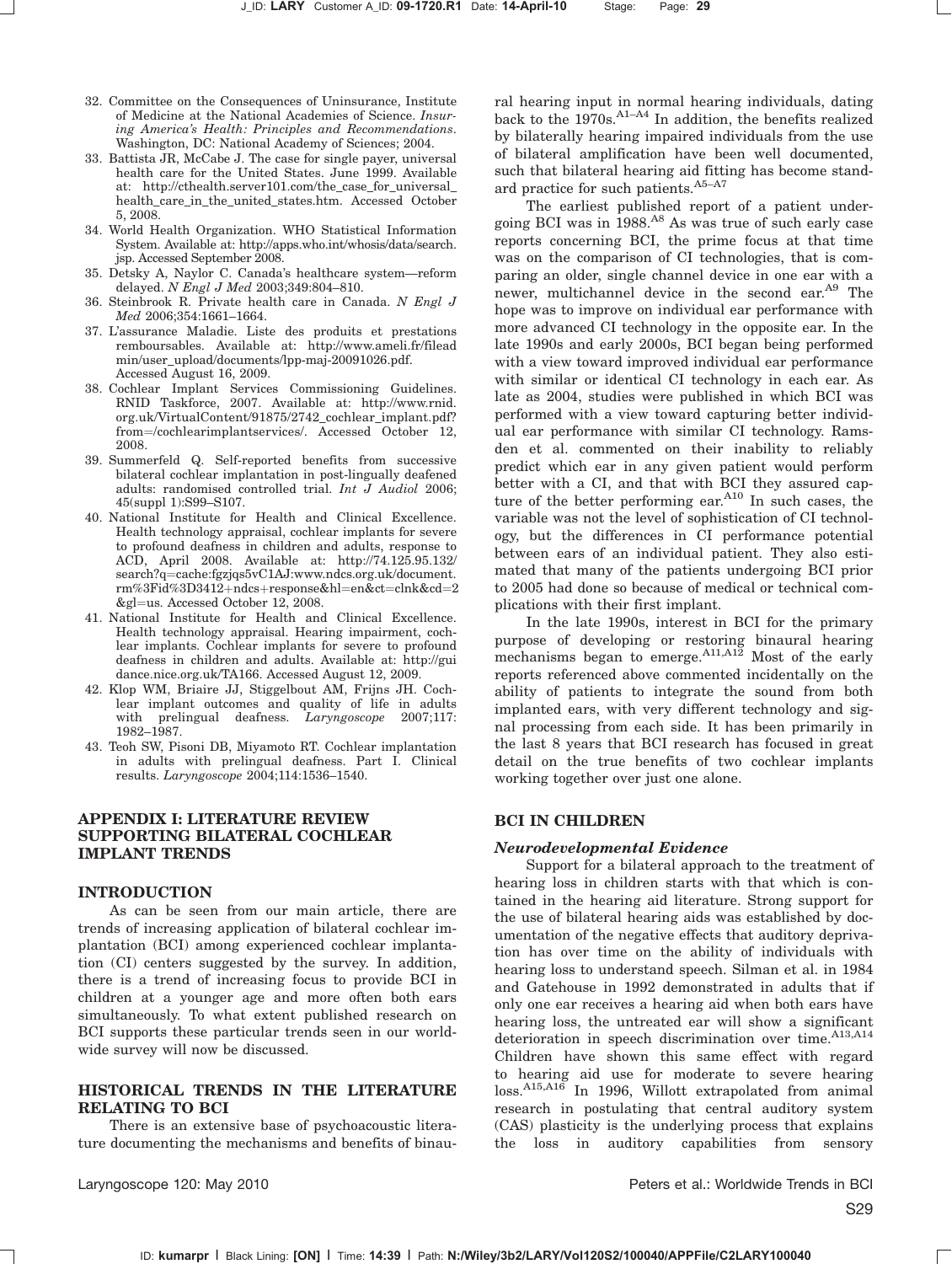- 32. Committee on the Consequences of Uninsurance, Institute of Medicine at the National Academies of Science. Insuring America's Health: Principles and Recommendations. Washington, DC: National Academy of Sciences; 2004.
- 33. Battista JR, McCabe J. The case for single payer, universal health care for the United States. June 1999. Available at: http://cthealth.server101.com/the\_case\_for\_universal\_ health\_care\_in\_the\_united\_states.htm. Accessed October 5, 2008.
- 34. World Health Organization. WHO Statistical Information System. Available at: http://apps.who.int/whosis/data/search. jsp. Accessed September 2008.
- 35. Detsky A, Naylor C. Canada's healthcare system—reform delayed. N Engl J Med 2003;349:804–810.
- 36. Steinbrook R. Private health care in Canada. N Engl J Med 2006;354:1661–1664.
- 37. L'assurance Maladie. Liste des produits et prestations remboursables. Available at: http://www.ameli.fr/filead min/user\_upload/documents/lpp-maj-20091026.pdf. Accessed August 16, 2009.
- 38. Cochlear Implant Services Commissioning Guidelines. RNID Taskforce, 2007. Available at: http://www.rnid. org.uk/VirtualContent/91875/2742\_cochlear\_implant.pdf? from=/cochlearimplantservices/. Accessed October 12, 2008.
- 39. Summerfeld Q. Self-reported benefits from successive bilateral cochlear implantation in post-lingually deafened adults: randomised controlled trial. Int J Audiol 2006; 45(suppl 1):S99–S107.
- 40. National Institute for Health and Clinical Excellence. Health technology appraisal, cochlear implants for severe to profound deafness in children and adults, response to ACD, April 2008. Available at: http://74.125.95.132/ search?q¼cache:fgzjqs5vC1AJ:www.ndcs.org.uk/document. rm%3Fid%3D3412+ndcs+response&hl=en&ct=clnk&cd=2  $\&$ gl=us. Accessed October 12, 2008.
- 41. National Institute for Health and Clinical Excellence. Health technology appraisal. Hearing impairment, cochlear implants. Cochlear implants for severe to profound deafness in children and adults. Available at: http://gui dance.nice.org.uk/TA166. Accessed August 12, 2009.
- 42. Klop WM, Briaire JJ, Stiggelbout AM, Frijns JH. Cochlear implant outcomes and quality of life in adults with prelingual deafness. Laryngoscope 2007;117: 1982–1987.
- 43. Teoh SW, Pisoni DB, Miyamoto RT. Cochlear implantation in adults with prelingual deafness. Part I. Clinical results. Laryngoscope 2004;114:1536–1540.

#### APPENDIX I: LITERATURE REVIEW SUPPORTING BILATERAL COCHLEAR IMPLANT TRENDS

#### INTRODUCTION

As can be seen from our main article, there are trends of increasing application of bilateral cochlear implantation (BCI) among experienced cochlear implantation (CI) centers suggested by the survey. In addition, there is a trend of increasing focus to provide BCI in children at a younger age and more often both ears simultaneously. To what extent published research on BCI supports these particular trends seen in our worldwide survey will now be discussed.

#### HISTORICAL TRENDS IN THE LITERATURE RELATING TO BCI

There is an extensive base of psychoacoustic literature documenting the mechanisms and benefits of binaural hearing input in normal hearing individuals, dating back to the 1970s. A1-A4 In addition, the benefits realized by bilaterally hearing impaired individuals from the use of bilateral amplification have been well documented, such that bilateral hearing aid fitting has become standard practice for such patients.<sup>A5-A7</sup>

The earliest published report of a patient undergoing BCI was in 1988.A8 As was true of such early case reports concerning BCI, the prime focus at that time was on the comparison of CI technologies, that is comparing an older, single channel device in one ear with a newer, multichannel device in the second ear.<sup>A9</sup> The hope was to improve on individual ear performance with more advanced CI technology in the opposite ear. In the late 1990s and early 2000s, BCI began being performed with a view toward improved individual ear performance with similar or identical CI technology in each ear. As late as 2004, studies were published in which BCI was performed with a view toward capturing better individual ear performance with similar CI technology. Ramsden et al. commented on their inability to reliably predict which ear in any given patient would perform better with a CI, and that with BCI they assured capture of the better performing ear. $A^{10}$  In such cases, the variable was not the level of sophistication of CI technology, but the differences in CI performance potential between ears of an individual patient. They also estimated that many of the patients undergoing BCI prior to 2005 had done so because of medical or technical complications with their first implant.

In the late 1990s, interest in BCI for the primary purpose of developing or restoring binaural hearing mechanisms began to emerge.<sup>A11,A12</sup> Most of the early reports referenced above commented incidentally on the ability of patients to integrate the sound from both implanted ears, with very different technology and signal processing from each side. It has been primarily in the last 8 years that BCI research has focused in great detail on the true benefits of two cochlear implants working together over just one alone.

#### BCI IN CHILDREN

#### Neurodevelopmental Evidence

Support for a bilateral approach to the treatment of hearing loss in children starts with that which is contained in the hearing aid literature. Strong support for the use of bilateral hearing aids was established by documentation of the negative effects that auditory deprivation has over time on the ability of individuals with hearing loss to understand speech. Silman et al. in 1984 and Gatehouse in 1992 demonstrated in adults that if only one ear receives a hearing aid when both ears have hearing loss, the untreated ear will show a significant deterioration in speech discrimination over time. A13,A14 Children have shown this same effect with regard to hearing aid use for moderate to severe hearing loss.A15,A16 In 1996, Willott extrapolated from animal research in postulating that central auditory system (CAS) plasticity is the underlying process that explains the loss in auditory capabilities from sensory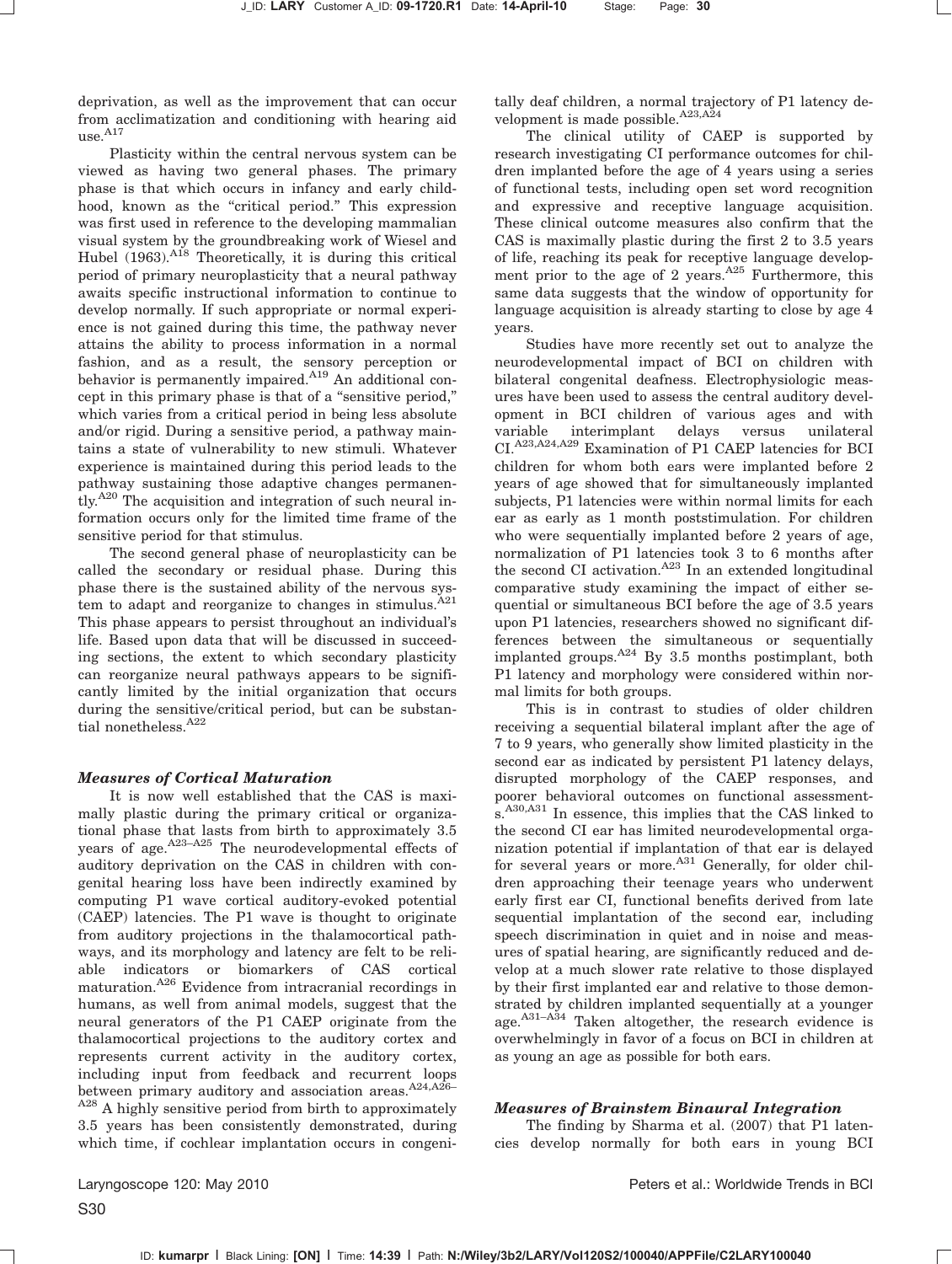deprivation, as well as the improvement that can occur from acclimatization and conditioning with hearing aid  $use.$ <sup>A17</sup>

Plasticity within the central nervous system can be viewed as having two general phases. The primary phase is that which occurs in infancy and early childhood, known as the "critical period." This expression was first used in reference to the developing mammalian visual system by the groundbreaking work of Wiesel and Hubel  $(1963)$ . A<sup>18</sup> Theoretically, it is during this critical period of primary neuroplasticity that a neural pathway awaits specific instructional information to continue to develop normally. If such appropriate or normal experience is not gained during this time, the pathway never attains the ability to process information in a normal fashion, and as a result, the sensory perception or behavior is permanently impaired.<sup>A19</sup> An additional concept in this primary phase is that of a ''sensitive period,'' which varies from a critical period in being less absolute and/or rigid. During a sensitive period, a pathway maintains a state of vulnerability to new stimuli. Whatever experience is maintained during this period leads to the pathway sustaining those adaptive changes permanen $t\,$ <sup>A20</sup> The acquisition and integration of such neural information occurs only for the limited time frame of the sensitive period for that stimulus.

The second general phase of neuroplasticity can be called the secondary or residual phase. During this phase there is the sustained ability of the nervous system to adapt and reorganize to changes in stimulus. $^{A21}$ This phase appears to persist throughout an individual's life. Based upon data that will be discussed in succeeding sections, the extent to which secondary plasticity can reorganize neural pathways appears to be significantly limited by the initial organization that occurs during the sensitive/critical period, but can be substantial nonetheless. A22

## Measures of Cortical Maturation

It is now well established that the CAS is maximally plastic during the primary critical or organizational phase that lasts from birth to approximately 3.5 years of age.<sup>A23–A25</sup> The neurodevelopmental effects of auditory deprivation on the CAS in children with congenital hearing loss have been indirectly examined by computing P1 wave cortical auditory-evoked potential (CAEP) latencies. The P1 wave is thought to originate from auditory projections in the thalamocortical pathways, and its morphology and latency are felt to be reliable indicators or biomarkers of CAS cortical maturation.<sup>A26</sup> Evidence from intracranial recordings in humans, as well from animal models, suggest that the neural generators of the P1 CAEP originate from the thalamocortical projections to the auditory cortex and represents current activity in the auditory cortex, including input from feedback and recurrent loops between primary auditory and association areas.<sup>A24,A26</sup>- $A<sup>28</sup>$  A highly sensitive period from birth to approximately 3.5 years has been consistently demonstrated, during which time, if cochlear implantation occurs in congenitally deaf children, a normal trajectory of P1 latency development is made possible.<sup>A23,A24</sup>

The clinical utility of CAEP is supported by research investigating CI performance outcomes for children implanted before the age of 4 years using a series of functional tests, including open set word recognition and expressive and receptive language acquisition. These clinical outcome measures also confirm that the CAS is maximally plastic during the first 2 to 3.5 years of life, reaching its peak for receptive language development prior to the age of 2 years.<sup>A25</sup> Furthermore, this same data suggests that the window of opportunity for language acquisition is already starting to close by age 4 years.

Studies have more recently set out to analyze the neurodevelopmental impact of BCI on children with bilateral congenital deafness. Electrophysiologic measures have been used to assess the central auditory development in BCI children of various ages and with variable interimplant delays versus unilateral CI.A23,A24,A29 Examination of P1 CAEP latencies for BCI children for whom both ears were implanted before 2 years of age showed that for simultaneously implanted subjects, P1 latencies were within normal limits for each ear as early as 1 month poststimulation. For children who were sequentially implanted before 2 years of age, normalization of P1 latencies took 3 to 6 months after the second CI activation. $A^{23}$  In an extended longitudinal comparative study examining the impact of either sequential or simultaneous BCI before the age of 3.5 years upon P1 latencies, researchers showed no significant differences between the simultaneous or sequentially implanted groups. $A^{24}$  By 3.5 months postimplant, both P1 latency and morphology were considered within normal limits for both groups.

This is in contrast to studies of older children receiving a sequential bilateral implant after the age of 7 to 9 years, who generally show limited plasticity in the second ear as indicated by persistent P1 latency delays, disrupted morphology of the CAEP responses, and poorer behavioral outcomes on functional assessments.<sup>A30,A31</sup> In essence, this implies that the CAS linked to the second CI ear has limited neurodevelopmental organization potential if implantation of that ear is delayed for several years or more. $A^{31}$  Generally, for older children approaching their teenage years who underwent early first ear CI, functional benefits derived from late sequential implantation of the second ear, including speech discrimination in quiet and in noise and measures of spatial hearing, are significantly reduced and develop at a much slower rate relative to those displayed by their first implanted ear and relative to those demonstrated by children implanted sequentially at a younger age.A31–A34 Taken altogether, the research evidence is overwhelmingly in favor of a focus on BCI in children at as young an age as possible for both ears.

## Measures of Brainstem Binaural Integration

The finding by Sharma et al. (2007) that P1 latencies develop normally for both ears in young BCI

Laryngoscope 120: May 2010 **Peters et al.: Worldwide Trends in BCI** Peters et al.: Worldwide Trends in BCI

S30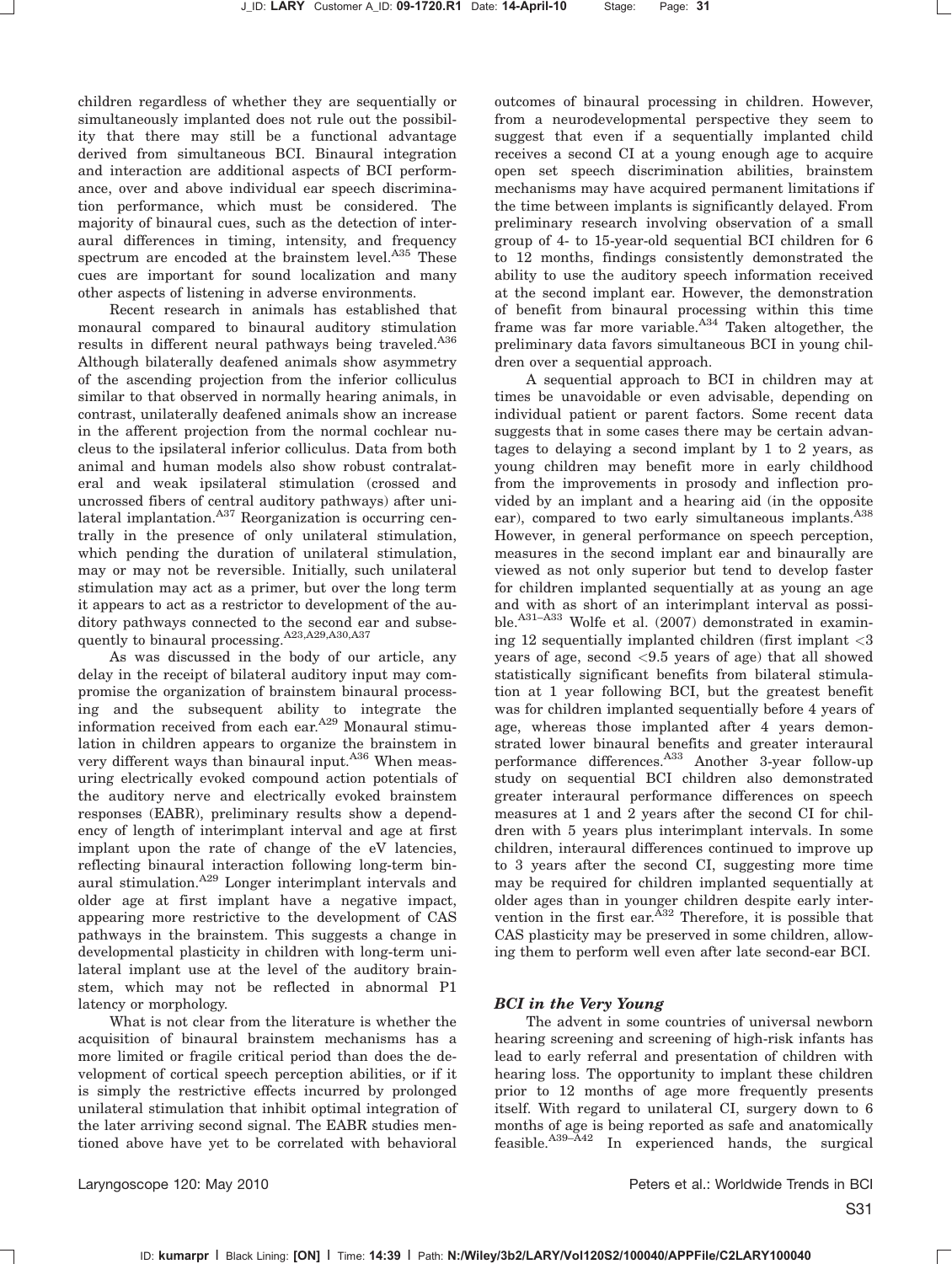children regardless of whether they are sequentially or simultaneously implanted does not rule out the possibility that there may still be a functional advantage derived from simultaneous BCI. Binaural integration and interaction are additional aspects of BCI performance, over and above individual ear speech discrimination performance, which must be considered. The majority of binaural cues, such as the detection of interaural differences in timing, intensity, and frequency spectrum are encoded at the brainstem level.<sup>A35</sup> These cues are important for sound localization and many other aspects of listening in adverse environments.

Recent research in animals has established that monaural compared to binaural auditory stimulation results in different neural pathways being traveled.<sup>A36</sup> Although bilaterally deafened animals show asymmetry of the ascending projection from the inferior colliculus similar to that observed in normally hearing animals, in contrast, unilaterally deafened animals show an increase in the afferent projection from the normal cochlear nucleus to the ipsilateral inferior colliculus. Data from both animal and human models also show robust contralateral and weak ipsilateral stimulation (crossed and uncrossed fibers of central auditory pathways) after unilateral implantation.<sup>A37</sup> Reorganization is occurring centrally in the presence of only unilateral stimulation, which pending the duration of unilateral stimulation, may or may not be reversible. Initially, such unilateral stimulation may act as a primer, but over the long term it appears to act as a restrictor to development of the auditory pathways connected to the second ear and subsequently to binaural processing.<sup>A23,A29,A30,A37</sup>

As was discussed in the body of our article, any delay in the receipt of bilateral auditory input may compromise the organization of brainstem binaural processing and the subsequent ability to integrate the information received from each ear.<sup>A29</sup> Monaural stimulation in children appears to organize the brainstem in very different ways than binaural input.<sup>A36</sup> When measuring electrically evoked compound action potentials of the auditory nerve and electrically evoked brainstem responses (EABR), preliminary results show a dependency of length of interimplant interval and age at first implant upon the rate of change of the eV latencies, reflecting binaural interaction following long-term binaural stimulation.A29 Longer interimplant intervals and older age at first implant have a negative impact, appearing more restrictive to the development of CAS pathways in the brainstem. This suggests a change in developmental plasticity in children with long-term unilateral implant use at the level of the auditory brainstem, which may not be reflected in abnormal P1 latency or morphology.

What is not clear from the literature is whether the acquisition of binaural brainstem mechanisms has a more limited or fragile critical period than does the development of cortical speech perception abilities, or if it is simply the restrictive effects incurred by prolonged unilateral stimulation that inhibit optimal integration of the later arriving second signal. The EABR studies mentioned above have yet to be correlated with behavioral

outcomes of binaural processing in children. However, from a neurodevelopmental perspective they seem to suggest that even if a sequentially implanted child receives a second CI at a young enough age to acquire open set speech discrimination abilities, brainstem mechanisms may have acquired permanent limitations if the time between implants is significantly delayed. From preliminary research involving observation of a small group of 4- to 15-year-old sequential BCI children for 6 to 12 months, findings consistently demonstrated the ability to use the auditory speech information received at the second implant ear. However, the demonstration of benefit from binaural processing within this time frame was far more variable.A34 Taken altogether, the preliminary data favors simultaneous BCI in young children over a sequential approach.

A sequential approach to BCI in children may at times be unavoidable or even advisable, depending on individual patient or parent factors. Some recent data suggests that in some cases there may be certain advantages to delaying a second implant by 1 to 2 years, as young children may benefit more in early childhood from the improvements in prosody and inflection provided by an implant and a hearing aid (in the opposite ear), compared to two early simultaneous implants. $A^{38}$ However, in general performance on speech perception, measures in the second implant ear and binaurally are viewed as not only superior but tend to develop faster for children implanted sequentially at as young an age and with as short of an interimplant interval as possible.<sup>A31-A33</sup> Wolfe et al. (2007) demonstrated in examining 12 sequentially implanted children (first implant  $<$ 3 years of age, second <9.5 years of age) that all showed statistically significant benefits from bilateral stimulation at 1 year following BCI, but the greatest benefit was for children implanted sequentially before 4 years of age, whereas those implanted after 4 years demonstrated lower binaural benefits and greater interaural performance differences. A33 Another 3-year follow-up study on sequential BCI children also demonstrated greater interaural performance differences on speech measures at 1 and 2 years after the second CI for children with 5 years plus interimplant intervals. In some children, interaural differences continued to improve up to 3 years after the second CI, suggesting more time may be required for children implanted sequentially at older ages than in younger children despite early intervention in the first ear. $A^{32}$  Therefore, it is possible that CAS plasticity may be preserved in some children, allowing them to perform well even after late second-ear BCI.

## BCI in the Very Young

The advent in some countries of universal newborn hearing screening and screening of high-risk infants has lead to early referral and presentation of children with hearing loss. The opportunity to implant these children prior to 12 months of age more frequently presents itself. With regard to unilateral CI, surgery down to 6 months of age is being reported as safe and anatomically feasible. $A^{39-\tilde{A}42}$  In experienced hands, the surgical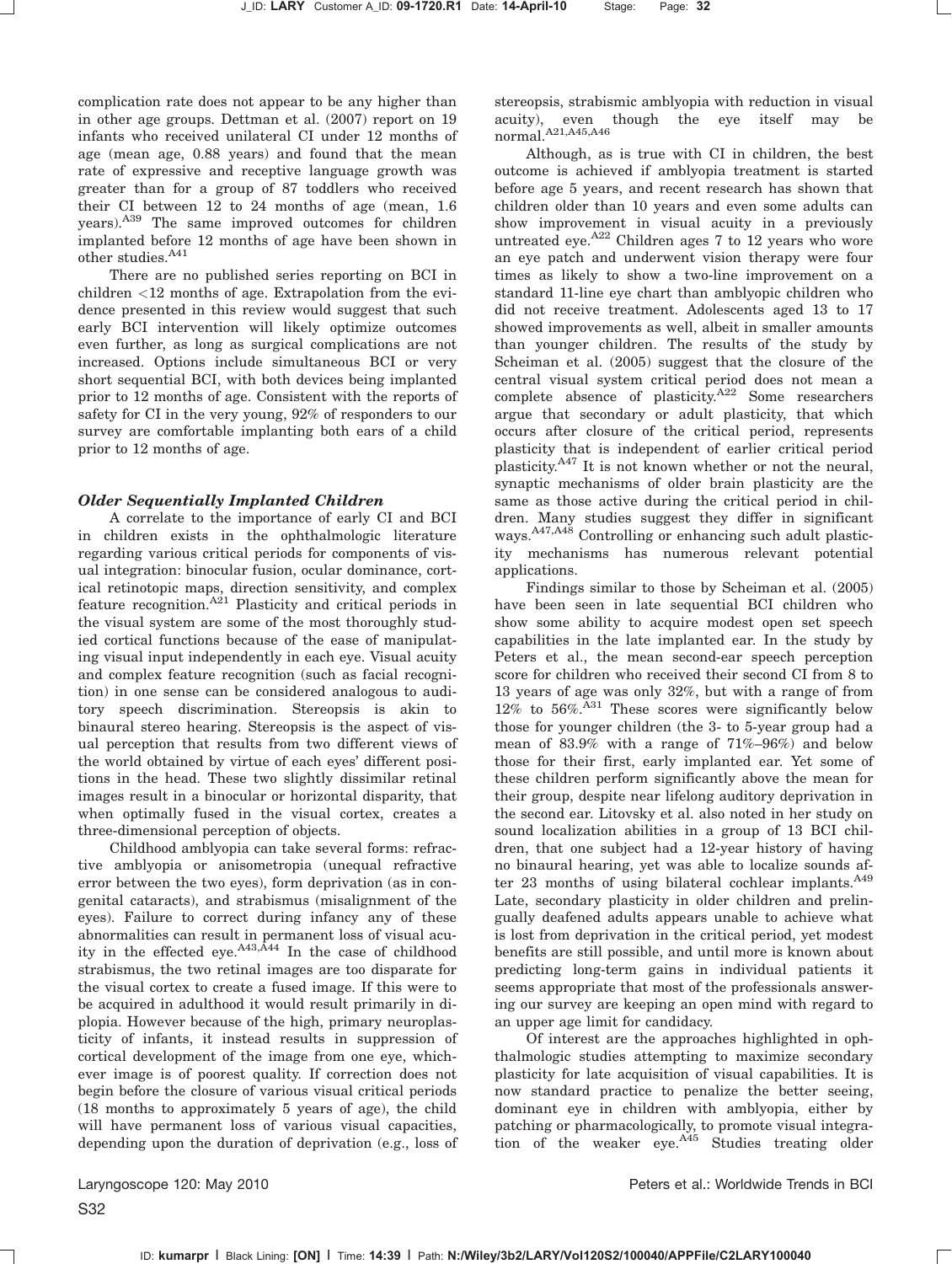complication rate does not appear to be any higher than in other age groups. Dettman et al. (2007) report on 19 infants who received unilateral CI under 12 months of age (mean age, 0.88 years) and found that the mean rate of expressive and receptive language growth was greater than for a group of 87 toddlers who received their CI between 12 to 24 months of age (mean, 1.6 years).A39 The same improved outcomes for children implanted before 12 months of age have been shown in other studies.  $A41$ 

There are no published series reporting on BCI in children <12 months of age. Extrapolation from the evidence presented in this review would suggest that such early BCI intervention will likely optimize outcomes even further, as long as surgical complications are not increased. Options include simultaneous BCI or very short sequential BCI, with both devices being implanted prior to 12 months of age. Consistent with the reports of safety for CI in the very young, 92% of responders to our survey are comfortable implanting both ears of a child prior to 12 months of age.

## Older Sequentially Implanted Children

A correlate to the importance of early CI and BCI in children exists in the ophthalmologic literature regarding various critical periods for components of visual integration: binocular fusion, ocular dominance, cortical retinotopic maps, direction sensitivity, and complex feature recognition.<sup>A21</sup> Plasticity and critical periods in the visual system are some of the most thoroughly studied cortical functions because of the ease of manipulating visual input independently in each eye. Visual acuity and complex feature recognition (such as facial recognition) in one sense can be considered analogous to auditory speech discrimination. Stereopsis is akin to binaural stereo hearing. Stereopsis is the aspect of visual perception that results from two different views of the world obtained by virtue of each eyes' different positions in the head. These two slightly dissimilar retinal images result in a binocular or horizontal disparity, that when optimally fused in the visual cortex, creates a three-dimensional perception of objects.

Childhood amblyopia can take several forms: refractive amblyopia or anisometropia (unequal refractive error between the two eyes), form deprivation (as in congenital cataracts), and strabismus (misalignment of the eyes). Failure to correct during infancy any of these abnormalities can result in permanent loss of visual acuity in the effected eye. $A^{43,\bar{A}44}$  In the case of childhood strabismus, the two retinal images are too disparate for the visual cortex to create a fused image. If this were to be acquired in adulthood it would result primarily in diplopia. However because of the high, primary neuroplasticity of infants, it instead results in suppression of cortical development of the image from one eye, whichever image is of poorest quality. If correction does not begin before the closure of various visual critical periods (18 months to approximately 5 years of age), the child will have permanent loss of various visual capacities, depending upon the duration of deprivation (e.g., loss of stereopsis, strabismic amblyopia with reduction in visual acuity), even though the eye itself may be  $normal.^{NCLI}_{A21,A45,A46}$ 

Although, as is true with CI in children, the best outcome is achieved if amblyopia treatment is started before age 5 years, and recent research has shown that children older than 10 years and even some adults can show improvement in visual acuity in a previously untreated eye. $A^{22}$  Children ages 7 to 12 years who wore an eye patch and underwent vision therapy were four times as likely to show a two-line improvement on a standard 11-line eye chart than amblyopic children who did not receive treatment. Adolescents aged 13 to 17 showed improvements as well, albeit in smaller amounts than younger children. The results of the study by Scheiman et al. (2005) suggest that the closure of the central visual system critical period does not mean a complete absence of plasticity.<sup>A22</sup> Some researchers argue that secondary or adult plasticity, that which occurs after closure of the critical period, represents plasticity that is independent of earlier critical period plasticity.A47 It is not known whether or not the neural, synaptic mechanisms of older brain plasticity are the same as those active during the critical period in children. Many studies suggest they differ in significant ways.A47,A48 Controlling or enhancing such adult plasticity mechanisms has numerous relevant potential applications.

Findings similar to those by Scheiman et al. (2005) have been seen in late sequential BCI children who show some ability to acquire modest open set speech capabilities in the late implanted ear. In the study by Peters et al., the mean second-ear speech perception score for children who received their second CI from 8 to 13 years of age was only 32%, but with a range of from  $12\%$  to 56%.<sup>A31</sup> These scores were significantly below those for younger children (the 3- to 5-year group had a mean of 83.9% with a range of 71%–96%) and below those for their first, early implanted ear. Yet some of these children perform significantly above the mean for their group, despite near lifelong auditory deprivation in the second ear. Litovsky et al. also noted in her study on sound localization abilities in a group of 13 BCI children, that one subject had a 12-year history of having no binaural hearing, yet was able to localize sounds after 23 months of using bilateral cochlear implants. A49 Late, secondary plasticity in older children and prelingually deafened adults appears unable to achieve what is lost from deprivation in the critical period, yet modest benefits are still possible, and until more is known about predicting long-term gains in individual patients it seems appropriate that most of the professionals answering our survey are keeping an open mind with regard to an upper age limit for candidacy.

Of interest are the approaches highlighted in ophthalmologic studies attempting to maximize secondary plasticity for late acquisition of visual capabilities. It is now standard practice to penalize the better seeing, dominant eye in children with amblyopia, either by patching or pharmacologically, to promote visual integration of the weaker eye. $A45$  Studies treating older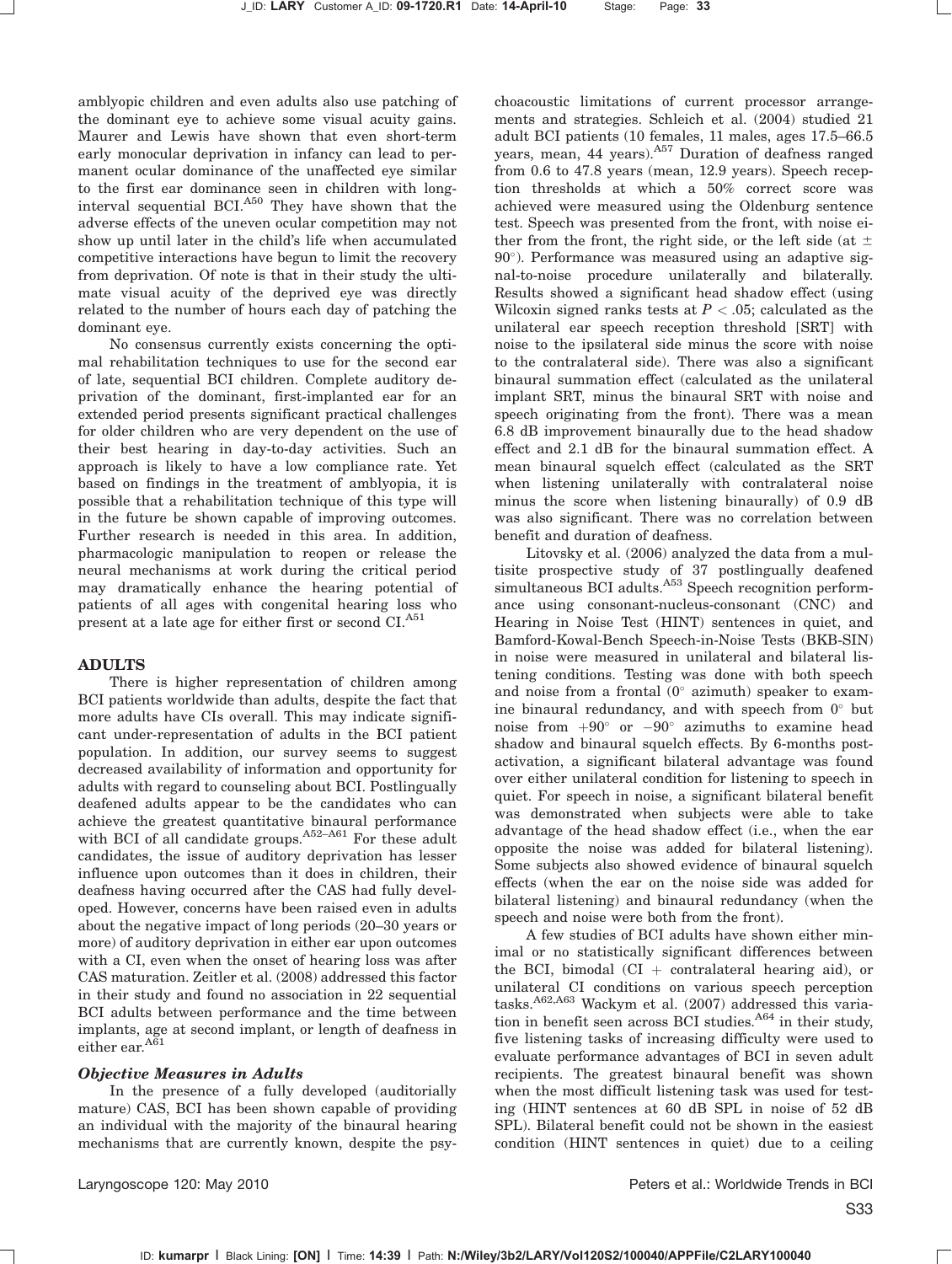amblyopic children and even adults also use patching of the dominant eye to achieve some visual acuity gains. Maurer and Lewis have shown that even short-term early monocular deprivation in infancy can lead to permanent ocular dominance of the unaffected eye similar to the first ear dominance seen in children with longinterval sequential BCI.<sup>A50</sup> They have shown that the adverse effects of the uneven ocular competition may not show up until later in the child's life when accumulated competitive interactions have begun to limit the recovery from deprivation. Of note is that in their study the ultimate visual acuity of the deprived eye was directly related to the number of hours each day of patching the dominant eye.

No consensus currently exists concerning the optimal rehabilitation techniques to use for the second ear of late, sequential BCI children. Complete auditory deprivation of the dominant, first-implanted ear for an extended period presents significant practical challenges for older children who are very dependent on the use of their best hearing in day-to-day activities. Such an approach is likely to have a low compliance rate. Yet based on findings in the treatment of amblyopia, it is possible that a rehabilitation technique of this type will in the future be shown capable of improving outcomes. Further research is needed in this area. In addition, pharmacologic manipulation to reopen or release the neural mechanisms at work during the critical period may dramatically enhance the hearing potential of patients of all ages with congenital hearing loss who present at a late age for either first or second  $\overline{{\rm CL}^{\rm A51}}$ 

## ADULTS

There is higher representation of children among BCI patients worldwide than adults, despite the fact that more adults have CIs overall. This may indicate significant under-representation of adults in the BCI patient population. In addition, our survey seems to suggest decreased availability of information and opportunity for adults with regard to counseling about BCI. Postlingually deafened adults appear to be the candidates who can achieve the greatest quantitative binaural performance with BCI of all candidate groups. $A52-A61$  For these adult candidates, the issue of auditory deprivation has lesser influence upon outcomes than it does in children, their deafness having occurred after the CAS had fully developed. However, concerns have been raised even in adults about the negative impact of long periods (20–30 years or more) of auditory deprivation in either ear upon outcomes with a CI, even when the onset of hearing loss was after CAS maturation. Zeitler et al. (2008) addressed this factor in their study and found no association in 22 sequential BCI adults between performance and the time between implants, age at second implant, or length of deafness in either ear.  $A\breve{6}1$ 

## Objective Measures in Adults

In the presence of a fully developed (auditorially mature) CAS, BCI has been shown capable of providing an individual with the majority of the binaural hearing mechanisms that are currently known, despite the psychoacoustic limitations of current processor arrangements and strategies. Schleich et al. (2004) studied 21 adult BCI patients (10 females, 11 males, ages 17.5–66.5 years, mean, 44 years). A57 Duration of deafness ranged from 0.6 to 47.8 years (mean, 12.9 years). Speech reception thresholds at which a 50% correct score was achieved were measured using the Oldenburg sentence test. Speech was presented from the front, with noise either from the front, the right side, or the left side (at  $\pm$ 90°). Performance was measured using an adaptive signal-to-noise procedure unilaterally and bilaterally. Results showed a significant head shadow effect (using Wilcoxin signed ranks tests at  $P < .05$ ; calculated as the unilateral ear speech reception threshold [SRT] with noise to the ipsilateral side minus the score with noise to the contralateral side). There was also a significant binaural summation effect (calculated as the unilateral implant SRT, minus the binaural SRT with noise and speech originating from the front). There was a mean 6.8 dB improvement binaurally due to the head shadow effect and 2.1 dB for the binaural summation effect. A mean binaural squelch effect (calculated as the SRT when listening unilaterally with contralateral noise minus the score when listening binaurally) of 0.9 dB was also significant. There was no correlation between benefit and duration of deafness.

Litovsky et al. (2006) analyzed the data from a multisite prospective study of 37 postlingually deafened simultaneous BCI adults. A53 Speech recognition performance using consonant-nucleus-consonant (CNC) and Hearing in Noise Test (HINT) sentences in quiet, and Bamford-Kowal-Bench Speech-in-Noise Tests (BKB-SIN) in noise were measured in unilateral and bilateral listening conditions. Testing was done with both speech and noise from a frontal  $(0^{\circ}$  azimuth) speaker to examine binaural redundancy, and with speech from  $0^{\circ}$  but noise from  $+90^{\circ}$  or  $-90^{\circ}$  azimuths to examine head shadow and binaural squelch effects. By 6-months postactivation, a significant bilateral advantage was found over either unilateral condition for listening to speech in quiet. For speech in noise, a significant bilateral benefit was demonstrated when subjects were able to take advantage of the head shadow effect (i.e., when the ear opposite the noise was added for bilateral listening). Some subjects also showed evidence of binaural squelch effects (when the ear on the noise side was added for bilateral listening) and binaural redundancy (when the speech and noise were both from the front).

A few studies of BCI adults have shown either minimal or no statistically significant differences between the BCI, bimodal  $(CI + contralateral \text{ hearing aid})$ , or unilateral CI conditions on various speech perception tasks.<sup>A62,A63</sup> Wackym et al. (2007) addressed this variation in benefit seen across BCI studies. $A^{64}$  in their study, five listening tasks of increasing difficulty were used to evaluate performance advantages of BCI in seven adult recipients. The greatest binaural benefit was shown when the most difficult listening task was used for testing (HINT sentences at 60 dB SPL in noise of 52 dB SPL). Bilateral benefit could not be shown in the easiest condition (HINT sentences in quiet) due to a ceiling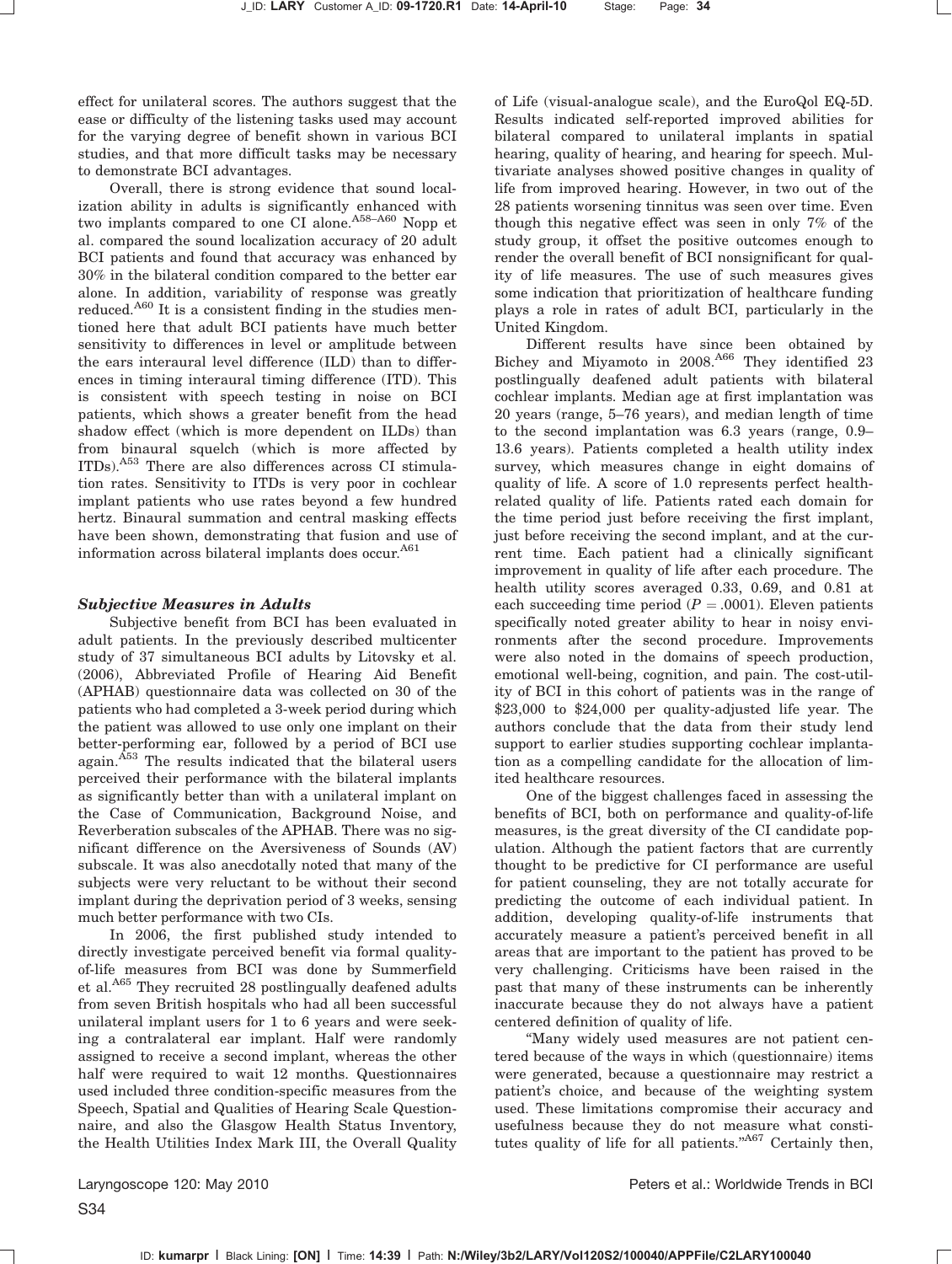effect for unilateral scores. The authors suggest that the ease or difficulty of the listening tasks used may account for the varying degree of benefit shown in various BCI studies, and that more difficult tasks may be necessary to demonstrate BCI advantages.

Overall, there is strong evidence that sound localization ability in adults is significantly enhanced with two implants compared to one CI alone.<sup>A58–A60</sup> Nopp et al. compared the sound localization accuracy of 20 adult BCI patients and found that accuracy was enhanced by 30% in the bilateral condition compared to the better ear alone. In addition, variability of response was greatly reduced.A60 It is a consistent finding in the studies mentioned here that adult BCI patients have much better sensitivity to differences in level or amplitude between the ears interaural level difference (ILD) than to differences in timing interaural timing difference (ITD). This is consistent with speech testing in noise on BCI patients, which shows a greater benefit from the head shadow effect (which is more dependent on ILDs) than from binaural squelch (which is more affected by ITDs).A53 There are also differences across CI stimulation rates. Sensitivity to ITDs is very poor in cochlear implant patients who use rates beyond a few hundred hertz. Binaural summation and central masking effects have been shown, demonstrating that fusion and use of information across bilateral implants does occur.<sup>A61</sup>

#### Subjective Measures in Adults

Subjective benefit from BCI has been evaluated in adult patients. In the previously described multicenter study of 37 simultaneous BCI adults by Litovsky et al. (2006), Abbreviated Profile of Hearing Aid Benefit (APHAB) questionnaire data was collected on 30 of the patients who had completed a 3-week period during which the patient was allowed to use only one implant on their better-performing ear, followed by a period of BCI use again.<sup>453</sup> The results indicated that the bilateral users perceived their performance with the bilateral implants as significantly better than with a unilateral implant on the Case of Communication, Background Noise, and Reverberation subscales of the APHAB. There was no significant difference on the Aversiveness of Sounds (AV) subscale. It was also anecdotally noted that many of the subjects were very reluctant to be without their second implant during the deprivation period of 3 weeks, sensing much better performance with two CIs.

In 2006, the first published study intended to directly investigate perceived benefit via formal qualityof-life measures from BCI was done by Summerfield et al.A65 They recruited 28 postlingually deafened adults from seven British hospitals who had all been successful unilateral implant users for 1 to 6 years and were seeking a contralateral ear implant. Half were randomly assigned to receive a second implant, whereas the other half were required to wait 12 months. Questionnaires used included three condition-specific measures from the Speech, Spatial and Qualities of Hearing Scale Questionnaire, and also the Glasgow Health Status Inventory, the Health Utilities Index Mark III, the Overall Quality of Life (visual-analogue scale), and the EuroQol EQ-5D. Results indicated self-reported improved abilities for bilateral compared to unilateral implants in spatial hearing, quality of hearing, and hearing for speech. Multivariate analyses showed positive changes in quality of life from improved hearing. However, in two out of the 28 patients worsening tinnitus was seen over time. Even though this negative effect was seen in only 7% of the study group, it offset the positive outcomes enough to render the overall benefit of BCI nonsignificant for quality of life measures. The use of such measures gives some indication that prioritization of healthcare funding plays a role in rates of adult BCI, particularly in the United Kingdom.

Different results have since been obtained by Bichey and Miyamoto in 2008.<sup>A66</sup> They identified 23 postlingually deafened adult patients with bilateral cochlear implants. Median age at first implantation was 20 years (range, 5–76 years), and median length of time to the second implantation was 6.3 years (range, 0.9– 13.6 years). Patients completed a health utility index survey, which measures change in eight domains of quality of life. A score of 1.0 represents perfect healthrelated quality of life. Patients rated each domain for the time period just before receiving the first implant, just before receiving the second implant, and at the current time. Each patient had a clinically significant improvement in quality of life after each procedure. The health utility scores averaged 0.33, 0.69, and 0.81 at each succeeding time period  $(P = .0001)$ . Eleven patients specifically noted greater ability to hear in noisy environments after the second procedure. Improvements were also noted in the domains of speech production, emotional well-being, cognition, and pain. The cost-utility of BCI in this cohort of patients was in the range of \$23,000 to \$24,000 per quality-adjusted life year. The authors conclude that the data from their study lend support to earlier studies supporting cochlear implantation as a compelling candidate for the allocation of limited healthcare resources.

One of the biggest challenges faced in assessing the benefits of BCI, both on performance and quality-of-life measures, is the great diversity of the CI candidate population. Although the patient factors that are currently thought to be predictive for CI performance are useful for patient counseling, they are not totally accurate for predicting the outcome of each individual patient. In addition, developing quality-of-life instruments that accurately measure a patient's perceived benefit in all areas that are important to the patient has proved to be very challenging. Criticisms have been raised in the past that many of these instruments can be inherently inaccurate because they do not always have a patient centered definition of quality of life.

''Many widely used measures are not patient centered because of the ways in which (questionnaire) items were generated, because a questionnaire may restrict a patient's choice, and because of the weighting system used. These limitations compromise their accuracy and usefulness because they do not measure what constitutes quality of life for all patients." $A^{67}$  Certainly then,

Laryngoscope 120: May 2010 **Peters et al.: Worldwide Trends in BCI** Peters et al.: Worldwide Trends in BCI

S34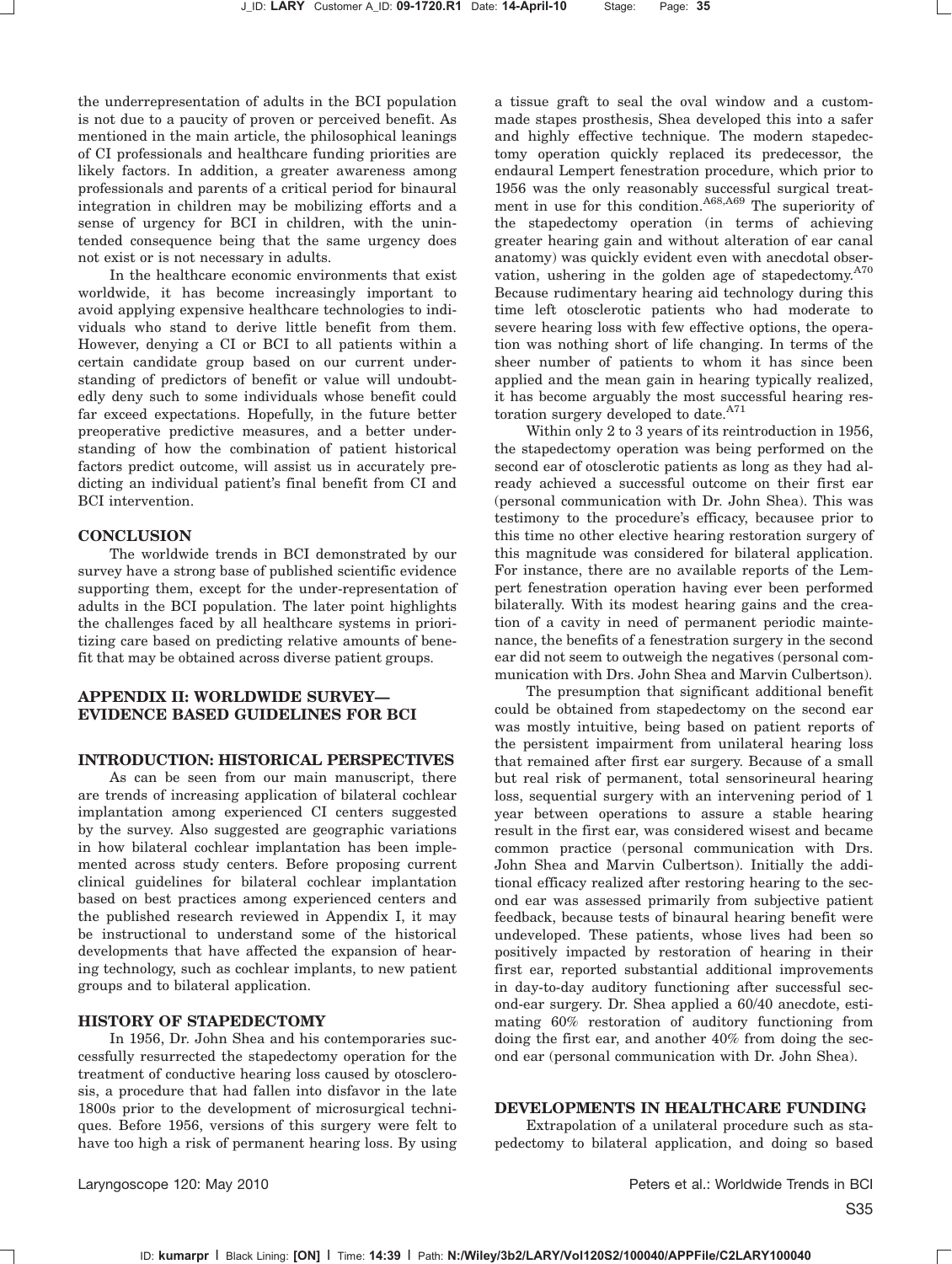the underrepresentation of adults in the BCI population is not due to a paucity of proven or perceived benefit. As mentioned in the main article, the philosophical leanings of CI professionals and healthcare funding priorities are likely factors. In addition, a greater awareness among professionals and parents of a critical period for binaural integration in children may be mobilizing efforts and a sense of urgency for BCI in children, with the unintended consequence being that the same urgency does not exist or is not necessary in adults.

In the healthcare economic environments that exist worldwide, it has become increasingly important to avoid applying expensive healthcare technologies to individuals who stand to derive little benefit from them. However, denying a CI or BCI to all patients within a certain candidate group based on our current understanding of predictors of benefit or value will undoubtedly deny such to some individuals whose benefit could far exceed expectations. Hopefully, in the future better preoperative predictive measures, and a better understanding of how the combination of patient historical factors predict outcome, will assist us in accurately predicting an individual patient's final benefit from CI and BCI intervention.

#### **CONCLUSION**

The worldwide trends in BCI demonstrated by our survey have a strong base of published scientific evidence supporting them, except for the under-representation of adults in the BCI population. The later point highlights the challenges faced by all healthcare systems in prioritizing care based on predicting relative amounts of benefit that may be obtained across diverse patient groups.

#### APPENDIX II: WORLDWIDE SURVEY— EVIDENCE BASED GUIDELINES FOR BCI

#### INTRODUCTION: HISTORICAL PERSPECTIVES

As can be seen from our main manuscript, there are trends of increasing application of bilateral cochlear implantation among experienced CI centers suggested by the survey. Also suggested are geographic variations in how bilateral cochlear implantation has been implemented across study centers. Before proposing current clinical guidelines for bilateral cochlear implantation based on best practices among experienced centers and the published research reviewed in Appendix I, it may be instructional to understand some of the historical developments that have affected the expansion of hearing technology, such as cochlear implants, to new patient groups and to bilateral application.

#### HISTORY OF STAPEDECTOMY

In 1956, Dr. John Shea and his contemporaries successfully resurrected the stapedectomy operation for the treatment of conductive hearing loss caused by otosclerosis, a procedure that had fallen into disfavor in the late 1800s prior to the development of microsurgical techniques. Before 1956, versions of this surgery were felt to have too high a risk of permanent hearing loss. By using a tissue graft to seal the oval window and a custommade stapes prosthesis, Shea developed this into a safer and highly effective technique. The modern stapedectomy operation quickly replaced its predecessor, the endaural Lempert fenestration procedure, which prior to 1956 was the only reasonably successful surgical treatment in use for this condition.<sup>A68,A69</sup> The superiority of the stapedectomy operation (in terms of achieving greater hearing gain and without alteration of ear canal anatomy) was quickly evident even with anecdotal observation, ushering in the golden age of stapedectomy.<sup>A70</sup> Because rudimentary hearing aid technology during this time left otosclerotic patients who had moderate to severe hearing loss with few effective options, the operation was nothing short of life changing. In terms of the sheer number of patients to whom it has since been applied and the mean gain in hearing typically realized, it has become arguably the most successful hearing restoration surgery developed to date. $A^{71}$ 

Within only 2 to 3 years of its reintroduction in 1956, the stapedectomy operation was being performed on the second ear of otosclerotic patients as long as they had already achieved a successful outcome on their first ear (personal communication with Dr. John Shea). This was testimony to the procedure's efficacy, becausee prior to this time no other elective hearing restoration surgery of this magnitude was considered for bilateral application. For instance, there are no available reports of the Lempert fenestration operation having ever been performed bilaterally. With its modest hearing gains and the creation of a cavity in need of permanent periodic maintenance, the benefits of a fenestration surgery in the second ear did not seem to outweigh the negatives (personal communication with Drs. John Shea and Marvin Culbertson).

The presumption that significant additional benefit could be obtained from stapedectomy on the second ear was mostly intuitive, being based on patient reports of the persistent impairment from unilateral hearing loss that remained after first ear surgery. Because of a small but real risk of permanent, total sensorineural hearing loss, sequential surgery with an intervening period of 1 year between operations to assure a stable hearing result in the first ear, was considered wisest and became common practice (personal communication with Drs. John Shea and Marvin Culbertson). Initially the additional efficacy realized after restoring hearing to the second ear was assessed primarily from subjective patient feedback, because tests of binaural hearing benefit were undeveloped. These patients, whose lives had been so positively impacted by restoration of hearing in their first ear, reported substantial additional improvements in day-to-day auditory functioning after successful second-ear surgery. Dr. Shea applied a 60/40 anecdote, estimating 60% restoration of auditory functioning from doing the first ear, and another 40% from doing the second ear (personal communication with Dr. John Shea).

## DEVELOPMENTS IN HEALTHCARE FUNDING

Extrapolation of a unilateral procedure such as stapedectomy to bilateral application, and doing so based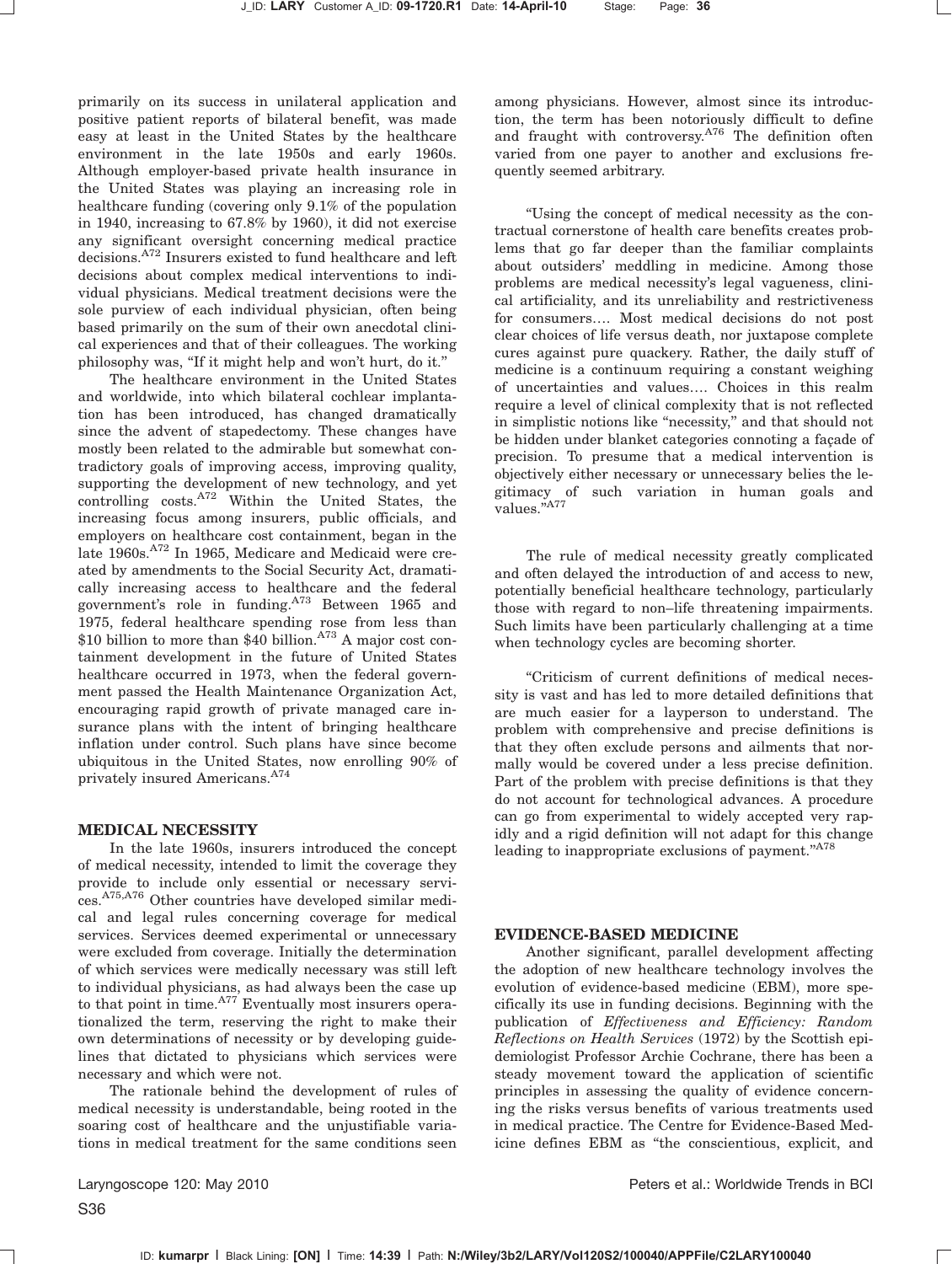primarily on its success in unilateral application and positive patient reports of bilateral benefit, was made easy at least in the United States by the healthcare environment in the late 1950s and early 1960s. Although employer-based private health insurance in the United States was playing an increasing role in healthcare funding (covering only 9.1% of the population in 1940, increasing to 67.8% by 1960), it did not exercise any significant oversight concerning medical practice decisions.A72 Insurers existed to fund healthcare and left decisions about complex medical interventions to individual physicians. Medical treatment decisions were the sole purview of each individual physician, often being based primarily on the sum of their own anecdotal clinical experiences and that of their colleagues. The working philosophy was, ''If it might help and won't hurt, do it.''

The healthcare environment in the United States and worldwide, into which bilateral cochlear implantation has been introduced, has changed dramatically since the advent of stapedectomy. These changes have mostly been related to the admirable but somewhat contradictory goals of improving access, improving quality, supporting the development of new technology, and yet controlling costs.A72 Within the United States, the increasing focus among insurers, public officials, and employers on healthcare cost containment, began in the late 1960s.A72 In 1965, Medicare and Medicaid were created by amendments to the Social Security Act, dramatically increasing access to healthcare and the federal government's role in funding.<sup>A73</sup> Between 1965 and 1975, federal healthcare spending rose from less than \$10 billion to more than \$40 billion. $A^{73}$  A major cost containment development in the future of United States healthcare occurred in 1973, when the federal government passed the Health Maintenance Organization Act, encouraging rapid growth of private managed care insurance plans with the intent of bringing healthcare inflation under control. Such plans have since become ubiquitous in the United States, now enrolling 90% of privately insured Americans.A74

#### MEDICAL NECESSITY

In the late 1960s, insurers introduced the concept of medical necessity, intended to limit the coverage they provide to include only essential or necessary services.A75,A76 Other countries have developed similar medical and legal rules concerning coverage for medical services. Services deemed experimental or unnecessary were excluded from coverage. Initially the determination of which services were medically necessary was still left to individual physicians, as had always been the case up to that point in time. A77 Eventually most insurers operationalized the term, reserving the right to make their own determinations of necessity or by developing guidelines that dictated to physicians which services were necessary and which were not.

The rationale behind the development of rules of medical necessity is understandable, being rooted in the soaring cost of healthcare and the unjustifiable variations in medical treatment for the same conditions seen

S36

among physicians. However, almost since its introduction, the term has been notoriously difficult to define and fraught with controversy.<sup>A76</sup> The definition often varied from one payer to another and exclusions frequently seemed arbitrary.

''Using the concept of medical necessity as the contractual cornerstone of health care benefits creates problems that go far deeper than the familiar complaints about outsiders' meddling in medicine. Among those problems are medical necessity's legal vagueness, clinical artificiality, and its unreliability and restrictiveness for consumers…. Most medical decisions do not post clear choices of life versus death, nor juxtapose complete cures against pure quackery. Rather, the daily stuff of medicine is a continuum requiring a constant weighing of uncertainties and values…. Choices in this realm require a level of clinical complexity that is not reflected in simplistic notions like ''necessity,'' and that should not be hidden under blanket categories connoting a façade of precision. To presume that a medical intervention is objectively either necessary or unnecessary belies the legitimacy of such variation in human goals and values."<sup>A77</sup>

The rule of medical necessity greatly complicated and often delayed the introduction of and access to new, potentially beneficial healthcare technology, particularly those with regard to non–life threatening impairments. Such limits have been particularly challenging at a time when technology cycles are becoming shorter.

''Criticism of current definitions of medical necessity is vast and has led to more detailed definitions that are much easier for a layperson to understand. The problem with comprehensive and precise definitions is that they often exclude persons and ailments that normally would be covered under a less precise definition. Part of the problem with precise definitions is that they do not account for technological advances. A procedure can go from experimental to widely accepted very rapidly and a rigid definition will not adapt for this change leading to inappropriate exclusions of payment."<sup>A78</sup>

#### EVIDENCE-BASED MEDICINE

Another significant, parallel development affecting the adoption of new healthcare technology involves the evolution of evidence-based medicine (EBM), more specifically its use in funding decisions. Beginning with the publication of Effectiveness and Efficiency: Random Reflections on Health Services (1972) by the Scottish epidemiologist Professor Archie Cochrane, there has been a steady movement toward the application of scientific principles in assessing the quality of evidence concerning the risks versus benefits of various treatments used in medical practice. The Centre for Evidence-Based Medicine defines EBM as ''the conscientious, explicit, and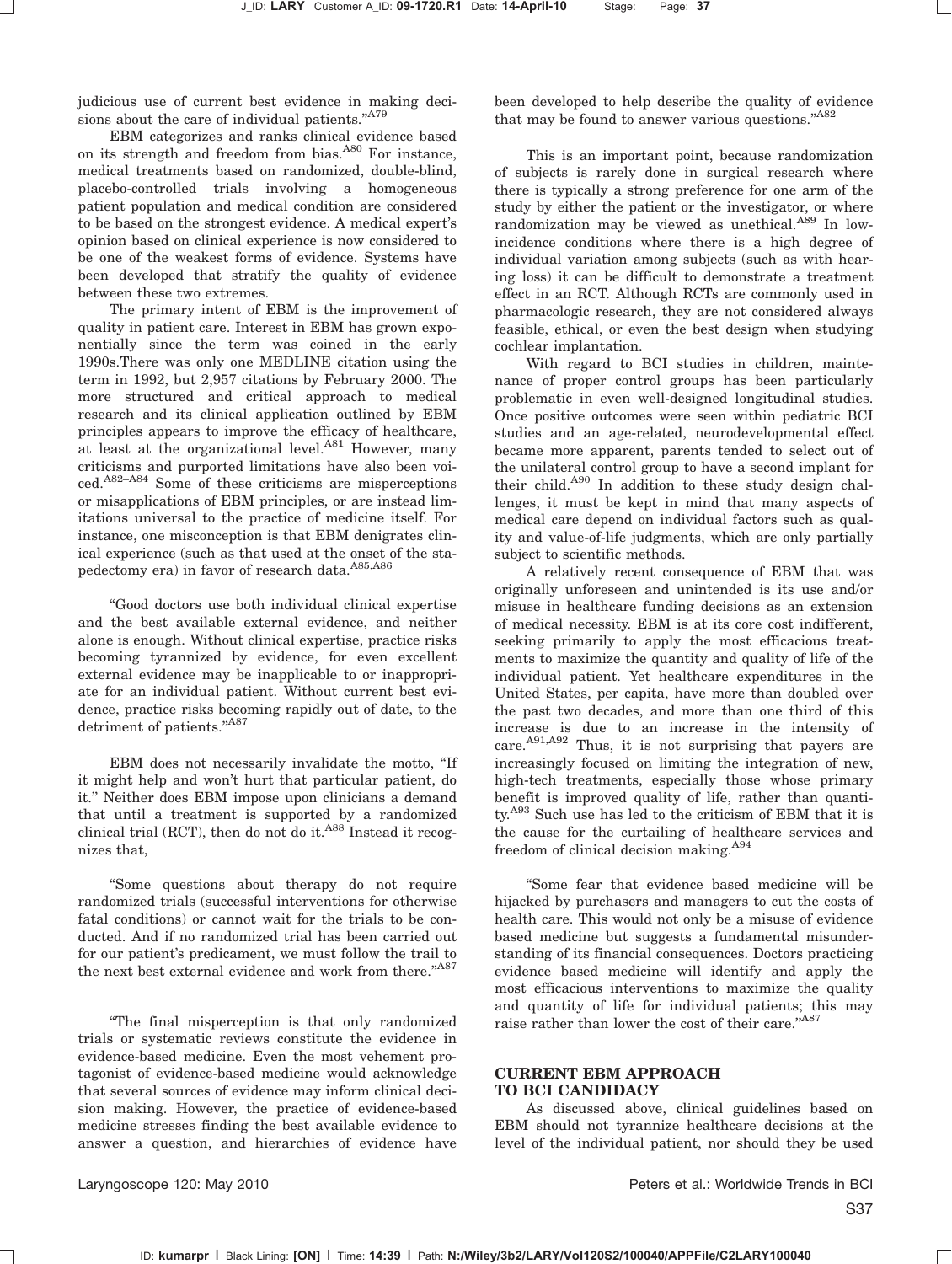judicious use of current best evidence in making decisions about the care of individual patients."<sup>A79</sup>

EBM categorizes and ranks clinical evidence based on its strength and freedom from bias.<sup>A80</sup> For instance, medical treatments based on randomized, double-blind, placebo-controlled trials involving a homogeneous patient population and medical condition are considered to be based on the strongest evidence. A medical expert's opinion based on clinical experience is now considered to be one of the weakest forms of evidence. Systems have been developed that stratify the quality of evidence between these two extremes.

The primary intent of EBM is the improvement of quality in patient care. Interest in EBM has grown exponentially since the term was coined in the early 1990s.There was only one MEDLINE citation using the term in 1992, but 2,957 citations by February 2000. The more structured and critical approach to medical research and its clinical application outlined by EBM principles appears to improve the efficacy of healthcare, at least at the organizational level. $A^{81}$  However, many criticisms and purported limitations have also been voiced.A82–A84 Some of these criticisms are misperceptions or misapplications of EBM principles, or are instead limitations universal to the practice of medicine itself. For instance, one misconception is that EBM denigrates clinical experience (such as that used at the onset of the stapedectomy era) in favor of research data.<sup>A85,A86</sup>

''Good doctors use both individual clinical expertise and the best available external evidence, and neither alone is enough. Without clinical expertise, practice risks becoming tyrannized by evidence, for even excellent external evidence may be inapplicable to or inappropriate for an individual patient. Without current best evidence, practice risks becoming rapidly out of date, to the detriment of patients."A87

EBM does not necessarily invalidate the motto, ''If it might help and won't hurt that particular patient, do it.'' Neither does EBM impose upon clinicians a demand that until a treatment is supported by a randomized clinical trial (RCT), then do not do it.<sup>A88</sup> Instead it recognizes that,

''Some questions about therapy do not require randomized trials (successful interventions for otherwise fatal conditions) or cannot wait for the trials to be conducted. And if no randomized trial has been carried out for our patient's predicament, we must follow the trail to the next best external evidence and work from there."A87

''The final misperception is that only randomized trials or systematic reviews constitute the evidence in evidence-based medicine. Even the most vehement protagonist of evidence-based medicine would acknowledge that several sources of evidence may inform clinical decision making. However, the practice of evidence-based medicine stresses finding the best available evidence to answer a question, and hierarchies of evidence have

been developed to help describe the quality of evidence that may be found to answer various questions."A82

This is an important point, because randomization of subjects is rarely done in surgical research where there is typically a strong preference for one arm of the study by either the patient or the investigator, or where randomization may be viewed as unethical.<sup>A89</sup> In lowincidence conditions where there is a high degree of individual variation among subjects (such as with hearing loss) it can be difficult to demonstrate a treatment effect in an RCT. Although RCTs are commonly used in pharmacologic research, they are not considered always feasible, ethical, or even the best design when studying cochlear implantation.

With regard to BCI studies in children, maintenance of proper control groups has been particularly problematic in even well-designed longitudinal studies. Once positive outcomes were seen within pediatric BCI studies and an age-related, neurodevelopmental effect became more apparent, parents tended to select out of the unilateral control group to have a second implant for their child.A90 In addition to these study design challenges, it must be kept in mind that many aspects of medical care depend on individual factors such as quality and value-of-life judgments, which are only partially subject to scientific methods.

A relatively recent consequence of EBM that was originally unforeseen and unintended is its use and/or misuse in healthcare funding decisions as an extension of medical necessity. EBM is at its core cost indifferent, seeking primarily to apply the most efficacious treatments to maximize the quantity and quality of life of the individual patient. Yet healthcare expenditures in the United States, per capita, have more than doubled over the past two decades, and more than one third of this increase is due to an increase in the intensity of care.<sup>A91,A92</sup> Thus, it is not surprising that payers are increasingly focused on limiting the integration of new, high-tech treatments, especially those whose primary benefit is improved quality of life, rather than quantity.A93 Such use has led to the criticism of EBM that it is the cause for the curtailing of healthcare services and freedom of clinical decision making.<sup>A94</sup>

''Some fear that evidence based medicine will be hijacked by purchasers and managers to cut the costs of health care. This would not only be a misuse of evidence based medicine but suggests a fundamental misunderstanding of its financial consequences. Doctors practicing evidence based medicine will identify and apply the most efficacious interventions to maximize the quality and quantity of life for individual patients; this may raise rather than lower the cost of their care."A87

#### CURRENT EBM APPROACH TO BCI CANDIDACY

As discussed above, clinical guidelines based on EBM should not tyrannize healthcare decisions at the level of the individual patient, nor should they be used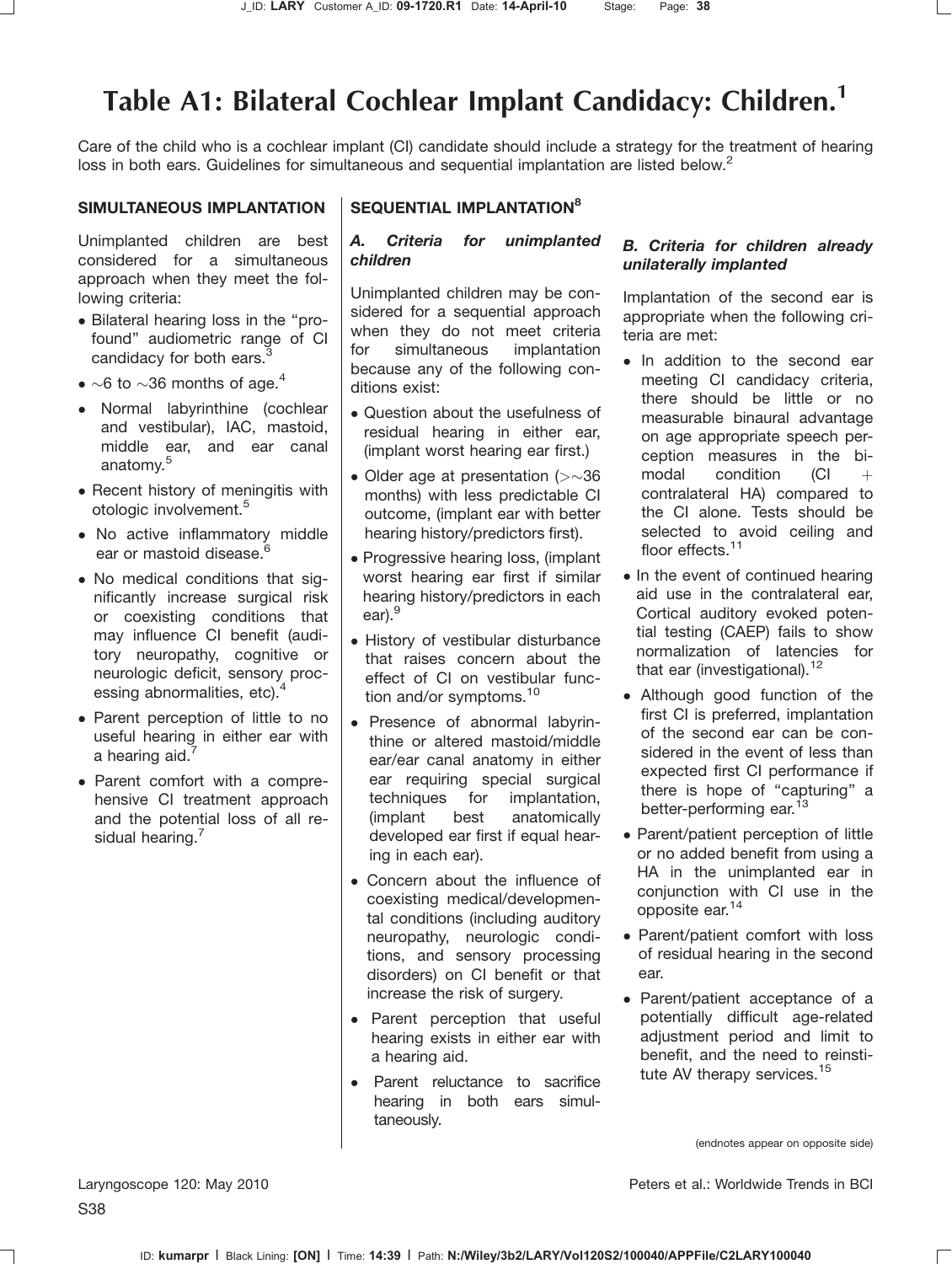# Table A1: Bilateral Cochlear Implant Candidacy: Children.<sup>1</sup>

Care of the child who is a cochlear implant (CI) candidate should include a strategy for the treatment of hearing loss in both ears. Guidelines for simultaneous and sequential implantation are listed below.<sup>2</sup>

# SIMULTANEOUS IMPLANTATION

Unimplanted children are best considered for a simultaneous approach when they meet the following criteria:

- Bilateral hearing loss in the "profound'' audiometric range of CI candidacy for both ears.<sup>3</sup>
- $\sim$ 6 to  $\sim$ 36 months of age.<sup>4</sup>
- Normal labyrinthine (cochlear and vestibular), IAC, mastoid, middle ear, and ear canal anatomy.<sup>5</sup>
- Recent history of meningitis with otologic involvement.<sup>5</sup>
- No active inflammatory middle ear or mastoid disease.<sup>6</sup>
- No medical conditions that significantly increase surgical risk or coexisting conditions that may influence CI benefit (auditory neuropathy, cognitive or neurologic deficit, sensory processing abnormalities, etc).<sup>4</sup>
- Parent perception of little to no useful hearing in either ear with a hearing aid.
- Parent comfort with a comprehensive CI treatment approach and the potential loss of all residual hearing.<sup>7</sup>

# SEQUENTIAL IMPLANTATION<sup>8</sup>

## A. Criteria for unimplanted children

Unimplanted children may be considered for a sequential approach when they do not meet criteria for simultaneous implantation because any of the following conditions exist:

- Question about the usefulness of residual hearing in either ear, (implant worst hearing ear first.)
- Older age at presentation ( $>$  $\sim$ 36 months) with less predictable CI outcome, (implant ear with better hearing history/predictors first).
- Progressive hearing loss, (implant worst hearing ear first if similar hearing history/predictors in each ear).<sup>9</sup>
- History of vestibular disturbance that raises concern about the effect of CI on vestibular function and/or symptoms.<sup>10</sup>
- Presence of abnormal labyrinthine or altered mastoid/middle ear/ear canal anatomy in either ear requiring special surgical techniques for implantation, (implant best anatomically developed ear first if equal hearing in each ear).
- Concern about the influence of coexisting medical/developmental conditions (including auditory neuropathy, neurologic conditions, and sensory processing disorders) on CI benefit or that increase the risk of surgery.
- Parent perception that useful hearing exists in either ear with a hearing aid.
- Parent reluctance to sacrifice hearing in both ears simultaneously.

## B. Criteria for children already unilaterally implanted

Implantation of the second ear is appropriate when the following criteria are met:

- In addition to the second ear meeting CI candidacy criteria, there should be little or no measurable binaural advantage on age appropriate speech perception measures in the bimodal condition (CI  $+$ contralateral HA) compared to the CI alone. Tests should be selected to avoid ceiling and floor effects.<sup>11</sup>
- In the event of continued hearing aid use in the contralateral ear, Cortical auditory evoked potential testing (CAEP) fails to show normalization of latencies for that ear (investigational).<sup>12</sup>
- Although good function of the first CI is preferred, implantation of the second ear can be considered in the event of less than expected first CI performance if there is hope of "capturing" a better-performing ear.<sup>13</sup>
- Parent/patient perception of little or no added benefit from using a HA in the unimplanted ear in conjunction with CI use in the opposite ear.<sup>14</sup>
- Parent/patient comfort with loss of residual hearing in the second ear.
- Parent/patient acceptance of a potentially difficult age-related adjustment period and limit to benefit, and the need to reinstitute AV therapy services.<sup>15</sup>

(endnotes appear on opposite side)

S38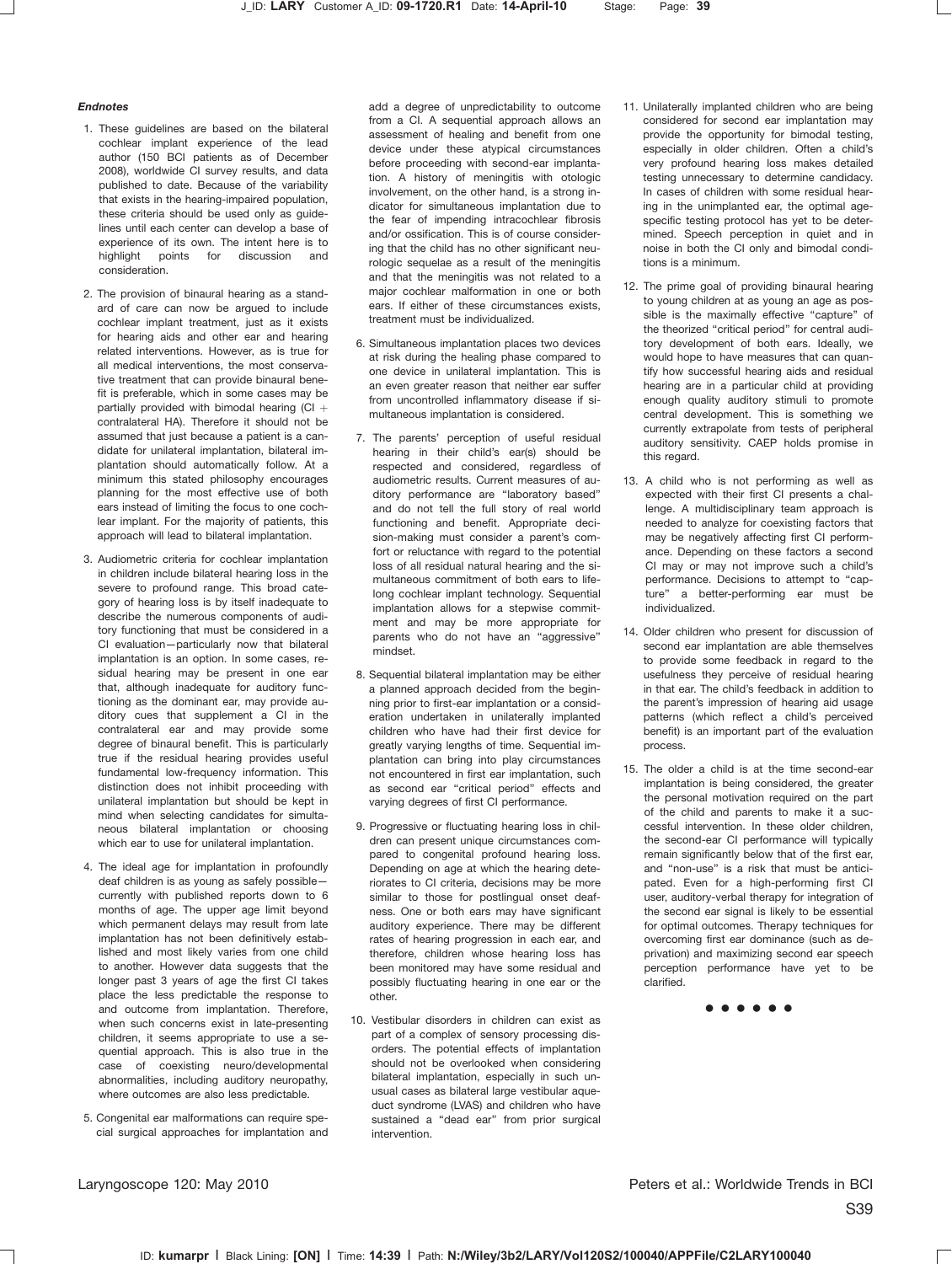#### Endnotes

- 1. These guidelines are based on the bilateral cochlear implant experience of the lead author (150 BCI patients as of December 2008), worldwide CI survey results, and data published to date. Because of the variability that exists in the hearing-impaired population, these criteria should be used only as guidelines until each center can develop a base of experience of its own. The intent here is to highlight points for discussion and consideration.
- 2. The provision of binaural hearing as a standard of care can now be argued to include cochlear implant treatment, just as it exists for hearing aids and other ear and hearing related interventions. However, as is true for all medical interventions, the most conservative treatment that can provide binaural benefit is preferable, which in some cases may be partially provided with bimodal hearing (CI  $+$ contralateral HA). Therefore it should not be assumed that just because a patient is a candidate for unilateral implantation, bilateral implantation should automatically follow. At a minimum this stated philosophy encourages planning for the most effective use of both ears instead of limiting the focus to one cochlear implant. For the majority of patients, this approach will lead to bilateral implantation.
- 3. Audiometric criteria for cochlear implantation in children include bilateral hearing loss in the severe to profound range. This broad category of hearing loss is by itself inadequate to describe the numerous components of auditory functioning that must be considered in a CI evaluation—particularly now that bilateral implantation is an option. In some cases, residual hearing may be present in one ear that, although inadequate for auditory functioning as the dominant ear, may provide auditory cues that supplement a CI in the contralateral ear and may provide some degree of binaural benefit. This is particularly true if the residual hearing provides useful fundamental low-frequency information. This distinction does not inhibit proceeding with unilateral implantation but should be kept in mind when selecting candidates for simultaneous bilateral implantation or choosing which ear to use for unilateral implantation.
- 4. The ideal age for implantation in profoundly deaf children is as young as safely possible currently with published reports down to 6 months of age. The upper age limit beyond which permanent delays may result from late implantation has not been definitively established and most likely varies from one child to another. However data suggests that the longer past 3 years of age the first CI takes place the less predictable the response to and outcome from implantation. Therefore, when such concerns exist in late-presenting children, it seems appropriate to use a sequential approach. This is also true in the case of coexisting neuro/developmental abnormalities, including auditory neuropathy, where outcomes are also less predictable.
- 5. Congenital ear malformations can require special surgical approaches for implantation and

add a degree of unpredictability to outcome from a CI. A sequential approach allows an assessment of healing and benefit from one device under these atypical circumstances before proceeding with second-ear implantation. A history of meningitis with otologic involvement, on the other hand, is a strong indicator for simultaneous implantation due to the fear of impending intracochlear fibrosis and/or ossification. This is of course considering that the child has no other significant neurologic sequelae as a result of the meningitis and that the meningitis was not related to a major cochlear malformation in one or both ears. If either of these circumstances exists, treatment must be individualized.

- 6. Simultaneous implantation places two devices at risk during the healing phase compared to one device in unilateral implantation. This is an even greater reason that neither ear suffer from uncontrolled inflammatory disease if simultaneous implantation is considered.
- 7. The parents' perception of useful residual hearing in their child's ear(s) should be respected and considered, regardless of audiometric results. Current measures of auditory performance are ''laboratory based'' and do not tell the full story of real world functioning and benefit. Appropriate decision-making must consider a parent's comfort or reluctance with regard to the potential loss of all residual natural hearing and the simultaneous commitment of both ears to lifelong cochlear implant technology. Sequential implantation allows for a stepwise commitment and may be more appropriate for parents who do not have an "aggressive" mindset.
- 8. Sequential bilateral implantation may be either a planned approach decided from the beginning prior to first-ear implantation or a consideration undertaken in unilaterally implanted children who have had their first device for greatly varying lengths of time. Sequential implantation can bring into play circumstances not encountered in first ear implantation, such as second ear ''critical period'' effects and varying degrees of first CI performance.
- 9. Progressive or fluctuating hearing loss in children can present unique circumstances compared to congenital profound hearing loss. Depending on age at which the hearing deteriorates to CI criteria, decisions may be more similar to those for postlingual onset deafness. One or both ears may have significant auditory experience. There may be different rates of hearing progression in each ear, and therefore, children whose hearing loss has been monitored may have some residual and possibly fluctuating hearing in one ear or the other.
- 10. Vestibular disorders in children can exist as part of a complex of sensory processing disorders. The potential effects of implantation should not be overlooked when considering bilateral implantation, especially in such unusual cases as bilateral large vestibular aqueduct syndrome (LVAS) and children who have sustained a "dead ear" from prior surgical intervention.
- 11. Unilaterally implanted children who are being considered for second ear implantation may provide the opportunity for bimodal testing, especially in older children. Often a child's very profound hearing loss makes detailed testing unnecessary to determine candidacy. In cases of children with some residual hearing in the unimplanted ear, the optimal agespecific testing protocol has yet to be determined. Speech perception in quiet and in noise in both the CI only and bimodal conditions is a minimum.
- 12. The prime goal of providing binaural hearing to young children at as young an age as possible is the maximally effective "capture" of the theorized "critical period" for central auditory development of both ears. Ideally, we would hope to have measures that can quantify how successful hearing aids and residual hearing are in a particular child at providing enough quality auditory stimuli to promote central development. This is something we currently extrapolate from tests of peripheral auditory sensitivity. CAEP holds promise in this regard
- 13. A child who is not performing as well as expected with their first CI presents a challenge. A multidisciplinary team approach is needed to analyze for coexisting factors that may be negatively affecting first CI performance. Depending on these factors a second CI may or may not improve such a child's performance. Decisions to attempt to "capture'' a better-performing ear must be individualized.
- 14. Older children who present for discussion of second ear implantation are able themselves to provide some feedback in regard to the usefulness they perceive of residual hearing in that ear. The child's feedback in addition to the parent's impression of hearing aid usage patterns (which reflect a child's perceived benefit) is an important part of the evaluation process.
- 15. The older a child is at the time second-ear implantation is being considered, the greater the personal motivation required on the part of the child and parents to make it a successful intervention. In these older children, the second-ear CI performance will typically remain significantly below that of the first ear, and ''non-use'' is a risk that must be anticipated. Even for a high-performing first CI user, auditory-verbal therapy for integration of the second ear signal is likely to be essential for optimal outcomes. Therapy techniques for overcoming first ear dominance (such as deprivation) and maximizing second ear speech perception performance have yet to be clarified.

. . . . . .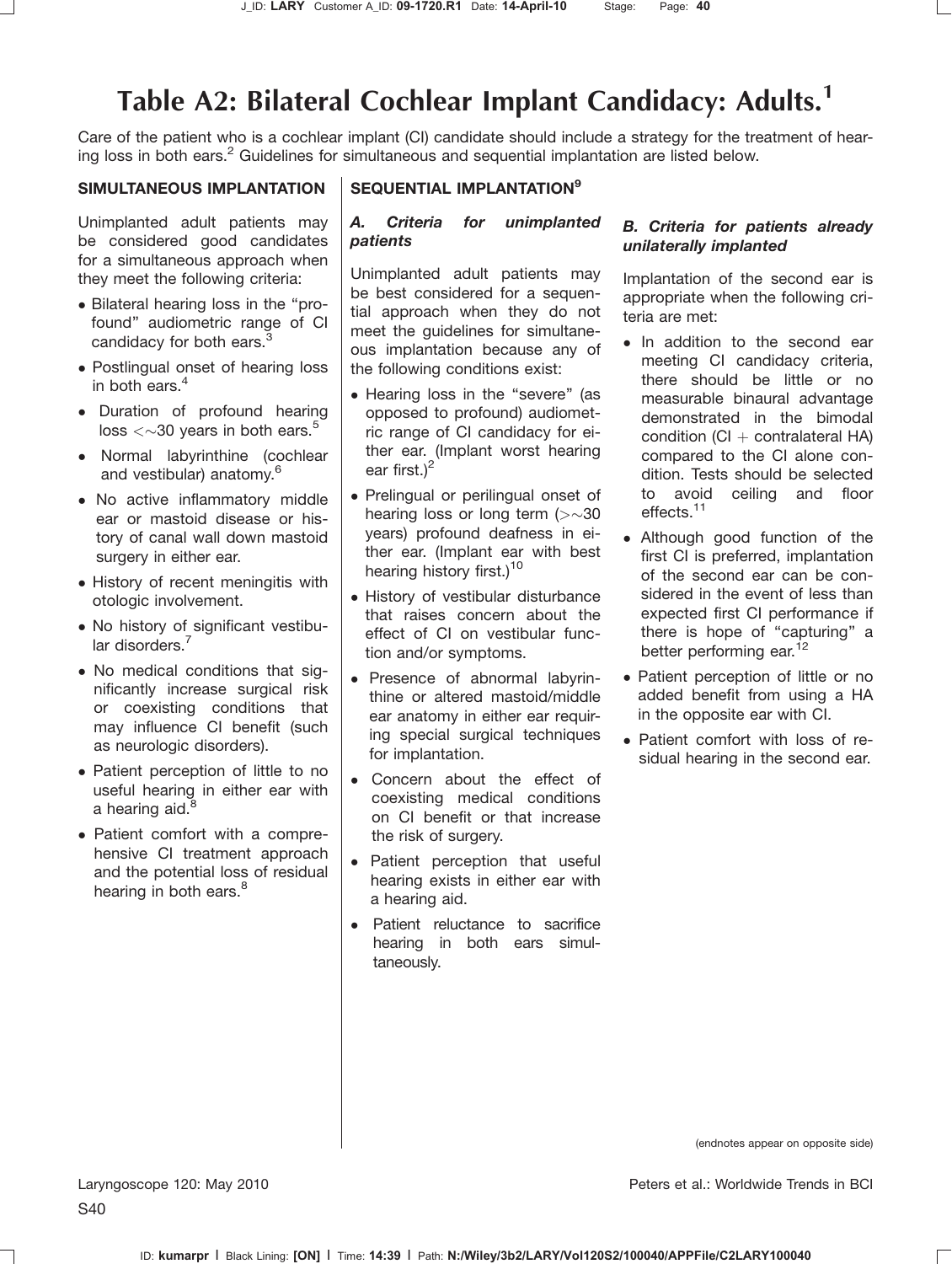# Table A2: Bilateral Cochlear Implant Candidacy: Adults.<sup>1</sup>

Care of the patient who is a cochlear implant (CI) candidate should include a strategy for the treatment of hearina loss in both ears.<sup>2</sup> Guidelines for simultaneous and sequential implantation are listed below.

## SIMULTANEOUS IMPLANTATION

Unimplanted adult patients may be considered good candidates for a simultaneous approach when they meet the following criteria:

- Bilateral hearing loss in the ''profound'' audiometric range of CI candidacy for both ears.<sup>3</sup>
- Postlingual onset of hearing loss in both ears. $<sup>4</sup>$ </sup>
- Duration of profound hearing loss  $\langle \sim$ 30 years in both ears.<sup>5</sup>
- Normal labyrinthine (cochlear and vestibular) anatomy.<sup>6</sup>
- No active inflammatory middle ear or mastoid disease or history of canal wall down mastoid surgery in either ear.
- History of recent meningitis with otologic involvement.
- No history of significant vestibular disorders.<sup>7</sup>
- No medical conditions that significantly increase surgical risk or coexisting conditions that may influence CI benefit (such as neurologic disorders).
- Patient perception of little to no useful hearing in either ear with a hearing aid. $8$
- Patient comfort with a comprehensive CI treatment approach and the potential loss of residual hearing in both ears.<sup>8</sup>

## SEQUENTIAL IMPLANTATION<sup>9</sup>

## A. Criteria for unimplanted patients

Unimplanted adult patients may be best considered for a sequential approach when they do not meet the guidelines for simultaneous implantation because any of the following conditions exist:

- Hearing loss in the "severe" (as opposed to profound) audiometric range of CI candidacy for either ear. (Implant worst hearing ear first.) $<sup>2</sup>$ </sup>
- Prelingual or perilingual onset of hearing loss or long term  $(>\sim30$ years) profound deafness in either ear. (Implant ear with best hearing history first.)<sup>10</sup>
- History of vestibular disturbance that raises concern about the effect of CI on vestibular function and/or symptoms.
- Presence of abnormal labyrinthine or altered mastoid/middle ear anatomy in either ear requiring special surgical techniques for implantation.
- Concern about the effect of coexisting medical conditions on CI benefit or that increase the risk of surgery.
- Patient perception that useful hearing exists in either ear with a hearing aid.
- Patient reluctance to sacrifice hearing in both ears simultaneously.

## B. Criteria for patients already unilaterally implanted

Implantation of the second ear is appropriate when the following criteria are met:

- In addition to the second ear meeting CI candidacy criteria, there should be little or no measurable binaural advantage demonstrated in the bimodal condition  $(Cl +$  contralateral HA) compared to the CI alone condition. Tests should be selected to avoid ceiling and floor effects.<sup>11</sup>
- Although good function of the first CI is preferred, implantation of the second ear can be considered in the event of less than expected first CI performance if there is hope of "capturing" a better performing ear.<sup>12</sup>
- Patient perception of little or no added benefit from using a HA in the opposite ear with CI.
- Patient comfort with loss of residual hearing in the second ear.

(endnotes appear on opposite side)

S40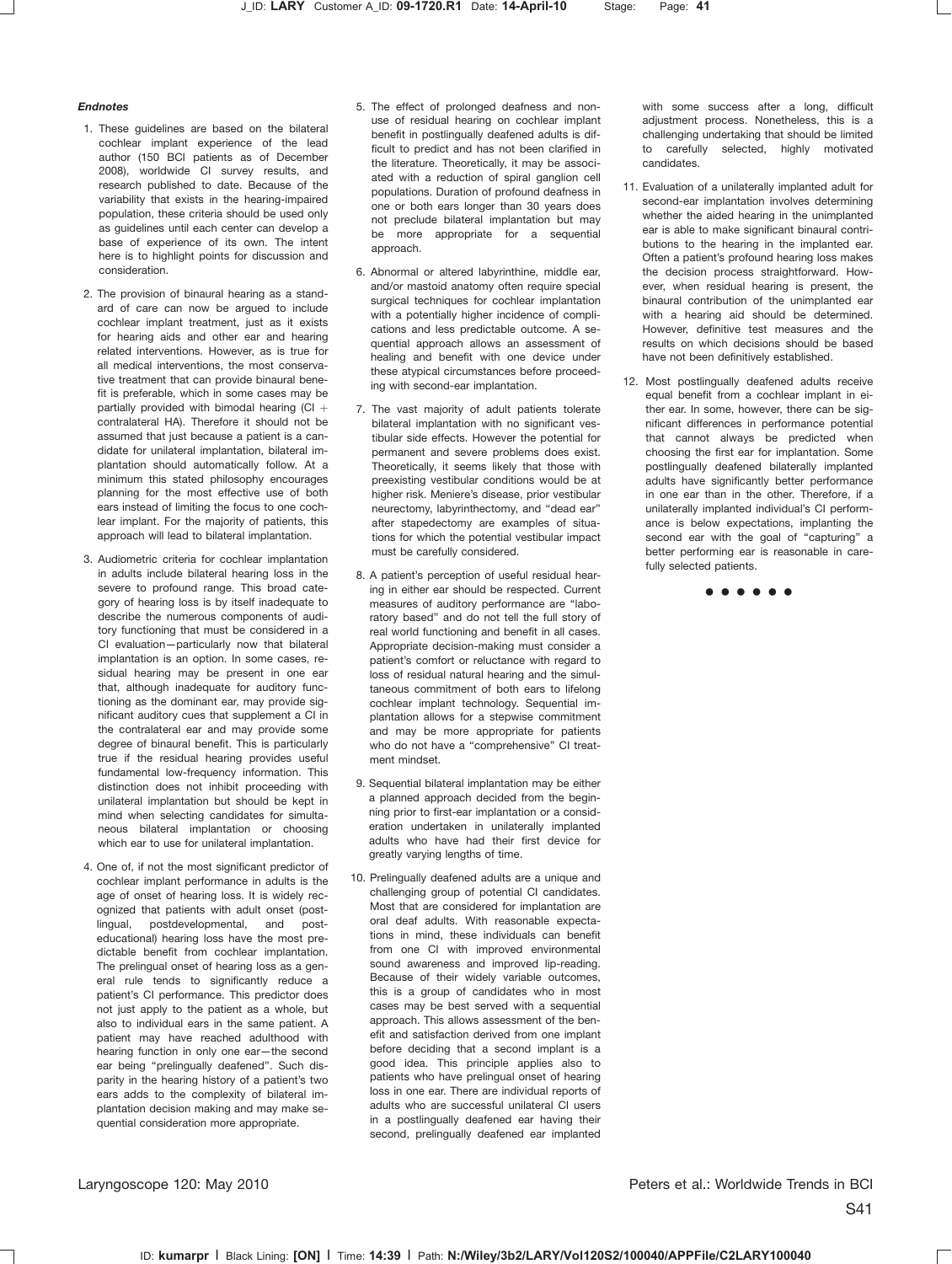#### Endnotes

- 1. These guidelines are based on the bilateral cochlear implant experience of the lead author (150 BCI patients as of December 2008), worldwide CI survey results, and research published to date. Because of the variability that exists in the hearing-impaired population, these criteria should be used only as guidelines until each center can develop a base of experience of its own. The intent here is to highlight points for discussion and consideration.
- 2. The provision of binaural hearing as a standard of care can now be argued to include cochlear implant treatment, just as it exists for hearing aids and other ear and hearing related interventions. However, as is true for all medical interventions, the most conservative treatment that can provide binaural benefit is preferable, which in some cases may be partially provided with bimodal hearing (CI  $+$ contralateral HA). Therefore it should not be assumed that just because a patient is a candidate for unilateral implantation, bilateral implantation should automatically follow. At a minimum this stated philosophy encourages planning for the most effective use of both ears instead of limiting the focus to one cochlear implant. For the majority of patients, this approach will lead to bilateral implantation.
- 3. Audiometric criteria for cochlear implantation in adults include bilateral hearing loss in the severe to profound range. This broad category of hearing loss is by itself inadequate to describe the numerous components of auditory functioning that must be considered in a CI evaluation—particularly now that bilateral implantation is an option. In some cases, residual hearing may be present in one ear that, although inadequate for auditory functioning as the dominant ear, may provide significant auditory cues that supplement a CI in the contralateral ear and may provide some degree of binaural benefit. This is particularly true if the residual hearing provides useful fundamental low-frequency information. This distinction does not inhibit proceeding with unilateral implantation but should be kept in mind when selecting candidates for simultaneous bilateral implantation or choosing which ear to use for unilateral implantation.
- 4. One of, if not the most significant predictor of cochlear implant performance in adults is the age of onset of hearing loss. It is widely recognized that patients with adult onset (postlingual, postdevelopmental, and posteducational) hearing loss have the most predictable benefit from cochlear implantation. The prelingual onset of hearing loss as a general rule tends to significantly reduce a patient's CI performance. This predictor does not just apply to the patient as a whole, but also to individual ears in the same patient. A patient may have reached adulthood with hearing function in only one ear—the second ear being "prelingually deafened". Such disparity in the hearing history of a patient's two ears adds to the complexity of bilateral implantation decision making and may make sequential consideration more appropriate.
- 5. The effect of prolonged deafness and nonuse of residual hearing on cochlear implant benefit in postlingually deafened adults is difficult to predict and has not been clarified in the literature. Theoretically, it may be associated with a reduction of spiral ganglion cell populations. Duration of profound deafness in one or both ears longer than 30 years does not preclude bilateral implantation but may be more appropriate for a sequential approach.
- 6. Abnormal or altered labyrinthine, middle ear, and/or mastoid anatomy often require special surgical techniques for cochlear implantation with a potentially higher incidence of complications and less predictable outcome. A sequential approach allows an assessment of healing and benefit with one device under these atypical circumstances before proceeding with second-ear implantation.
- 7. The vast majority of adult patients tolerate bilateral implantation with no significant vestibular side effects. However the potential for permanent and severe problems does exist. Theoretically, it seems likely that those with preexisting vestibular conditions would be at higher risk. Meniere's disease, prior vestibular neurectomy, labyrinthectomy, and ''dead ear'' after stapedectomy are examples of situations for which the potential vestibular impact must be carefully considered.
- 8. A patient's perception of useful residual hearing in either ear should be respected. Current measures of auditory performance are ''laboratory based'' and do not tell the full story of real world functioning and benefit in all cases. Appropriate decision-making must consider a patient's comfort or reluctance with regard to loss of residual natural hearing and the simultaneous commitment of both ears to lifelong cochlear implant technology. Sequential implantation allows for a stepwise commitment and may be more appropriate for patients who do not have a "comprehensive" CI treatment mindset.
- 9. Sequential bilateral implantation may be either a planned approach decided from the beginning prior to first-ear implantation or a consideration undertaken in unilaterally implanted adults who have had their first device for greatly varying lengths of time.
- 10. Prelingually deafened adults are a unique and challenging group of potential CI candidates. Most that are considered for implantation are oral deaf adults. With reasonable expectations in mind, these individuals can benefit from one CI with improved environmental sound awareness and improved lip-reading. Because of their widely variable outcomes, this is a group of candidates who in most cases may be best served with a sequential approach. This allows assessment of the benefit and satisfaction derived from one implant before deciding that a second implant is a good idea. This principle applies also to patients who have prelingual onset of hearing loss in one ear. There are individual reports of adults who are successful unilateral CI users in a postlingually deafened ear having their second, prelingually deafened ear implanted

with some success after a long, difficult adjustment process. Nonetheless, this is a challenging undertaking that should be limited to carefully selected, highly motivated candidates.

- 11. Evaluation of a unilaterally implanted adult for second-ear implantation involves determining whether the aided hearing in the unimplanted ear is able to make significant binaural contributions to the hearing in the implanted ear. Often a patient's profound hearing loss makes the decision process straightforward. However, when residual hearing is present, the binaural contribution of the unimplanted ear with a hearing aid should be determined. However, definitive test measures and the results on which decisions should be based have not been definitively established.
- 12. Most postlingually deafened adults receive equal benefit from a cochlear implant in either ear. In some, however, there can be significant differences in performance potential that cannot always be predicted when choosing the first ear for implantation. Some postlingually deafened bilaterally implanted adults have significantly better performance in one ear than in the other. Therefore, if a unilaterally implanted individual's CI performance is below expectations, implanting the second ear with the goal of "capturing" a better performing ear is reasonable in carefully selected patients.

. . . . . .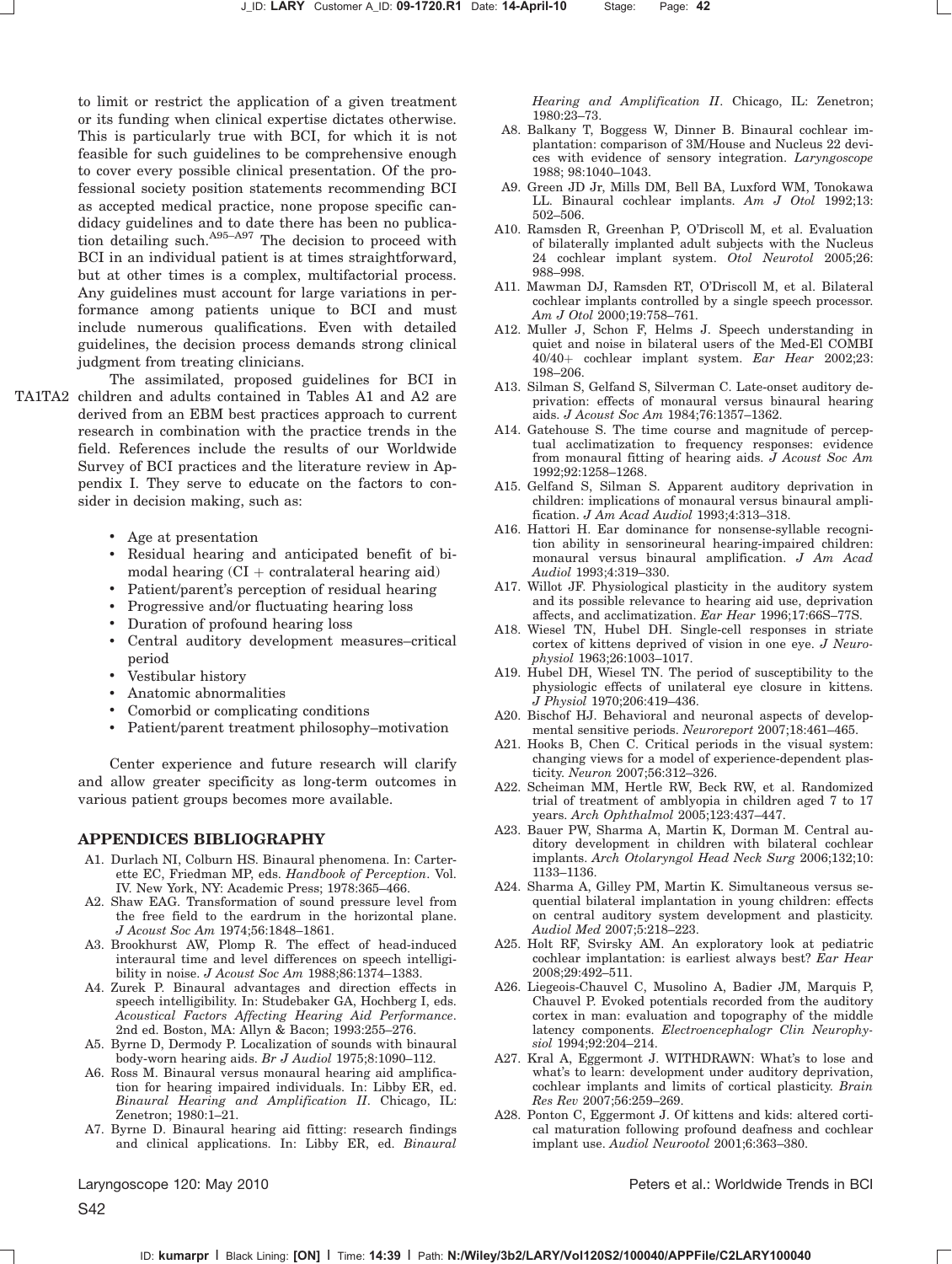to limit or restrict the application of a given treatment or its funding when clinical expertise dictates otherwise. This is particularly true with BCI, for which it is not feasible for such guidelines to be comprehensive enough to cover every possible clinical presentation. Of the professional society position statements recommending BCI as accepted medical practice, none propose specific candidacy guidelines and to date there has been no publication detailing such. $A95-A97$  The decision to proceed with BCI in an individual patient is at times straightforward, but at other times is a complex, multifactorial process. Any guidelines must account for large variations in performance among patients unique to BCI and must include numerous qualifications. Even with detailed guidelines, the decision process demands strong clinical judgment from treating clinicians.

The assimilated, proposed guidelines for BCI in TA1TA2 children and adults contained in Tables A1 and A2 are derived from an EBM best practices approach to current research in combination with the practice trends in the field. References include the results of our Worldwide Survey of BCI practices and the literature review in Appendix I. They serve to educate on the factors to consider in decision making, such as:

- Age at presentation
- Residual hearing and anticipated benefit of bimodal hearing  $(CI + contralateral \text{ hearing aid})$
- Patient/parent's perception of residual hearing
- Progressive and/or fluctuating hearing loss
- Duration of profound hearing loss
- Central auditory development measures–critical period
- Vestibular history
- Anatomic abnormalities
- Comorbid or complicating conditions
- Patient/parent treatment philosophy–motivation

Center experience and future research will clarify and allow greater specificity as long-term outcomes in various patient groups becomes more available.

#### APPENDICES BIBLIOGRAPHY

- A1. Durlach NI, Colburn HS. Binaural phenomena. In: Carterette EC, Friedman MP, eds. Handbook of Perception. Vol. IV. New York, NY: Academic Press; 1978:365–466.
- A2. Shaw EAG. Transformation of sound pressure level from the free field to the eardrum in the horizontal plane. J Acoust Soc Am 1974;56:1848–1861.
- A3. Brookhurst AW, Plomp R. The effect of head-induced interaural time and level differences on speech intelligibility in noise. J Acoust Soc Am 1988;86:1374–1383.
- A4. Zurek P. Binaural advantages and direction effects in speech intelligibility. In: Studebaker GA, Hochberg I, eds. Acoustical Factors Affecting Hearing Aid Performance. 2nd ed. Boston, MA: Allyn & Bacon; 1993:255–276.
- A5. Byrne D, Dermody P. Localization of sounds with binaural body-worn hearing aids. Br J Audiol 1975;8:1090–112.
- A6. Ross M. Binaural versus monaural hearing aid amplification for hearing impaired individuals. In: Libby ER, ed. Binaural Hearing and Amplification II. Chicago, IL: Zenetron; 1980:1–21.
- A7. Byrne D. Binaural hearing aid fitting: research findings and clinical applications. In: Libby ER, ed. Binaural

S42

Hearing and Amplification II. Chicago, IL: Zenetron; 1980:23–73.

- A8. Balkany T, Boggess W, Dinner B. Binaural cochlear implantation: comparison of 3M/House and Nucleus 22 devices with evidence of sensory integration. Laryngoscope 1988; 98:1040–1043.
- A9. Green JD Jr, Mills DM, Bell BA, Luxford WM, Tonokawa LL. Binaural cochlear implants. Am J Otol 1992;13: 502–506.
- A10. Ramsden R, Greenhan P, O'Driscoll M, et al. Evaluation of bilaterally implanted adult subjects with the Nucleus 24 cochlear implant system. Otol Neurotol 2005;26: 988–998.
- A11. Mawman DJ, Ramsden RT, O'Driscoll M, et al. Bilateral cochlear implants controlled by a single speech processor. Am J Otol 2000;19:758–761.
- A12. Muller J, Schon F, Helms J. Speech understanding in quiet and noise in bilateral users of the Med-El COMBI  $40/40+$  cochlear implant system. Ear Hear 2002;23: 198–206.
- A13. Silman S, Gelfand S, Silverman C. Late-onset auditory deprivation: effects of monaural versus binaural hearing aids. J Acoust Soc Am 1984;76:1357–1362.
- A14. Gatehouse S. The time course and magnitude of perceptual acclimatization to frequency responses: evidence from monaural fitting of hearing aids.  $J$  Acoust Soc Am 1992;92:1258–1268.
- A15. Gelfand S, Silman S. Apparent auditory deprivation in children: implications of monaural versus binaural amplification. J Am Acad Audiol 1993;4:313–318.
- A16. Hattori H. Ear dominance for nonsense-syllable recognition ability in sensorineural hearing-impaired children: monaural versus binaural amplification. J Am Acad Audiol 1993;4:319–330.
- A17. Willot JF. Physiological plasticity in the auditory system and its possible relevance to hearing aid use, deprivation affects, and acclimatization. Ear Hear 1996;17:66S–77S.
- A18. Wiesel TN, Hubel DH. Single-cell responses in striate cortex of kittens deprived of vision in one eye. J Neurophysiol 1963;26:1003–1017.
- A19. Hubel DH, Wiesel TN. The period of susceptibility to the physiologic effects of unilateral eye closure in kittens. J Physiol 1970;206:419–436.
- A20. Bischof HJ. Behavioral and neuronal aspects of developmental sensitive periods. Neuroreport 2007;18:461–465.
- A21. Hooks B, Chen C. Critical periods in the visual system: changing views for a model of experience-dependent plasticity. Neuron 2007;56:312–326.
- A22. Scheiman MM, Hertle RW, Beck RW, et al. Randomized trial of treatment of amblyopia in children aged 7 to 17 years. Arch Ophthalmol 2005;123:437–447.
- A23. Bauer PW, Sharma A, Martin K, Dorman M. Central auditory development in children with bilateral cochlear implants. Arch Otolaryngol Head Neck Surg 2006;132;10: 1133–1136.
- A24. Sharma A, Gilley PM, Martin K. Simultaneous versus sequential bilateral implantation in young children: effects on central auditory system development and plasticity. Audiol Med 2007;5:218–223.
- A25. Holt RF, Svirsky AM. An exploratory look at pediatric cochlear implantation: is earliest always best? Ear Hear 2008;29:492–511.
- A26. Liegeois-Chauvel C, Musolino A, Badier JM, Marquis P, Chauvel P. Evoked potentials recorded from the auditory cortex in man: evaluation and topography of the middle latency components. Electroencephalogr Clin Neurophysiol 1994;92:204–214.
- A27. Kral A, Eggermont J. WITHDRAWN: What's to lose and what's to learn: development under auditory deprivation, cochlear implants and limits of cortical plasticity. Brain Res Rev 2007;56:259–269.
- A28. Ponton C, Eggermont J. Of kittens and kids: altered cortical maturation following profound deafness and cochlear implant use. Audiol Neurootol 2001;6:363–380.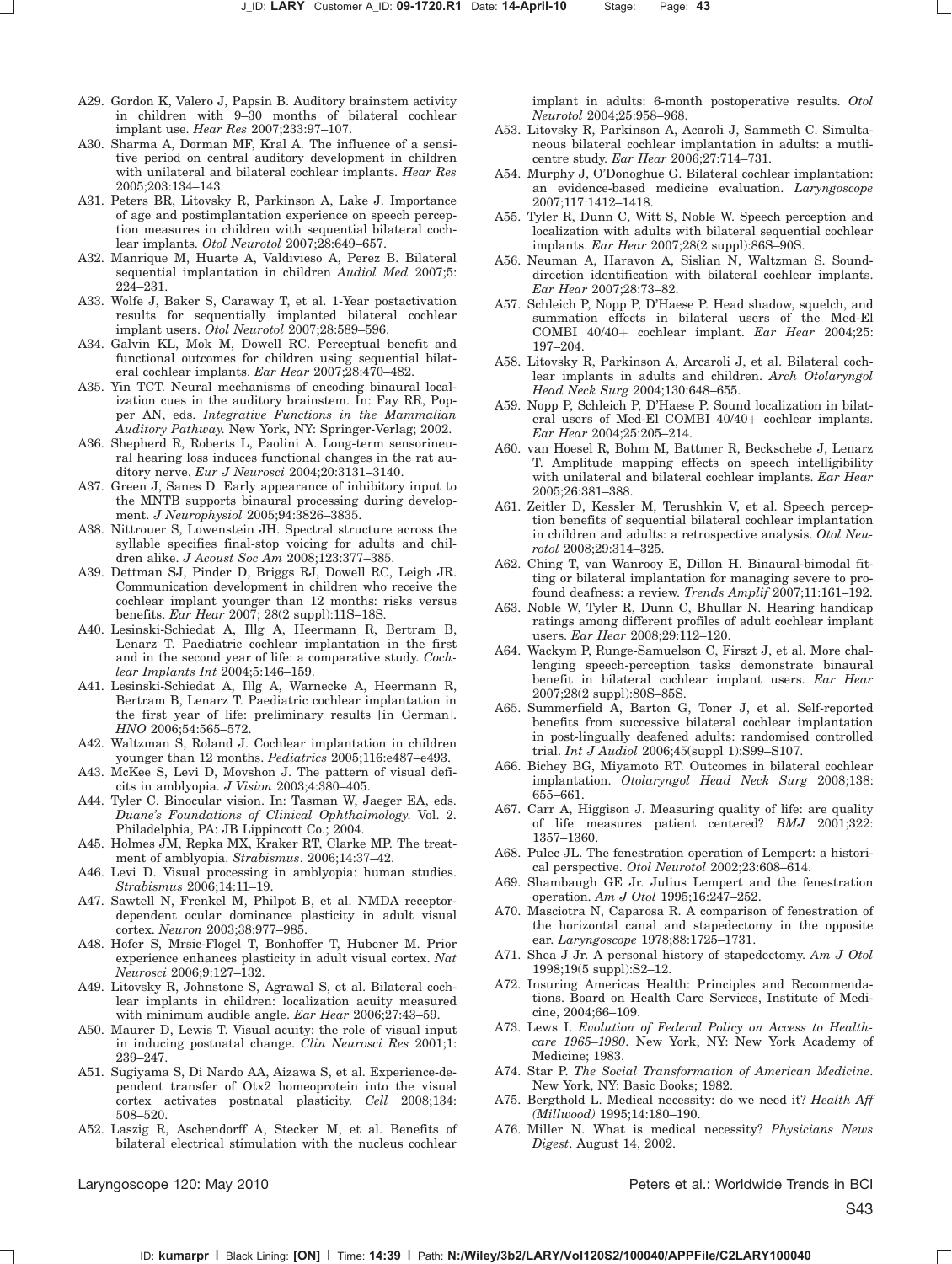- A29. Gordon K, Valero J, Papsin B. Auditory brainstem activity in children with 9–30 months of bilateral cochlear implant use. Hear Res 2007;233:97–107.
- A30. Sharma A, Dorman MF, Kral A. The influence of a sensitive period on central auditory development in children with unilateral and bilateral cochlear implants. Hear Res 2005;203:134–143.
- A31. Peters BR, Litovsky R, Parkinson A, Lake J. Importance of age and postimplantation experience on speech perception measures in children with sequential bilateral cochlear implants. Otol Neurotol 2007;28:649–657.
- A32. Manrique M, Huarte A, Valdivieso A, Perez B. Bilateral sequential implantation in children Audiol Med 2007;5: 224–231.
- A33. Wolfe J, Baker S, Caraway T, et al. 1-Year postactivation results for sequentially implanted bilateral cochlear implant users. Otol Neurotol 2007;28:589–596.
- A34. Galvin KL, Mok M, Dowell RC. Perceptual benefit and functional outcomes for children using sequential bilateral cochlear implants. Ear Hear 2007;28:470–482.
- A35. Yin TCT. Neural mechanisms of encoding binaural localization cues in the auditory brainstem. In: Fay RR, Popper AN, eds. Integrative Functions in the Mammalian Auditory Pathway. New York, NY: Springer-Verlag; 2002.
- A36. Shepherd R, Roberts L, Paolini A. Long-term sensorineural hearing loss induces functional changes in the rat auditory nerve. Eur J Neurosci 2004;20:3131–3140.
- A37. Green J, Sanes D. Early appearance of inhibitory input to the MNTB supports binaural processing during development. J Neurophysiol 2005;94:3826–3835.
- A38. Nittrouer S, Lowenstein JH. Spectral structure across the syllable specifies final-stop voicing for adults and children alike. J Acoust Soc Am 2008;123:377–385.
- A39. Dettman SJ, Pinder D, Briggs RJ, Dowell RC, Leigh JR. Communication development in children who receive the cochlear implant younger than 12 months: risks versus benefits. Ear Hear 2007; 28(2 suppl):11S–18S.
- A40. Lesinski-Schiedat A, Illg A, Heermann R, Bertram B, Lenarz T. Paediatric cochlear implantation in the first and in the second year of life: a comparative study. Cochlear Implants Int 2004;5:146–159.
- A41. Lesinski-Schiedat A, Illg A, Warnecke A, Heermann R, Bertram B, Lenarz T. Paediatric cochlear implantation in the first year of life: preliminary results [in German]. HNO 2006;54:565–572.
- A42. Waltzman S, Roland J. Cochlear implantation in children younger than 12 months. Pediatrics 2005;116:e487-e493.
- A43. McKee S, Levi D, Movshon J. The pattern of visual deficits in amblyopia. J Vision 2003;4:380–405.
- A44. Tyler C. Binocular vision. In: Tasman W, Jaeger EA, eds. Duane's Foundations of Clinical Ophthalmology. Vol. 2. Philadelphia, PA: JB Lippincott Co.; 2004.
- A45. Holmes JM, Repka MX, Kraker RT, Clarke MP. The treatment of amblyopia. Strabismus. 2006;14:37–42.
- A46. Levi D. Visual processing in amblyopia: human studies. Strabismus 2006;14:11–19.
- A47. Sawtell N, Frenkel M, Philpot B, et al. NMDA receptordependent ocular dominance plasticity in adult visual cortex. Neuron 2003;38:977–985.
- A48. Hofer S, Mrsic-Flogel T, Bonhoffer T, Hubener M. Prior experience enhances plasticity in adult visual cortex. Nat Neurosci 2006;9:127–132.
- A49. Litovsky R, Johnstone S, Agrawal S, et al. Bilateral cochlear implants in children: localization acuity measured with minimum audible angle. Ear Hear 2006;27:43–59.
- A50. Maurer D, Lewis T. Visual acuity: the role of visual input in inducing postnatal change. Clin Neurosci Res 2001;1: 239–247.
- A51. Sugiyama S, Di Nardo AA, Aizawa S, et al. Experience-dependent transfer of Otx2 homeoprotein into the visual cortex activates postnatal plasticity. Cell 2008;134: 508–520.
- A52. Laszig R, Aschendorff A, Stecker M, et al. Benefits of bilateral electrical stimulation with the nucleus cochlear

implant in adults: 6-month postoperative results. Otol Neurotol 2004;25:958–968.

- A53. Litovsky R, Parkinson A, Acaroli J, Sammeth C. Simultaneous bilateral cochlear implantation in adults: a mutlicentre study. Ear Hear 2006;27:714–731.
- A54. Murphy J, O'Donoghue G. Bilateral cochlear implantation: an evidence-based medicine evaluation. Laryngoscope 2007;117:1412–1418.
- A55. Tyler R, Dunn C, Witt S, Noble W. Speech perception and localization with adults with bilateral sequential cochlear implants. Ear Hear 2007;28(2 suppl):86S–90S.
- A56. Neuman A, Haravon A, Sislian N, Waltzman S. Sounddirection identification with bilateral cochlear implants. Ear Hear 2007;28:73–82.
- A57. Schleich P, Nopp P, D'Haese P. Head shadow, squelch, and summation effects in bilateral users of the Med-El COMBI  $40/40+$  cochlear implant. Ear Hear 2004;25: 197–204.
- A58. Litovsky R, Parkinson A, Arcaroli J, et al. Bilateral cochlear implants in adults and children. Arch Otolaryngol Head Neck Surg 2004;130:648–655.
- A59. Nopp P, Schleich P, D'Haese P. Sound localization in bilateral users of Med-El COMBI  $40/40+$  cochlear implants. Ear Hear 2004;25:205–214.
- A60. van Hoesel R, Bohm M, Battmer R, Beckschebe J, Lenarz T. Amplitude mapping effects on speech intelligibility with unilateral and bilateral cochlear implants. Ear Hear 2005;26:381–388.
- A61. Zeitler D, Kessler M, Terushkin V, et al. Speech perception benefits of sequential bilateral cochlear implantation in children and adults: a retrospective analysis. Otol Neurotol 2008;29:314–325.
- A62. Ching T, van Wanrooy E, Dillon H. Binaural-bimodal fitting or bilateral implantation for managing severe to profound deafness: a review. Trends Amplif 2007;11:161–192.
- A63. Noble W, Tyler R, Dunn C, Bhullar N. Hearing handicap ratings among different profiles of adult cochlear implant users. Ear Hear 2008;29:112–120.
- A64. Wackym P, Runge-Samuelson C, Firszt J, et al. More challenging speech-perception tasks demonstrate binaural benefit in bilateral cochlear implant users. Ear Hear 2007;28(2 suppl):80S–85S.
- A65. Summerfield A, Barton G, Toner J, et al. Self-reported benefits from successive bilateral cochlear implantation in post-lingually deafened adults: randomised controlled trial. Int J Audiol 2006;45(suppl 1):S99–S107.
- A66. Bichey BG, Miyamoto RT. Outcomes in bilateral cochlear implantation. Otolaryngol Head Neck Surg 2008;138: 655–661.
- A67. Carr A, Higgison J. Measuring quality of life: are quality of life measures patient centered? BMJ 2001;322: 1357–1360.
- A68. Pulec JL. The fenestration operation of Lempert: a historical perspective. Otol Neurotol 2002;23:608–614.
- A69. Shambaugh GE Jr. Julius Lempert and the fenestration operation. Am J Otol 1995;16:247–252.
- A70. Masciotra N, Caparosa R. A comparison of fenestration of the horizontal canal and stapedectomy in the opposite ear. Laryngoscope 1978;88:1725–1731.
- A71. Shea J Jr. A personal history of stapedectomy. Am J Otol 1998;19(5 suppl):S2–12.
- A72. Insuring Americas Health: Principles and Recommendations. Board on Health Care Services, Institute of Medicine, 2004;66–109.
- A73. Lews I. Evolution of Federal Policy on Access to Healthcare 1965–1980. New York, NY: New York Academy of Medicine; 1983.
- A74. Star P. The Social Transformation of American Medicine. New York, NY: Basic Books; 1982.
- A75. Bergthold L. Medical necessity: do we need it? Health Aff (Millwood) 1995;14:180–190.
- A76. Miller N. What is medical necessity? Physicians News Digest. August 14, 2002.